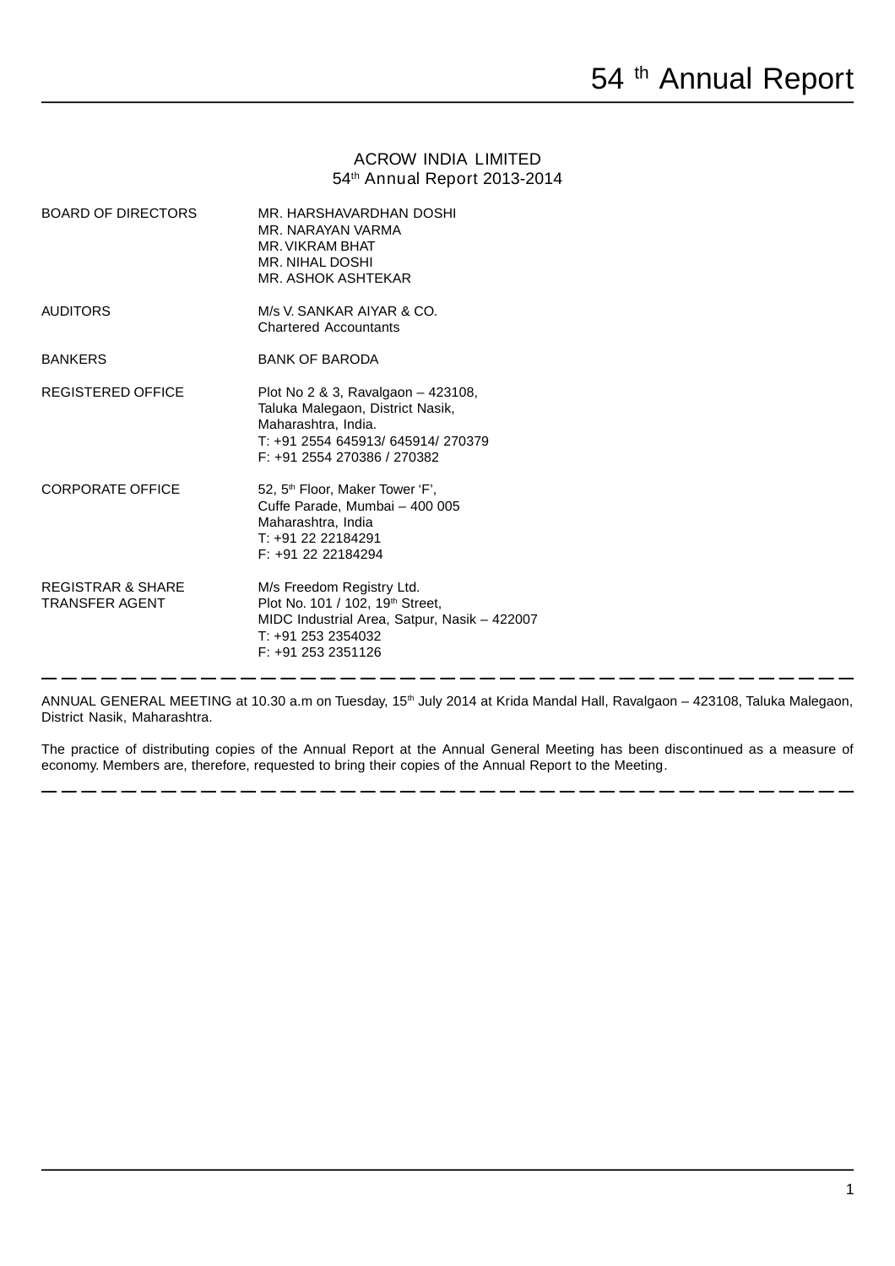### **ACROW INDIA LIMITED 54th Annual Report 2013-2014**

| <b>BOARD OF DIRECTORS</b>                  | MR. HARSHAVARDHAN DOSHI<br>MR. NARAYAN VARMA<br><b>MR. VIKRAM BHAT</b><br>MR. NIHAL DOSHI<br>MR. ASHOK ASHTEKAR                                                       |
|--------------------------------------------|-----------------------------------------------------------------------------------------------------------------------------------------------------------------------|
| <b>AUDITORS</b>                            | M/s V. SANKAR AIYAR & CO.<br><b>Chartered Accountants</b>                                                                                                             |
| <b>BANKERS</b>                             | <b>BANK OF BARODA</b>                                                                                                                                                 |
| <b>REGISTERED OFFICE</b>                   | Plot No 2 & 3, Ravalgaon - 423108,<br>Taluka Malegaon, District Nasik,<br>Maharashtra, India.<br>T: +91 2554 645913/ 645914/ 270379<br>F: +91 2554 270386 / 270382    |
| <b>CORPORATE OFFICE</b>                    | 52, 5 <sup>th</sup> Floor, Maker Tower 'F',<br>Cuffe Parade, Mumbai - 400 005<br>Maharashtra, India<br>T: +91 22 22184291<br>$F: +91222184294$                        |
| REGISTRAR & SHARE<br><b>TRANSFER AGENT</b> | M/s Freedom Registry Ltd.<br>Plot No. 101 / 102, 19 <sup>th</sup> Street,<br>MIDC Industrial Area, Satpur, Nasik - 422007<br>$T: +912532354032$<br>$F: +912532351126$ |

**ANNUAL GENERAL MEETING at 10.30 a.m on Tuesday, 15th July 2014 at Krida Mandal Hall, Ravalgaon – 423108, Taluka Malegaon, District Nasik, Maharashtra.**

**The practice of distributing copies of the Annual Report at the Annual General Meeting has been discontinued as a measure of economy. Members are, therefore, requested to bring their copies of the Annual Report to the Meeting.**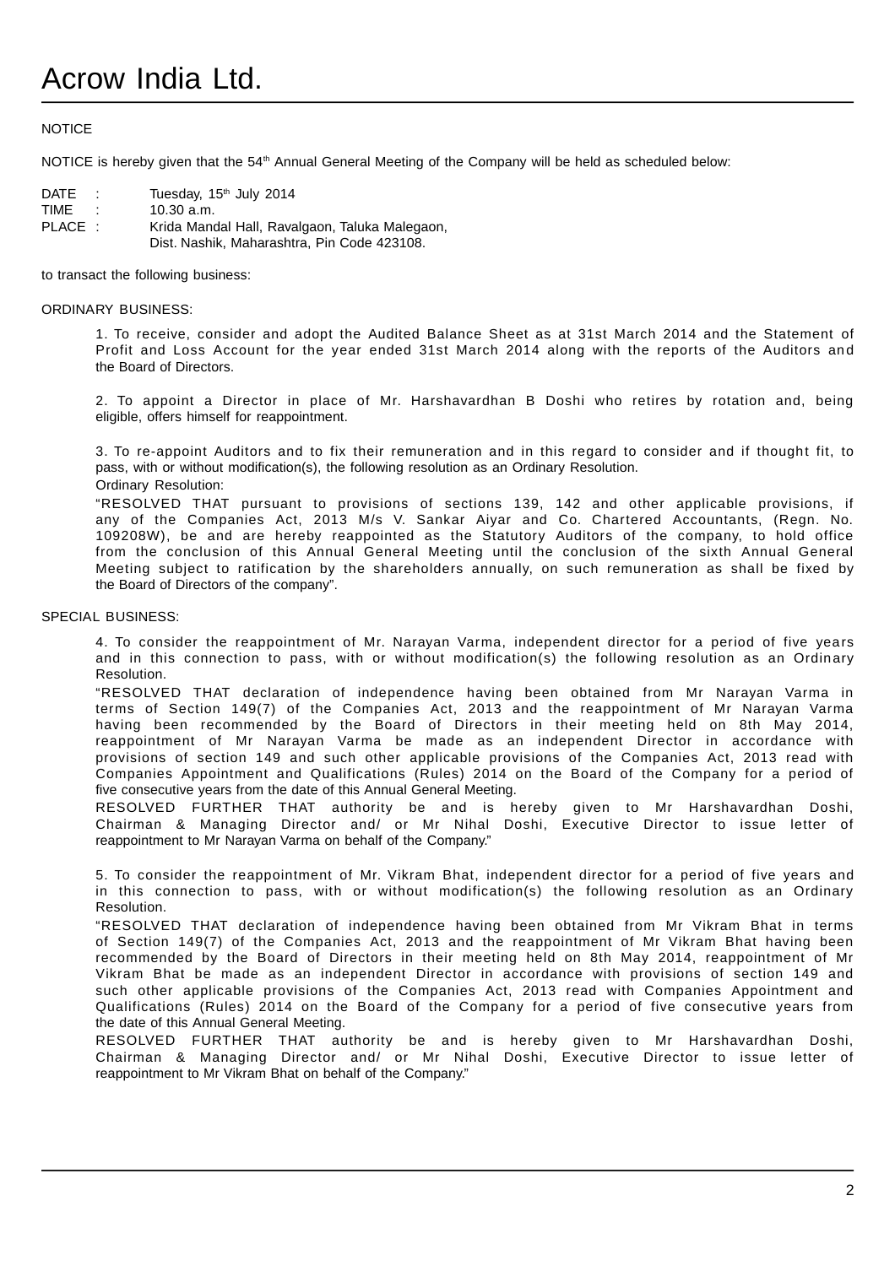# **Acrow India Ltd.**

### **NOTICE**

**NOTICE is hereby given that the 54th Annual General Meeting of the Company will be held as scheduled below:**

| <b>DATE</b> | <b>COL</b>         | Tuesday, 15 <sup>th</sup> July 2014            |
|-------------|--------------------|------------------------------------------------|
| TIME        | <b>Participate</b> | 10.30 a.m.                                     |
| PLACE:      |                    | Krida Mandal Hall, Ravalgaon, Taluka Malegaon, |
|             |                    | Dist. Nashik, Maharashtra, Pin Code 423108.    |

**to transact the following business:**

### **ORDINARY BUSINESS:**

**1. To receive, consider and adopt the Audited Balance Sheet as at 31st March 2014 and the Statement of Profit and Loss Account for the year ended 31st March 2014 along with the reports of the Auditors and the Board of Directors.**

**2. To appoint a Director in place of Mr. Harshavardhan B Doshi who retires by rotation and, being eligible, offers himself for reappointment.**

**3. To re-appoint Auditors and to fix their remuneration and in this regard to consider and if thought fit, to pass, with or without modification(s), the following resolution as an Ordinary Resolution.**

**Ordinary Resolution:**

**"RESOLVED THAT pursuant to provisions of sections 139, 142 and other applicable provisions, if any of the Companies Act, 2013 M/s V. Sankar Aiyar and Co. Chartered Accountants, (Regn. No. 109208W), be and are hereby reappointed as the Statutory Auditors of the company, to hold office from the conclusion of this Annual General Meeting until the conclusion of the sixth Annual General Meeting subject to ratification by the shareholders annually, on such remuneration as shall be fixed by the Board of Directors of the company".**

### **SPECIAL BUSINESS:**

**4. To consider the reappointment of Mr. Narayan Varma, independent director for a period of five years** and in this connection to pass, with or without modification(s) the following resolution as an Ordinary **Resolution.**

**"RESOLVED THAT declaration of independence having been obtained from Mr Narayan Varma in terms of Section 149(7) of the Companies Act, 2013 and the reappointment of Mr Narayan Varma having been recommended by the Board of Directors in their meeting held on 8th May 2014, reappointment of Mr Narayan Varma be made as an independent Director in accordance with provisions of section 149 and such other applicable provisions of the Companies Act, 2013 read with Companies Appointment and Qualifications (Rules) 2014 on the Board of the Company for a period of five consecutive years from the date of this Annual General Meeting.**

**RESOLVED FURTHER THAT authority be and is hereby given to Mr Harshavardhan Doshi, Chairman & Managing Director and/ or Mr Nihal Doshi, Executive Director to issue letter of reappointment to Mr Narayan Varma on behalf of the Company."**

**5. To consider the reappointment of Mr. Vikram Bhat, independent director for a period of five years and in this connection to pass, with or without modification(s) the following resolution as an Ordinary Resolution.**

**"RESOLVED THAT declaration of independence having been obtained from Mr Vikram Bhat in terms of Section 149(7) of the Companies Act, 2013 and the reappointment of Mr Vikram Bhat having been recommended by the Board of Directors in their meeting held on 8th May 2014, reappointment of Mr Vikram Bhat be made as an independent Director in accordance with provisions of section 149 and such other applicable provisions of the Companies Act, 2013 read with Companies Appointment and Qualifications (Rules) 2014 on the Board of the Company for a period of five consecutive years from the date of this Annual General Meeting.**

**RESOLVED FURTHER THAT authority be and is hereby given to Mr Harshavardhan Doshi, Chairman & Managing Director and/ or Mr Nihal Doshi, Executive Director to issue letter of reappointment to Mr Vikram Bhat on behalf of the Company."**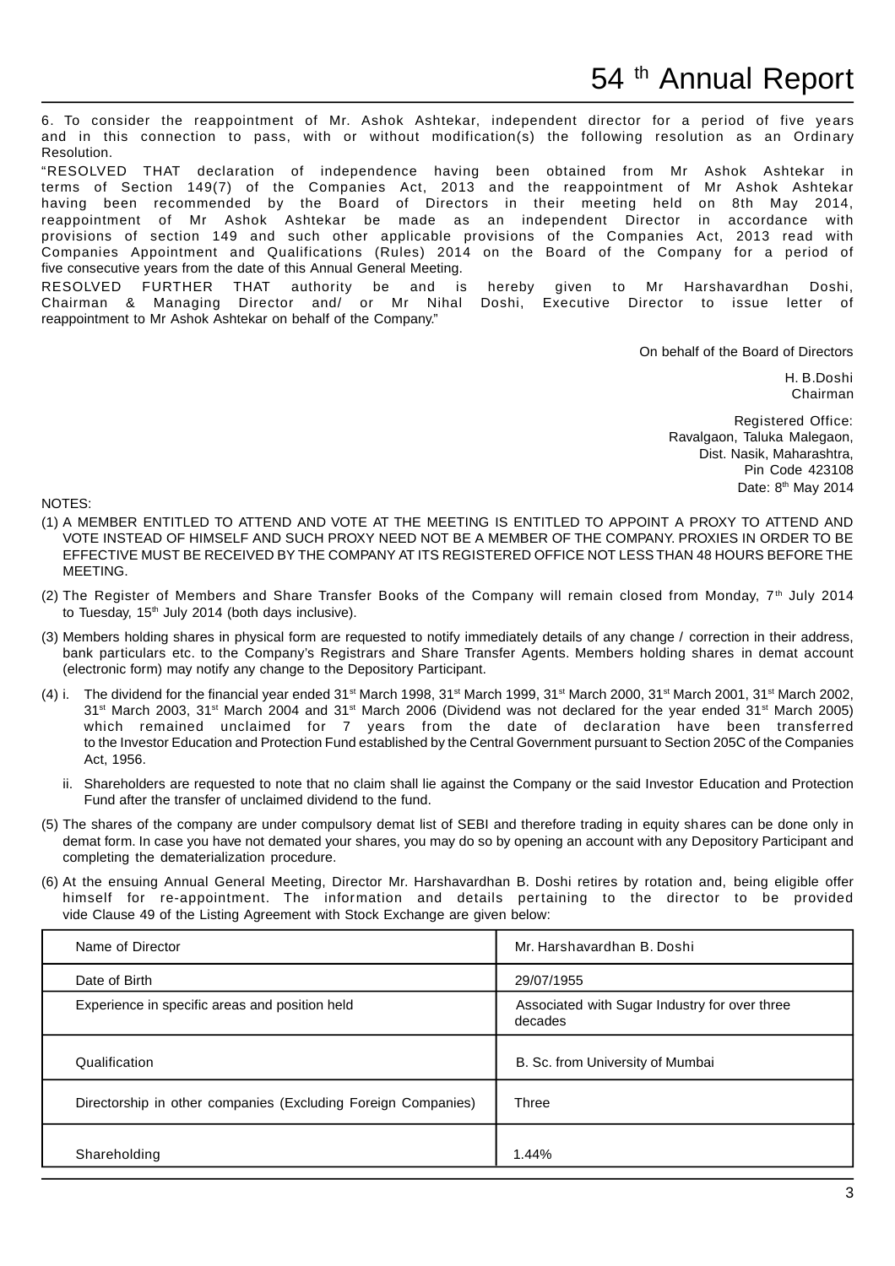**6. To consider the reappointment of Mr. Ashok Ashtekar, independent director for a period of five years and in this connection to pass, with or without modification(s) the following resolution as an Ordinary Resolution.**

**"RESOLVED THAT declaration of independence having been obtained from Mr Ashok Ashtekar in terms of Section 149(7) of the Companies Act, 2013 and the reappointment of Mr Ashok Ashtekar having been recommended by the Board of Directors in their meeting held on 8th May 2014, reappointment of Mr Ashok Ashtekar be made as an independent Director in accordance with provisions of section 149 and such other applicable provisions of the Companies Act, 2013 read with Companies Appointment and Qualifications (Rules) 2014 on the Board of the Company for a period of five consecutive years from the date of this Annual General Meeting.**

**RESOLVED FURTHER THAT authority be and is hereby given to Mr Harshavardhan Doshi, Chairman & Managing Director and/ or Mr Nihal Doshi, Executive Director to issue letter of reappointment to Mr Ashok Ashtekar on behalf of the Company."**

**On behalf of the Board of Directors**

**H. B.Doshi Chairman**

**Registered Office: Ravalgaon, Taluka Malegaon, Dist. Nasik, Maharashtra, Pin Code 423108 Date: 8th May 2014**

### **NOTES:**

- **(1) A MEMBER ENTITLED TO ATTEND AND VOTE AT THE MEETING IS ENTITLED TO APPOINT A PROXY TO ATTEND AND VOTE INSTEAD OF HIMSELF AND SUCH PROXY NEED NOT BE A MEMBER OF THE COMPANY. PROXIES IN ORDER TO BE EFFECTIVE MUST BE RECEIVED BY THE COMPANY AT ITS REGISTERED OFFICE NOT LESS THAN 48 HOURS BEFORE THE MEETING.**
- **(2) The Register of Members and Share Transfer Books of the Company will remain closed from Monday, 7th July 2014 to Tuesday, 15th July 2014 (both days inclusive).**
- **(3) Members holding shares in physical form are requested to notify immediately details of any change / correction in their address, bank particulars etc. to the Company's Registrars and Share Transfer Agents. Members holding shares in demat account (electronic form) may notify any change to the Depository Participant.**
- **(4) i. The dividend for the financial year ended 31st March 1998, 31st March 1999, 31st March 2000, 31st March 2001, 31st March 2002, 31st March 2003, 31st March 2004 and 31st March 2006 (Dividend was not declared for the year ended 31st March 2005) which remained unclaimed for 7 years from the date of declaration have been transferred to the Investor Education and Protection Fund established by the Central Government pursuant to Section 205C of the Companies Act, 1956.**
	- **ii. Shareholders are requested to note that no claim shall lie against the Company or the said Investor Education and Protection Fund after the transfer of unclaimed dividend to the fund.**
- **(5) The shares of the company are under compulsory demat list of SEBI and therefore trading in equity shares can be done only in demat form. In case you have not demated your shares, you may do so by opening an account with any Depository Participant and completing the dematerialization procedure.**
- **(6) At the ensuing Annual General Meeting, Director Mr. Harshavardhan B. Doshi retires by rotation and, being eligible offer himself for re-appointment. The information and details pertaining to the director to be provided vide Clause 49 of the Listing Agreement with Stock Exchange are given below:**

| Name of Director                                              | Mr. Harshavardhan B. Doshi                               |
|---------------------------------------------------------------|----------------------------------------------------------|
| Date of Birth                                                 | 29/07/1955                                               |
| Experience in specific areas and position held                | Associated with Sugar Industry for over three<br>decades |
| Qualification                                                 | B. Sc. from University of Mumbai                         |
| Directorship in other companies (Excluding Foreign Companies) | Three                                                    |
| Shareholding                                                  | 1.44%                                                    |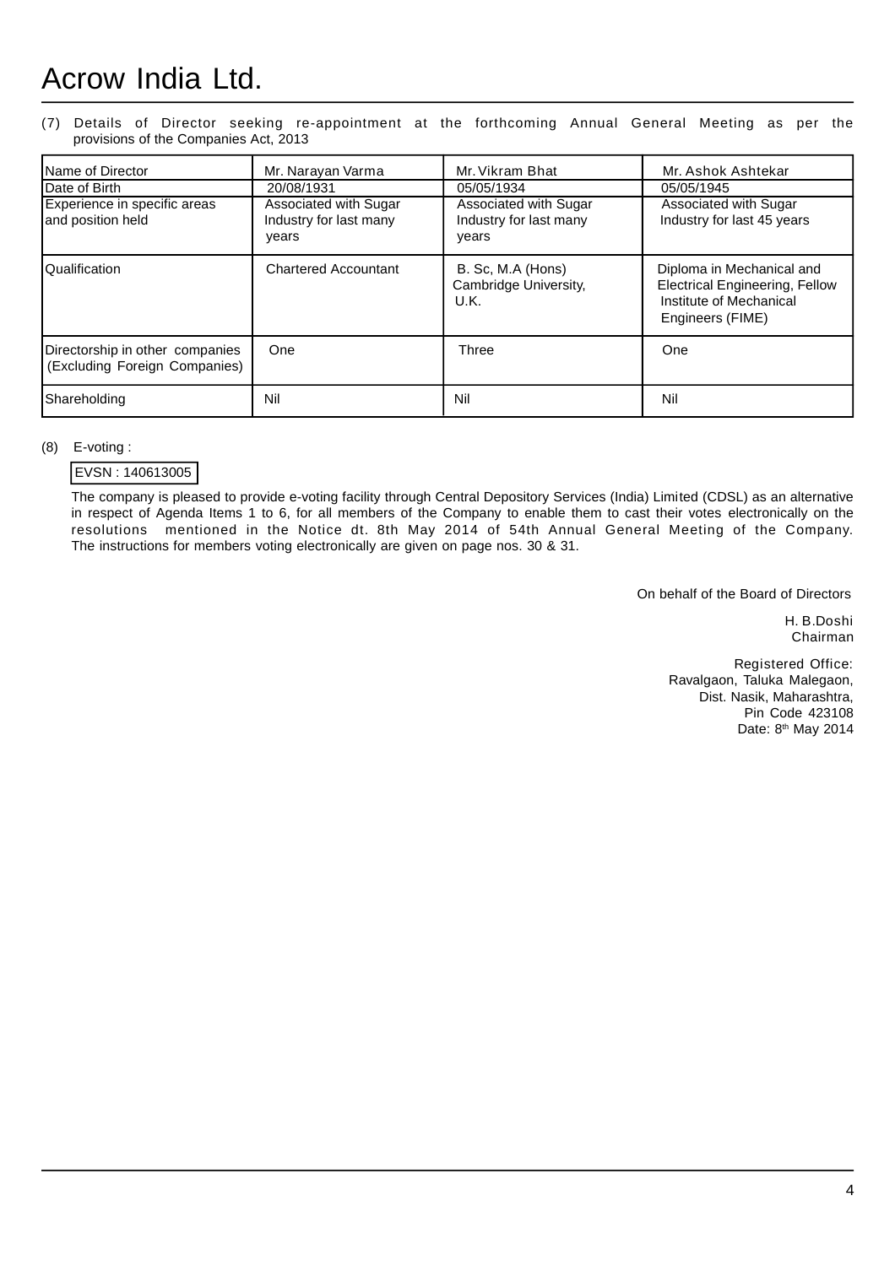# **Acrow India Ltd.**

**(7) Details of Director seeking re-appointment at the forthcoming Annual General Meeting as per the provisions of the Companies Act, 2013**

| IName of Director                                                | Mr. Narayan Varma               | <b>Mr. Vikram Bhat</b>                             | Mr. Ashok Ashtekar                                                                                         |
|------------------------------------------------------------------|---------------------------------|----------------------------------------------------|------------------------------------------------------------------------------------------------------------|
| <b>IDate of Birth</b>                                            | 20/08/1931                      | 05/05/1934                                         | 05/05/1945                                                                                                 |
| Experience in specific areas                                     | Associated with Sugar           | Associated with Sugar                              | Associated with Sugar                                                                                      |
| and position held                                                | Industry for last many<br>years | Industry for last many<br>years                    | Industry for last 45 years                                                                                 |
| Qualification                                                    | <b>Chartered Accountant</b>     | B. Sc, M.A (Hons)<br>Cambridge University,<br>U.K. | Diploma in Mechanical and<br>Electrical Engineering, Fellow<br>Institute of Mechanical<br>Engineers (FIME) |
| Directorship in other companies<br>(Excluding Foreign Companies) | One                             | Three                                              | One                                                                                                        |
| Shareholding                                                     | Nil                             | Nil                                                | Nil                                                                                                        |

**(8) E-voting :**

### **EVSN : 140613005**

**The company is pleased to provide e-voting facility through Central Depository Services (India) Limited (CDSL) as an alternative in respect of Agenda Items 1 to 6, for all members of the Company to enable them to cast their votes electronically on the resolutions mentioned in the Notice dt. 8th May 2014 of 54th Annual General Meeting of the Company. The instructions for members voting electronically are given on page nos. 30 & 31.**

**On behalf of the Board of Directors**

**H. B.Doshi Chairman**

### **Registered Office:**

**Ravalgaon, Taluka Malegaon, Dist. Nasik, Maharashtra, Pin Code 423108 Date: 8th May 2014**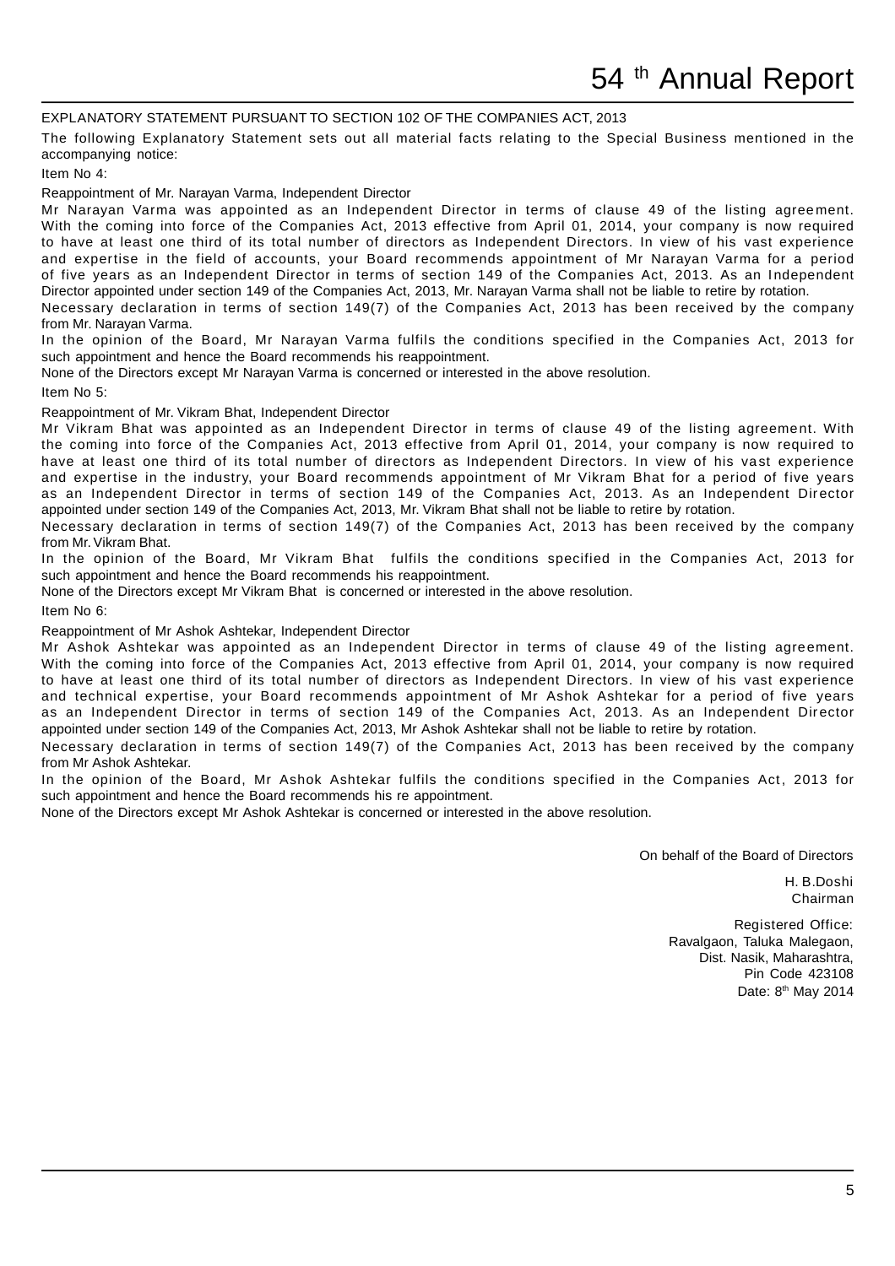### **EXPLANATORY STATEMENT PURSUANT TO SECTION 102 OF THE COMPANIES ACT, 2013**

**The following Explanatory Statement sets out all material facts relating to the Special Business mentioned in the accompanying notice:**

### **Item No 4:**

**Reappointment of Mr. Narayan Varma, Independent Director**

**Mr Narayan Varma was appointed as an Independent Director in terms of clause 49 of the listing agree ment. With the coming into force of the Companies Act, 2013 effective from April 01, 2014, your company is now required to have at least one third of its total number of directors as Independent Directors. In view of his vast experience and expertise in the field of accounts, your Board recommends appointment of Mr Narayan Varma for a period of five years as an Independent Director in terms of section 149 of the Companies Act, 2013. As an Independent Director appointed under section 149 of the Companies Act, 2013, Mr. Narayan Varma shall not be liable to retire by rotation. Necessary declaration in terms of section 149(7) of the Companies Act, 2013 has been received by the company from Mr. Narayan Varma.**

**In the opinion of the Board, Mr Narayan Varma fulfils the conditions specified in the Companies Act, 2013 for such appointment and hence the Board recommends his reappointment.**

**None of the Directors except Mr Narayan Varma is concerned or interested in the above resolution.**

### **Item No 5:**

**Reappointment of Mr. Vikram Bhat, Independent Director**

**Mr Vikram Bhat was appointed as an Independent Director in terms of clause 49 of the listing agreement. With the coming into force of the Companies Act, 2013 effective from April 01, 2014, your company is now required to have at least one third of its total number of directors as Independent Directors. In view of his vast experience and expertise in the industry, your Board recommends appointment of Mr Vikram Bhat for a period of five years as an Independent Director in terms of section 149 of the Companies Act, 2013. As an Independent Dir ector appointed under section 149 of the Companies Act, 2013, Mr. Vikram Bhat shall not be liable to retire by rotation.**

**Necessary declaration in terms of section 149(7) of the Companies Act, 2013 has been received by the company from Mr. Vikram Bhat.**

**In the opinion of the Board, Mr Vikram Bhat fulfils the conditions specified in the Companies Act, 2013 for such appointment and hence the Board recommends his reappointment.**

**None of the Directors except Mr Vikram Bhat is concerned or interested in the above resolution.**

### **Item No 6:**

**Reappointment of Mr Ashok Ashtekar, Independent Director**

**Mr Ashok Ashtekar was appointed as an Independent Director in terms of clause 49 of the listing agreement. With the coming into force of the Companies Act, 2013 effective from April 01, 2014, your company is now required to have at least one third of its total number of directors as Independent Directors. In view of his vast experience and technical expertise, your Board recommends appointment of Mr Ashok Ashtekar for a period of five years as an Independent Director in terms of section 149 of the Companies Act, 2013. As an Independent Dir ector appointed under section 149 of the Companies Act, 2013, Mr Ashok Ashtekar shall not be liable to retire by rotation.**

**Necessary declaration in terms of section 149(7) of the Companies Act, 2013 has been received by the company from Mr Ashok Ashtekar.**

In the opinion of the Board, Mr Ashok Ashtekar fulfils the conditions specified in the Companies Act, 2013 for **such appointment and hence the Board recommends his re appointment.**

**None of the Directors except Mr Ashok Ashtekar is concerned or interested in the above resolution.**

**On behalf of the Board of Directors**

**H. B.Doshi Chairman**

**Registered Office: Ravalgaon, Taluka Malegaon, Dist. Nasik, Maharashtra, Pin Code 423108 Date: 8th May 2014**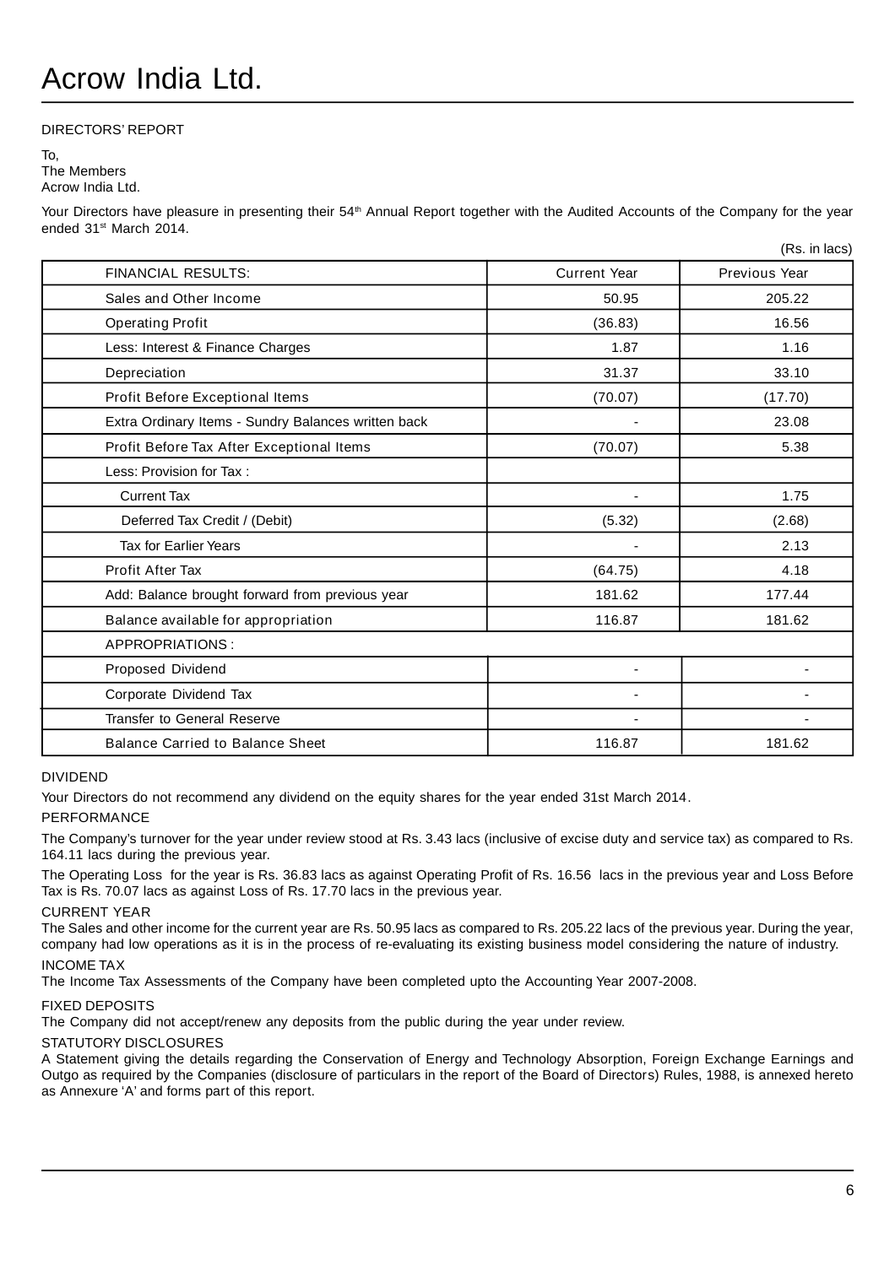### **DIRECTORS' REPORT**

### **To,**

**The Members Acrow India Ltd.**

**Your Directors have pleasure in presenting their 54th Annual Report together with the Audited Accounts of the Company for the year ended 31st March 2014.**

|                                                     |                          | (Rs. in lacs)        |
|-----------------------------------------------------|--------------------------|----------------------|
| <b>FINANCIAL RESULTS:</b>                           | <b>Current Year</b>      | <b>Previous Year</b> |
| <b>Sales and Other Income</b>                       | 50.95                    | 205.22               |
| <b>Operating Profit</b>                             | (36.83)                  | 16.56                |
| Less: Interest & Finance Charges                    | 1.87                     | 1.16                 |
| Depreciation                                        | 31.37                    | 33.10                |
| <b>Profit Before Exceptional Items</b>              | (70.07)                  | (17.70)              |
| Extra Ordinary Items - Sundry Balances written back | $\overline{\phantom{a}}$ | 23.08                |
| Profit Before Tax After Exceptional Items           | (70.07)                  | 5.38                 |
| Less: Provision for Tax:                            |                          |                      |
| <b>Current Tax</b>                                  | $\blacksquare$           | 1.75                 |
| Deferred Tax Credit / (Debit)                       | (5.32)                   | (2.68)               |
| Tax for Earlier Years                               | $\overline{\phantom{a}}$ | 2.13                 |
| <b>Profit After Tax</b>                             | (64.75)                  | 4.18                 |
| Add: Balance brought forward from previous year     | 181.62                   | 177.44               |
| <b>Balance available for appropriation</b>          | 116.87                   | 181.62               |
| <b>APPROPRIATIONS:</b>                              |                          |                      |
| Proposed Dividend                                   | $\overline{\phantom{a}}$ |                      |
| Corporate Dividend Tax                              | $\blacksquare$           |                      |
| Transfer to General Reserve                         |                          |                      |
| <b>Balance Carried to Balance Sheet</b>             | 116.87                   | 181.62               |

### **DIVIDEND**

**Your Directors do not recommend any dividend on the equity shares for the year ended 31st March 2014.**

### **PERFORMANCE**

**The Company's turnover for the year under review stood at Rs. 3.43 lacs (inclusive of excise duty and service tax) as compared to Rs. 164.11 lacs during the previous year.**

**The Operating Loss for the year is Rs. 36.83 lacs as against Operating Profit of Rs. 16.56 lacs in the previous year and Loss Before Tax is Rs. 70.07 lacs as against Loss of Rs. 17.70 lacs in the previous year.**

### **CURRENT YEAR**

**The Sales and other income for the current year are Rs. 50.95 lacs as compared to Rs. 205.22 lacs of the previous year. During the year, company had low operations as it is in the process of re-evaluating its existing business model considering the nature of industry.**

### **INCOME TAX**

**The Income Tax Assessments of the Company have been completed upto the Accounting Year 2007-2008.**

### **FIXED DEPOSITS**

**The Company did not accept/renew any deposits from the public during the year under review.**

### **STATUTORY DISCLOSURES**

**A Statement giving the details regarding the Conservation of Energy and Technology Absorption, Foreign Exchange Earnings and Outgo as required by the Companies (disclosure of particulars in the report of the Board of Directors) Rules, 1988, is annexed hereto as Annexure 'A' and forms part of this report.**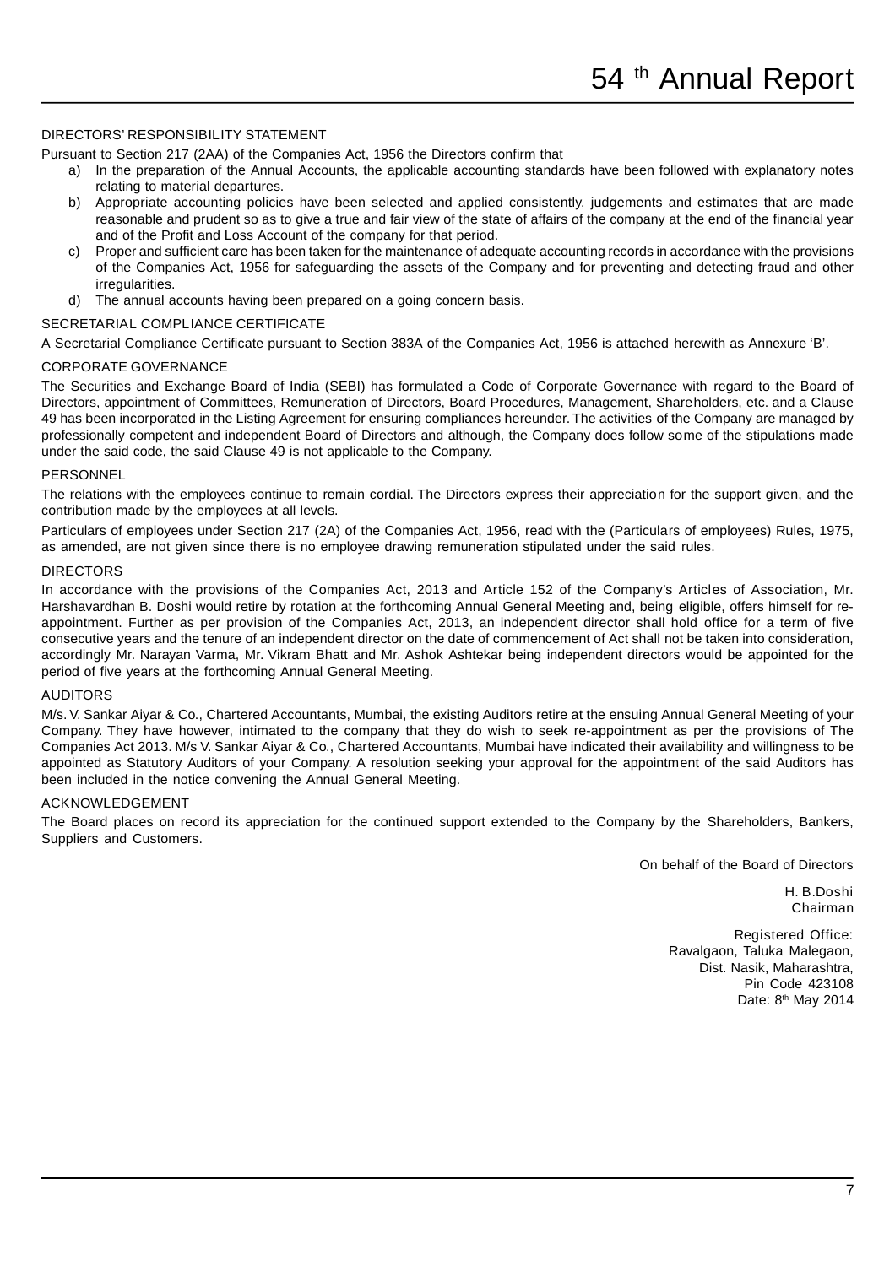### **DIRECTORS' RESPONSIBILITY STATEMENT**

**Pursuant to Section 217 (2AA) of the Companies Act, 1956 the Directors confirm that**

- **a) In the preparation of the Annual Accounts, the applicable accounting standards have been followed with explanatory notes relating to material departures.**
- **b) Appropriate accounting policies have been selected and applied consistently, judgements and estimates that are made reasonable and prudent so as to give a true and fair view of the state of affairs of the company at the end of the financial year and of the Profit and Loss Account of the company for that period.**
- **c) Proper and sufficient care has been taken for the maintenance of adequate accounting records in accordance with the provisions of the Companies Act, 1956 for safeguarding the assets of the Company and for preventing and detecting fraud and other irregularities.**
- **d) The annual accounts having been prepared on a going concern basis.**

### **SECRETARIAL COMPLIANCE CERTIFICATE**

**A Secretarial Compliance Certificate pursuant to Section 383A of the Companies Act, 1956 is attached herewith as Annexure 'B'.**

### **CORPORATE GOVERNANCE**

**The Securities and Exchange Board of India (SEBI) has formulated a Code of Corporate Governance with regard to the Board of Directors, appointment of Committees, Remuneration of Directors, Board Procedures, Management, Shareholders, etc. and a Clause 49 has been incorporated in the Listing Agreement for ensuring compliances hereunder. The activities of the Company are managed by professionally competent and independent Board of Directors and although, the Company does follow some of the stipulations made under the said code, the said Clause 49 is not applicable to the Company.**

### **PERSONNEL**

**The relations with the employees continue to remain cordial. The Directors express their appreciation for the support given, and the contribution made by the employees at all levels.**

**Particulars of employees under Section 217 (2A) of the Companies Act, 1956, read with the (Particulars of employees) Rules, 1975, as amended, are not given since there is no employee drawing remuneration stipulated under the said rules.**

### **DIRECTORS**

**In accordance with the provisions of the Companies Act, 2013 and Article 152 of the Company's Articles of Association, Mr. Harshavardhan B. Doshi would retire by rotation at the forthcoming Annual General Meeting and, being eligible, offers himself for reappointment. Further as per provision of the Companies Act, 2013, an independent director shall hold office for a term of five consecutive years and the tenure of an independent director on the date of commencement of Act shall not be taken into consideration, accordingly Mr. Narayan Varma, Mr. Vikram Bhatt and Mr. Ashok Ashtekar being independent directors would be appointed for the period of five years at the forthcoming Annual General Meeting.**

### **AUDITORS**

**M/s. V. Sankar Aiyar & Co., Chartered Accountants, Mumbai, the existing Auditors retire at the ensuing Annual General Meeting of your Company. They have however, intimated to the company that they do wish to seek re-appointment as per the provisions of The Companies Act 2013. M/s V. Sankar Aiyar & Co., Chartered Accountants, Mumbai have indicated their availability and willingness to be appointed as Statutory Auditors of your Company. A resolution seeking your approval for the appointment of the said Auditors has been included in the notice convening the Annual General Meeting.**

### **ACKNOWLEDGEMENT**

**The Board places on record its appreciation for the continued support extended to the Company by the Shareholders, Bankers, Suppliers and Customers.**

**On behalf of the Board of Directors**

**H. B.Doshi Chairman**

**Registered Office: Ravalgaon, Taluka Malegaon, Dist. Nasik, Maharashtra, Pin Code 423108 Date: 8th May 2014**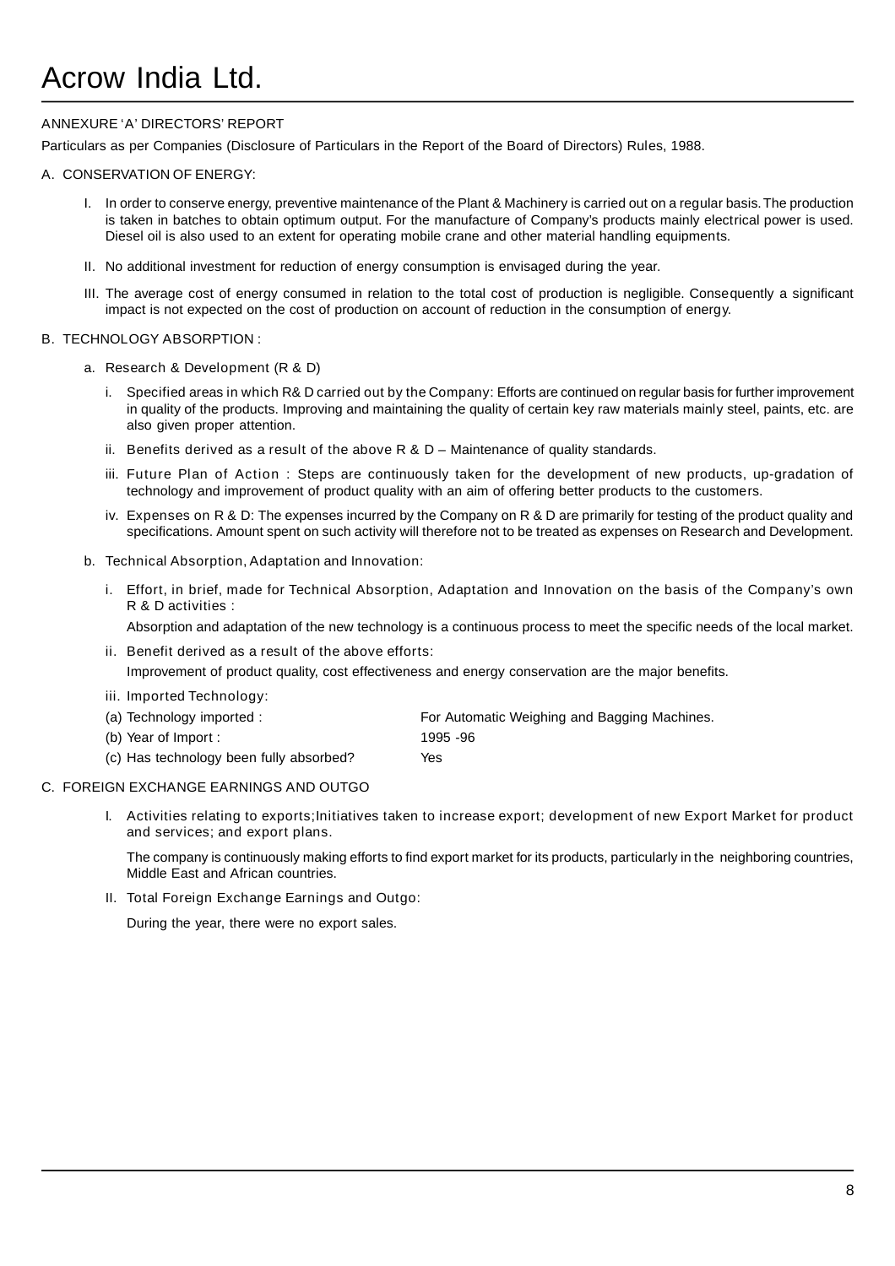### **ANNEXURE 'A' DIRECTORS' REPORT**

**Particulars as per Companies (Disclosure of Particulars in the Report of the Board of Directors) Rules, 1988.**

### **A. CONSERVATION OF ENERGY:**

- **I. In order to conserve energy, preventive maintenance of the Plant & Machinery is carried out on a regular basis. The production is taken in batches to obtain optimum output. For the manufacture of Company's products mainly electrical power is used. Diesel oil is also used to an extent for operating mobile crane and other material handling equipments.**
- **II. No additional investment for reduction of energy consumption is envisaged during the year.**
- **III. The average cost of energy consumed in relation to the total cost of production is negligible. Consequently a significant impact is not expected on the cost of production on account of reduction in the consumption of energy.**

### **B. TECHNOLOGY ABSORPTION :**

- **a. Research & Development (R & D)**
	- **i. Specified areas in which R& D carried out by the Company: Efforts are continued on regular basis for further improvement in quality of the products. Improving and maintaining the quality of certain key raw materials mainly steel, paints, etc. are also given proper attention.**
	- **ii. Benefits derived as a result of the above R & D – Maintenance of quality standards.**
	- **iii. Future Plan of Action : Steps are continuously taken for the development of new products, up-gradation of technology and improvement of product quality with an aim of offering better products to the customers.**
	- **iv. Expenses on R & D: The expenses incurred by the Company on R & D are primarily for testing of the product quality and specifications. Amount spent on such activity will therefore not to be treated as expenses on Research and Development.**

### **b. Technical Absorption, Adaptation and Innovation:**

**i. Effort, in brief, made for Technical Absorption, Adaptation and Innovation on the basis of the Company's own R & D activities :**

**Absorption and adaptation of the new technology is a continuous process to meet the specific needs of the local market.**

### **ii. Benefit derived as a result of the above efforts:**

**Improvement of product quality, cost effectiveness and energy conservation are the major benefits.**

### **iii. Imported Technology:**

| (a) Technology imported : | For Automatic Weighing and Bagging Machines. |
|---------------------------|----------------------------------------------|
| (b) Year of Import :      | 1995 -96                                     |

**(c) Has technology been fully absorbed? Yes**

### **C. FOREIGN EXCHANGE EARNINGS AND OUTGO**

**I. Activities relating to exports;Initiatives taken to increase export; development of new Export Market for product and services; and export plans.**

**The company is continuously making efforts to find export market for its products, particularly in the neighboring countries, Middle East and African countries.**

### **II. Total Foreign Exchange Earnings and Outgo:**

**During the year, there were no export sales.**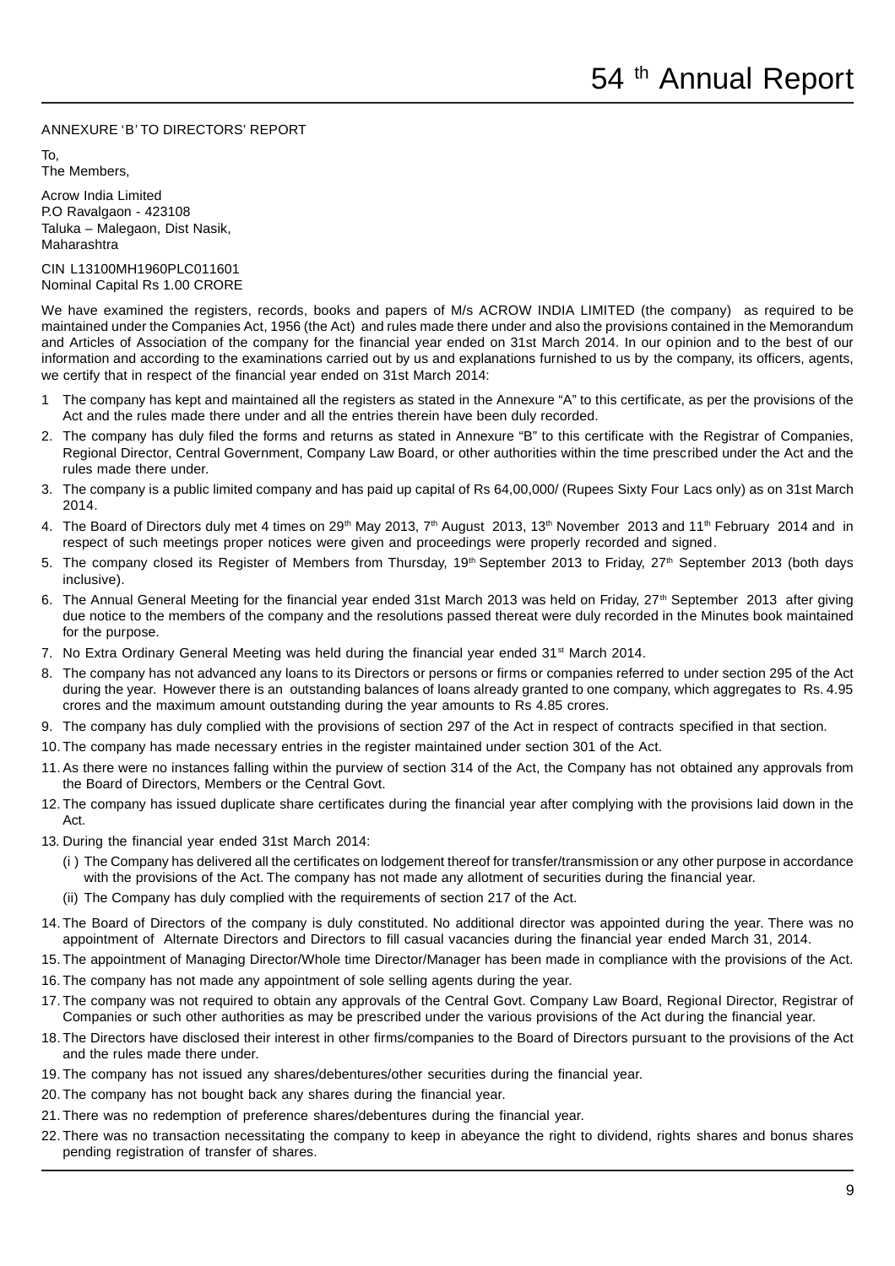### **ANNEXURE 'B' TO DIRECTORS' REPORT**

**To, The Members,**

**Acrow India Limited P.O Ravalgaon - 423108 Taluka – Malegaon, Dist Nasik, Maharashtra**

**CIN L13100MH1960PLC011601 Nominal Capital Rs 1.00 CRORE**

**We have examined the registers, records, books and papers of M/s ACROW INDIA LIMITED (the company) as required to be maintained under the Companies Act, 1956 (the Act) and rules made there under and also the provisions contained in the Memorandum and Articles of Association of the company for the financial year ended on 31st March 2014. In our opinion and to the best of our information and according to the examinations carried out by us and explanations furnished to us by the company, its officers, agents, we certify that in respect of the financial year ended on 31st March 2014:**

- **1 The company has kept and maintained all the registers as stated in the Annexure "A" to this certificate, as per the provisions of the Act and the rules made there under and all the entries therein have been duly recorded.**
- **2. The company has duly filed the forms and returns as stated in Annexure "B" to this certificate with the Registrar of Companies, Regional Director, Central Government, Company Law Board, or other authorities within the time prescribed under the Act and the rules made there under.**
- **3. The company is a public limited company and has paid up capital of Rs 64,00,000/ (Rupees Sixty Four Lacs only) as on 31st March 2014.**
- **4. The Board of Directors duly met 4 times on 29th May 2013, 7th August 2013, 13th November 2013 and 11th February 2014 and in respect of such meetings proper notices were given and proceedings were properly recorded and signed.**
- **5. The company closed its Register of Members from Thursday, 19th September 2013 to Friday, 27th September 2013 (both days inclusive).**
- **6. The Annual General Meeting for the financial year ended 31st March 2013 was held on Friday, 27th September 2013 after giving due notice to the members of the company and the resolutions passed thereat were duly recorded in the Minutes book maintained for the purpose.**
- **7. No Extra Ordinary General Meeting was held during the financial year ended 31st March 2014.**
- **8. The company has not advanced any loans to its Directors or persons or firms or companies referred to under section 295 of the Act during the year. However there is an outstanding balances of loans already granted to one company, which aggregates to Rs. 4.95 crores and the maximum amount outstanding during the year amounts to Rs 4.85 crores.**
- **9. The company has duly complied with the provisions of section 297 of the Act in respect of contracts specified in that section.**
- **10. The company has made necessary entries in the register maintained under section 301 of the Act.**
- **11.As there were no instances falling within the purview of section 314 of the Act, the Company has not obtained any approvals from the Board of Directors, Members or the Central Govt.**
- **12. The company has issued duplicate share certificates during the financial year after complying with the provisions laid down in the Act.**
- **13. During the financial year ended 31st March 2014:**
	- **(i ) The Company has delivered all the certificates on lodgement thereof for transfer/transmission or any other purpose in accordance with the provisions of the Act. The company has not made any allotment of securities during the financial year.**
	- **(ii) The Company has duly complied with the requirements of section 217 of the Act.**
- **14. The Board of Directors of the company is duly constituted. No additional director was appointed during the year. There was no appointment of Alternate Directors and Directors to fill casual vacancies during the financial year ended March 31, 2014.**
- **15. The appointment of Managing Director/Whole time Director/Manager has been made in compliance with the provisions of the Act.**
- **16. The company has not made any appointment of sole selling agents during the year.**
- **17. The company was not required to obtain any approvals of the Central Govt. Company Law Board, Regional Director, Registrar of Companies or such other authorities as may be prescribed under the various provisions of the Act during the financial year.**
- **18. The Directors have disclosed their interest in other firms/companies to the Board of Directors pursuant to the provisions of the Act and the rules made there under.**
- **19. The company has not issued any shares/debentures/other securities during the financial year.**
- **20. The company has not bought back any shares during the financial year.**
- **21. There was no redemption of preference shares/debentures during the financial year.**
- **22. There was no transaction necessitating the company to keep in abeyance the right to dividend, rights shares and bonus shares pending registration of transfer of shares.**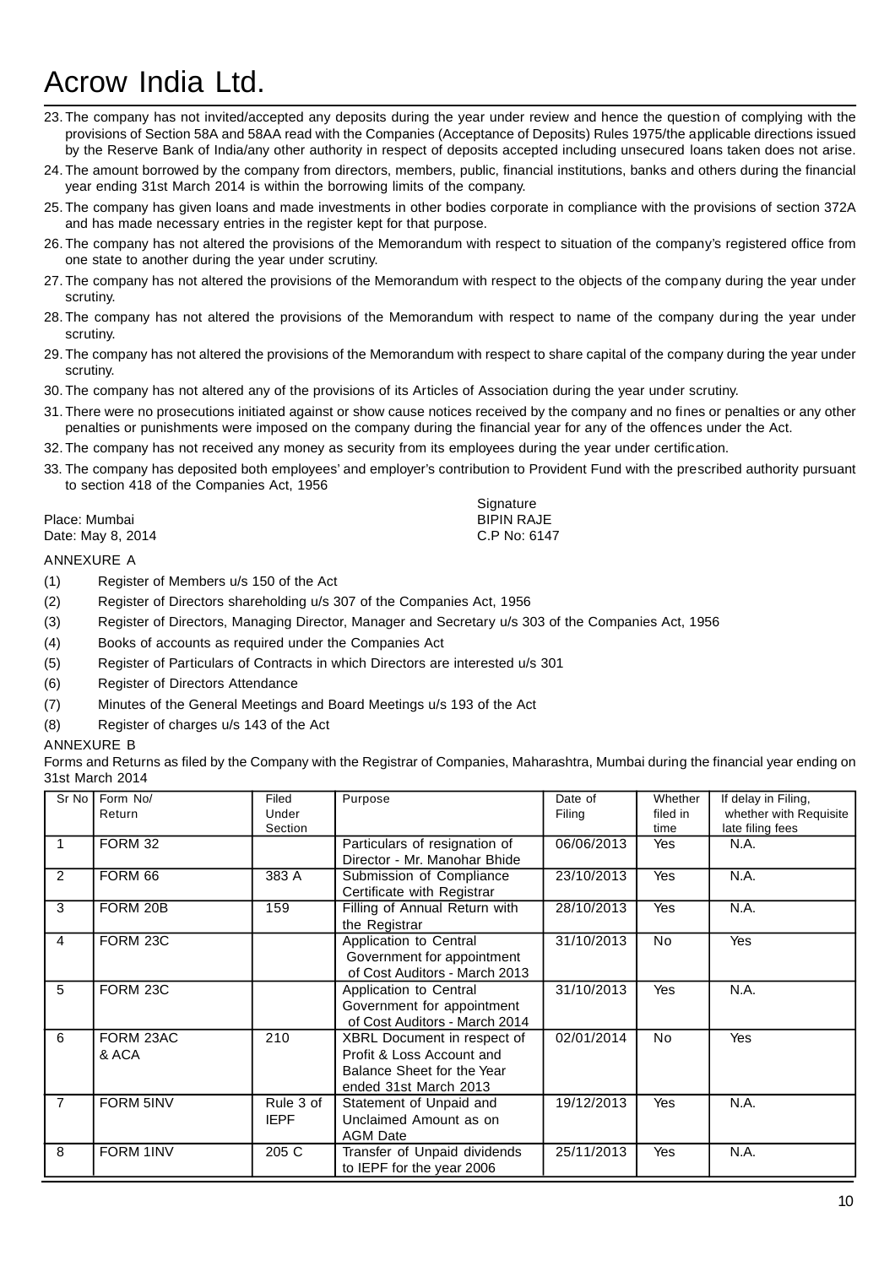# **Acrow India Ltd.**

- **23. The company has not invited/accepted any deposits during the year under review and hence the question of complying with the provisions of Section 58A and 58AA read with the Companies (Acceptance of Deposits) Rules 1975/the applicable directions issued by the Reserve Bank of India/any other authority in respect of deposits accepted including unsecured loans taken does not arise.**
- **24. The amount borrowed by the company from directors, members, public, financial institutions, banks and others during the financial year ending 31st March 2014 is within the borrowing limits of the company.**
- **25. The company has given loans and made investments in other bodies corporate in compliance with the provisions of section 372A and has made necessary entries in the register kept for that purpose.**
- **26. The company has not altered the provisions of the Memorandum with respect to situation of the company's registered office from one state to another during the year under scrutiny.**
- **27. The company has not altered the provisions of the Memorandum with respect to the objects of the company during the year under scrutiny.**
- **28. The company has not altered the provisions of the Memorandum with respect to name of the company during the year under scrutiny.**
- **29. The company has not altered the provisions of the Memorandum with respect to share capital of the company during the year under scrutiny.**
- **30. The company has not altered any of the provisions of its Articles of Association during the year under scrutiny.**
- **31. There were no prosecutions initiated against or show cause notices received by the company and no fines or penalties or any other penalties or punishments were imposed on the company during the financial year for any of the offences under the Act.**
- **32. The company has not received any money as security from its employees during the year under certification.**
- **33. The company has deposited both employees' and employer's contribution to Provident Fund with the prescribed authority pursuant to section 418 of the Companies Act, 1956**

**Signature**

**Place: Mumbai** 

**Date: May 8, 2014 C.P No: 6147**

### **ANNEXURE A**

- **(1) Register of Members u/s 150 of the Act**
- **(2) Register of Directors shareholding u/s 307 of the Companies Act, 1956**
- **(3) Register of Directors, Managing Director, Manager and Secretary u/s 303 of the Companies Act, 1956**
- **(4) Books of accounts as required under the Companies Act**
- **(5) Register of Particulars of Contracts in which Directors are interested u/s 301**
- **(6) Register of Directors Attendance**
- **(7) Minutes of the General Meetings and Board Meetings u/s 193 of the Act**
- **(8) Register of charges u/s 143 of the Act**

### **ANNEXURE B**

**Forms and Returns as filed by the Company with the Registrar of Companies, Maharashtra, Mumbai during the financial year ending on 31st March 2014**

| filed in<br>Under<br>Filing<br>Return<br>late filing fees<br>Section<br>time<br>FORM 32<br>$\sqrt{06/06/20}13$<br>Particulars of resignation of<br>N.A.<br>Yes<br>Director - Mr. Manohar Bhide<br>383 A<br>$\overline{2}$<br>FORM 66<br>23/10/2013<br><b>Yes</b><br>N.A.<br>Submission of Compliance<br>Certificate with Registrar<br><b>Yes</b><br>3<br>FORM 20B<br>159<br>Filling of Annual Return with<br>28/10/2013<br>N.A.<br>the Registrar | whether with Requisite |
|--------------------------------------------------------------------------------------------------------------------------------------------------------------------------------------------------------------------------------------------------------------------------------------------------------------------------------------------------------------------------------------------------------------------------------------------------|------------------------|
|                                                                                                                                                                                                                                                                                                                                                                                                                                                  |                        |
|                                                                                                                                                                                                                                                                                                                                                                                                                                                  |                        |
|                                                                                                                                                                                                                                                                                                                                                                                                                                                  |                        |
|                                                                                                                                                                                                                                                                                                                                                                                                                                                  |                        |
|                                                                                                                                                                                                                                                                                                                                                                                                                                                  |                        |
|                                                                                                                                                                                                                                                                                                                                                                                                                                                  |                        |
|                                                                                                                                                                                                                                                                                                                                                                                                                                                  |                        |
|                                                                                                                                                                                                                                                                                                                                                                                                                                                  |                        |
| FORM 23C<br>Yes<br>31/10/2013<br><b>No</b><br>Application to Central<br>4                                                                                                                                                                                                                                                                                                                                                                        |                        |
| Government for appointment                                                                                                                                                                                                                                                                                                                                                                                                                       |                        |
| of Cost Auditors - March 2013                                                                                                                                                                                                                                                                                                                                                                                                                    |                        |
| FORM 23C<br>5<br>31/10/2013<br>Yes<br>N.A.<br>Application to Central                                                                                                                                                                                                                                                                                                                                                                             |                        |
| Government for appointment                                                                                                                                                                                                                                                                                                                                                                                                                       |                        |
| of Cost Auditors - March 2014                                                                                                                                                                                                                                                                                                                                                                                                                    |                        |
| 210<br>6<br>FORM 23AC<br>02/01/2014<br><b>No</b><br>Yes<br>XBRL Document in respect of                                                                                                                                                                                                                                                                                                                                                           |                        |
| Profit & Loss Account and<br>& ACA                                                                                                                                                                                                                                                                                                                                                                                                               |                        |
| Balance Sheet for the Year                                                                                                                                                                                                                                                                                                                                                                                                                       |                        |
| ended 31st March 2013                                                                                                                                                                                                                                                                                                                                                                                                                            |                        |
| FORM 5INV<br>Rule 3 of<br>$\overline{7}$<br>19/12/2013<br>N.A.<br>Statement of Unpaid and<br>Yes                                                                                                                                                                                                                                                                                                                                                 |                        |
| Unclaimed Amount as on<br><b>IEPF</b>                                                                                                                                                                                                                                                                                                                                                                                                            |                        |
| <b>AGM Date</b>                                                                                                                                                                                                                                                                                                                                                                                                                                  |                        |
| 205 C<br>8<br><b>FORM 1INV</b><br>Transfer of Unpaid dividends<br>25/11/2013<br>Yes<br>N.A.                                                                                                                                                                                                                                                                                                                                                      |                        |
| to IEPF for the year 2006                                                                                                                                                                                                                                                                                                                                                                                                                        |                        |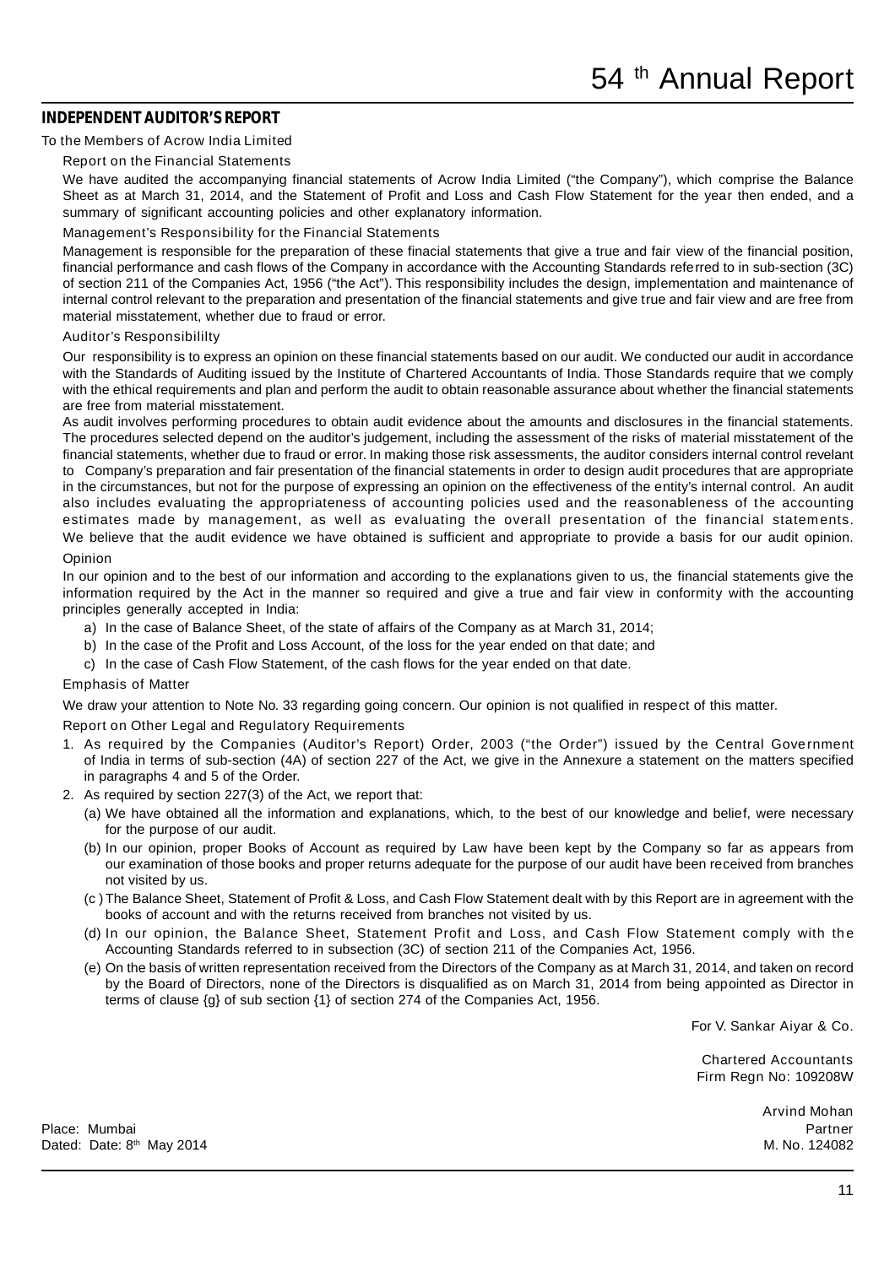### **INDEPENDENT AUDITOR'S REPORT**

### **To the Members of Acrow India Limited**

### **Report on the Financial Statements**

**We have audited the accompanying financial statements of Acrow India Limited ("the Company"), which comprise the Balance Sheet as at March 31, 2014, and the Statement of Profit and Loss and Cash Flow Statement for the year then ended, and a summary of significant accounting policies and other explanatory information.**

### **Management's Responsibility for the Financial Statements**

**Management is responsible for the preparation of these finacial statements that give a true and fair view of the financial position, financial performance and cash flows of the Company in accordance with the Accounting Standards referred to in sub-section (3C) of section 211 of the Companies Act, 1956 ("the Act"). This responsibility includes the design, implementation and maintenance of internal control relevant to the preparation and presentation of the financial statements and give true and fair view and are free from material misstatement, whether due to fraud or error.**

### **Auditor's Responsibililty**

**Our responsibility is to express an opinion on these financial statements based on our audit. We conducted our audit in accordance with the Standards of Auditing issued by the Institute of Chartered Accountants of India. Those Standards require that we comply** with the ethical requirements and plan and perform the audit to obtain reasonable assurance about whether the financial statements **are free from material misstatement.**

**As audit involves performing procedures to obtain audit evidence about the amounts and disclosures in the financial statements. The procedures selected depend on the auditor's judgement, including the assessment of the risks of material misstatement of the financial statements, whether due to fraud or error. In making those risk assessments, the auditor considers internal control revelant to Company's preparation and fair presentation of the financial statements in order to design audit procedures that are appropriate in the circumstances, but not for the purpose of expressing an opinion on the effectiveness of the entity's internal control. An audit also includes evaluating the appropriateness of accounting policies used and the reasonableness of the accounting estimates made by management, as well as evaluating the overall presentation of the financial statements. We believe that the audit evidence we have obtained is sufficient and appropriate to provide a basis for our audit opinion.**

### **Opinion**

**In our opinion and to the best of our information and according to the explanations given to us, the financial statements give the information required by the Act in the manner so required and give a true and fair view in conformity with the accounting principles generally accepted in India:**

- **a) In the case of Balance Sheet, of the state of affairs of the Company as at March 31, 2014;**
- **b) In the case of the Profit and Loss Account, of the loss for the year ended on that date; and**
- **c) In the case of Cash Flow Statement, of the cash flows for the year ended on that date.**

### **Emphasis of Matter**

**We draw your attention to Note No. 33 regarding going concern. Our opinion is not qualified in respect of this matter.**

### **Report on Other Legal and Regulatory Requirements**

- **1. As required by the Companies (Auditor's Report) Order, 2003 ("the Order") issued by the Central Government of India in terms of sub-section (4A) of section 227 of the Act, we give in the Annexure a statement on the matters specified in paragraphs 4 and 5 of the Order.**
- **2. As required by section 227(3) of the Act, we report that:**
	- **(a) We have obtained all the information and explanations, which, to the best of our knowledge and belief, were necessary for the purpose of our audit.**
	- **(b) In our opinion, proper Books of Account as required by Law have been kept by the Company so far as appears from our examination of those books and proper returns adequate for the purpose of our audit have been received from branches not visited by us.**
	- **(c ) The Balance Sheet, Statement of Profit & Loss, and Cash Flow Statement dealt with by this Report are in agreement with the books of account and with the returns received from branches not visited by us.**
	- **(d) In our opinion, the Balance Sheet, Statement Profit and Loss, and Cash Flow Statement comply with the Accounting Standards referred to in subsection (3C) of section 211 of the Companies Act, 1956.**
	- **(e) On the basis of written representation received from the Directors of the Company as at March 31, 2014, and taken on record by the Board of Directors, none of the Directors is disqualified as on March 31, 2014 from being appointed as Director in terms of clause {g} of sub section {1} of section 274 of the Companies Act, 1956.**

**For V. Sankar Aiyar & Co.**

 **Chartered Accountants Firm Regn No: 109208W**

 **Arvind Mohan**

**Place: Mumbai Partner Dated: Date: 8th May 2014 M. No. 124082**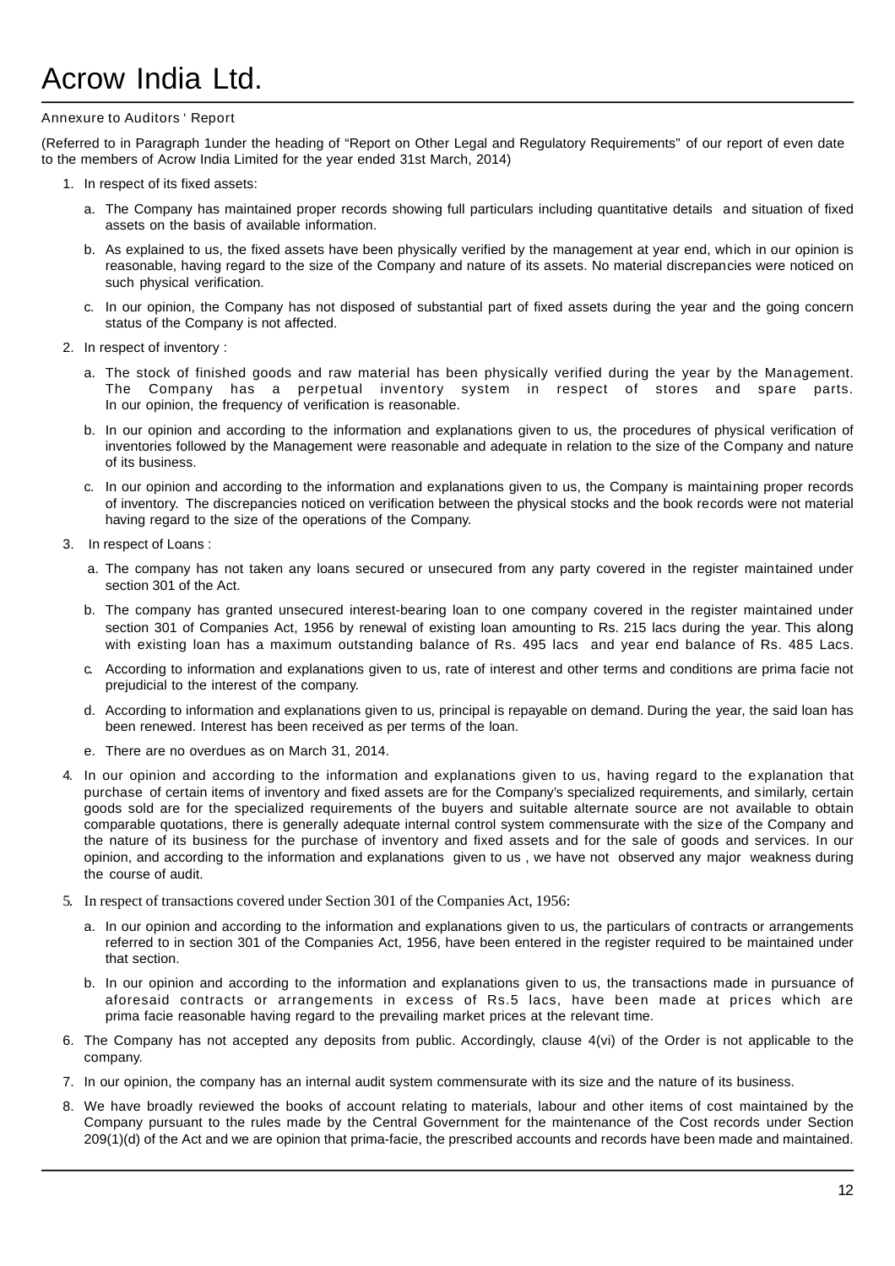### **Annexure to Auditors ' Report**

**(Referred to in Paragraph 1under the heading of "Report on Other Legal and Regulatory Requirements" of our report of even date to the members of Acrow India Limited for the year ended 31st March, 2014)**

- **1. In respect of its fixed assets:**
	- **a. The Company has maintained proper records showing full particulars including quantitative details and situation of fixed assets on the basis of available information.**
	- **b. As explained to us, the fixed assets have been physically verified by the management at year end, which in our opinion is reasonable, having regard to the size of the Company and nature of its assets. No material discrepancies were noticed on such physical verification.**
	- **c. In our opinion, the Company has not disposed of substantial part of fixed assets during the year and the going concern status of the Company is not affected.**
- **2. In respect of inventory :**
	- **a. The stock of finished goods and raw material has been physically verified during the year by the Management. The Company has a perpetual inventory system in respect of stores and spare parts. In our opinion, the frequency of verification is reasonable.**
	- **b. In our opinion and according to the information and explanations given to us, the procedures of physical verification of inventories followed by the Management were reasonable and adequate in relation to the size of the Company and nature of its business.**
	- **c. In our opinion and according to the information and explanations given to us, the Company is maintaining proper records of inventory. The discrepancies noticed on verification between the physical stocks and the book records were not material having regard to the size of the operations of the Company.**
- **3. In respect of Loans :**
	- **a. The company has not taken any loans secured or unsecured from any party covered in the register maintained under section 301 of the Act.**
	- **b. The company has granted unsecured interest-bearing loan to one company covered in the register maintained under section 301 of Companies Act, 1956 by renewal of existing loan amounting to Rs. 215 lacs during the year. This along with existing loan has a maximum outstanding balance of Rs. 495 lacs and year end balance of Rs. 485 Lacs.**
	- **c. According to information and explanations given to us, rate of interest and other terms and conditions are prima facie not prejudicial to the interest of the company.**
	- **d. According to information and explanations given to us, principal is repayable on demand. During the year, the said loan has been renewed. Interest has been received as per terms of the loan.**
	- **e. There are no overdues as on March 31, 2014.**
- **4. In our opinion and according to the information and explanations given to us, having regard to the explanation that purchase of certain items of inventory and fixed assets are for the Company's specialized requirements, and similarly, certain goods sold are for the specialized requirements of the buyers and suitable alternate source are not available to obtain comparable quotations, there is generally adequate internal control system commensurate with the size of the Company and the nature of its business for the purchase of inventory and fixed assets and for the sale of goods and services. In our opinion, and according to the information and explanations given to us , we have not observed any major weakness during the course of audit.**
- 5. In respect of transactions covered under Section 301 of the Companies Act, 1956:
	- **a. In our opinion and according to the information and explanations given to us, the particulars of contracts or arrangements referred to in section 301 of the Companies Act, 1956, have been entered in the register required to be maintained under that section.**
	- **b. In our opinion and according to the information and explanations given to us, the transactions made in pursuance of aforesaid contracts or arrangements in excess of Rs.5 lacs, have been made at prices which are prima facie reasonable having regard to the prevailing market prices at the relevant time.**
- **6. The Company has not accepted any deposits from public. Accordingly, clause 4(vi) of the Order is not applicable to the company.**
- **7. In our opinion, the company has an internal audit system commensurate with its size and the nature of its business.**
- **8. We have broadly reviewed the books of account relating to materials, labour and other items of cost maintained by the Company pursuant to the rules made by the Central Government for the maintenance of the Cost records under Section 209(1)(d) of the Act and we are opinion that prima-facie, the prescribed accounts and records have been made and maintained.**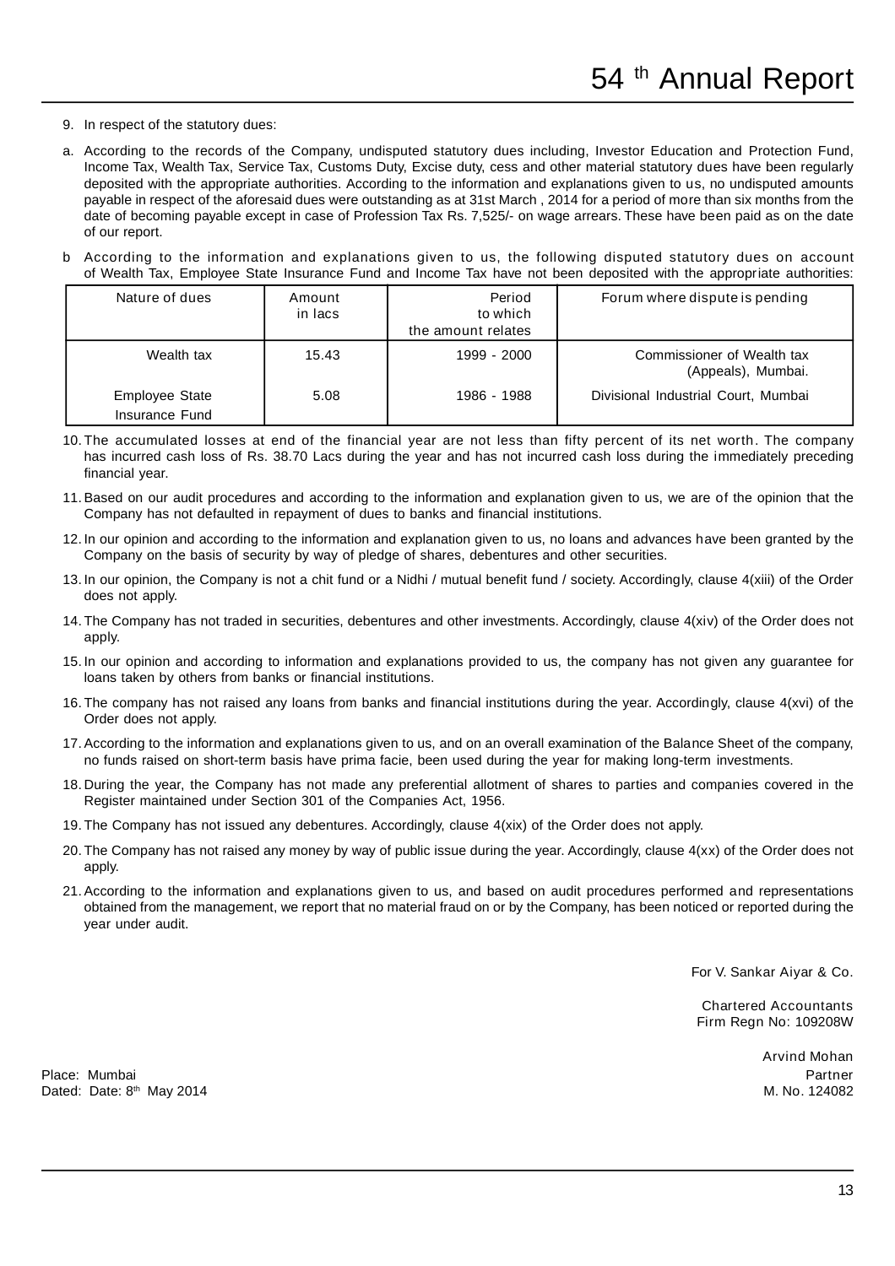### **9. In respect of the statutory dues:**

- **a. According to the records of the Company, undisputed statutory dues including, Investor Education and Protection Fund, Income Tax, Wealth Tax, Service Tax, Customs Duty, Excise duty, cess and other material statutory dues have been regularly deposited with the appropriate authorities. According to the information and explanations given to us, no undisputed amounts payable in respect of the aforesaid dues were outstanding as at 31st March , 2014 for a period of more than six months from the date of becoming payable except in case of Profession Tax Rs. 7,525/- on wage arrears. These have been paid as on the date of our report.**
- **b According to the information and explanations given to us, the following disputed statutory dues on account of Wealth Tax, Employee State Insurance Fund and Income Tax have not been deposited with the appropriate authorities:**

| Nature of dues                          | Amount<br>in lacs | <b>Period</b><br>to which<br>the amount relates | Forum where dispute is pending                   |
|-----------------------------------------|-------------------|-------------------------------------------------|--------------------------------------------------|
| Wealth tax                              | 15.43             | 1999 - 2000                                     | Commissioner of Wealth tax<br>(Appeals), Mumbai. |
| <b>Employee State</b><br>Insurance Fund | 5.08              | 1986 - 1988                                     | Divisional Industrial Court, Mumbai              |

- **10. The accumulated losses at end of the financial year are not less than fifty percent of its net worth. The company has incurred cash loss of Rs. 38.70 Lacs during the year and has not incurred cash loss during the immediately preceding financial year.**
- **11.Based on our audit procedures and according to the information and explanation given to us, we are of the opinion that the Company has not defaulted in repayment of dues to banks and financial institutions.**
- **12. In our opinion and according to the information and explanation given to us, no loans and advances have been granted by the Company on the basis of security by way of pledge of shares, debentures and other securities.**
- **13. In our opinion, the Company is not a chit fund or a Nidhi / mutual benefit fund / society. Accordingly, clause 4(xiii) of the Order does not apply.**
- **14. The Company has not traded in securities, debentures and other investments. Accordingly, clause 4(xiv) of the Order does not apply.**
- **15. In our opinion and according to information and explanations provided to us, the company has not given any guarantee for loans taken by others from banks or financial institutions.**
- **16. The company has not raised any loans from banks and financial institutions during the year. Accordingly, clause 4(xvi) of the Order does not apply.**
- **17.According to the information and explanations given to us, and on an overall examination of the Balance Sheet of the company, no funds raised on short-term basis have prima facie, been used during the year for making long-term investments.**
- **18. During the year, the Company has not made any preferential allotment of shares to parties and companies covered in the Register maintained under Section 301 of the Companies Act, 1956.**
- **19. The Company has not issued any debentures. Accordingly, clause 4(xix) of the Order does not apply.**
- **20. The Company has not raised any money by way of public issue during the year. Accordingly, clause 4(xx) of the Order does not apply.**
- **21.According to the information and explanations given to us, and based on audit procedures performed and representations obtained from the management, we report that no material fraud on or by the Company, has been noticed or reported during the year under audit.**

**For V. Sankar Aiyar & Co.**

 **Chartered Accountants Firm Regn No: 109208W**

 **Arvind Mohan**

**Place: Mumbai Partner**  $Data: Date: 8<sup>th</sup> May 2014$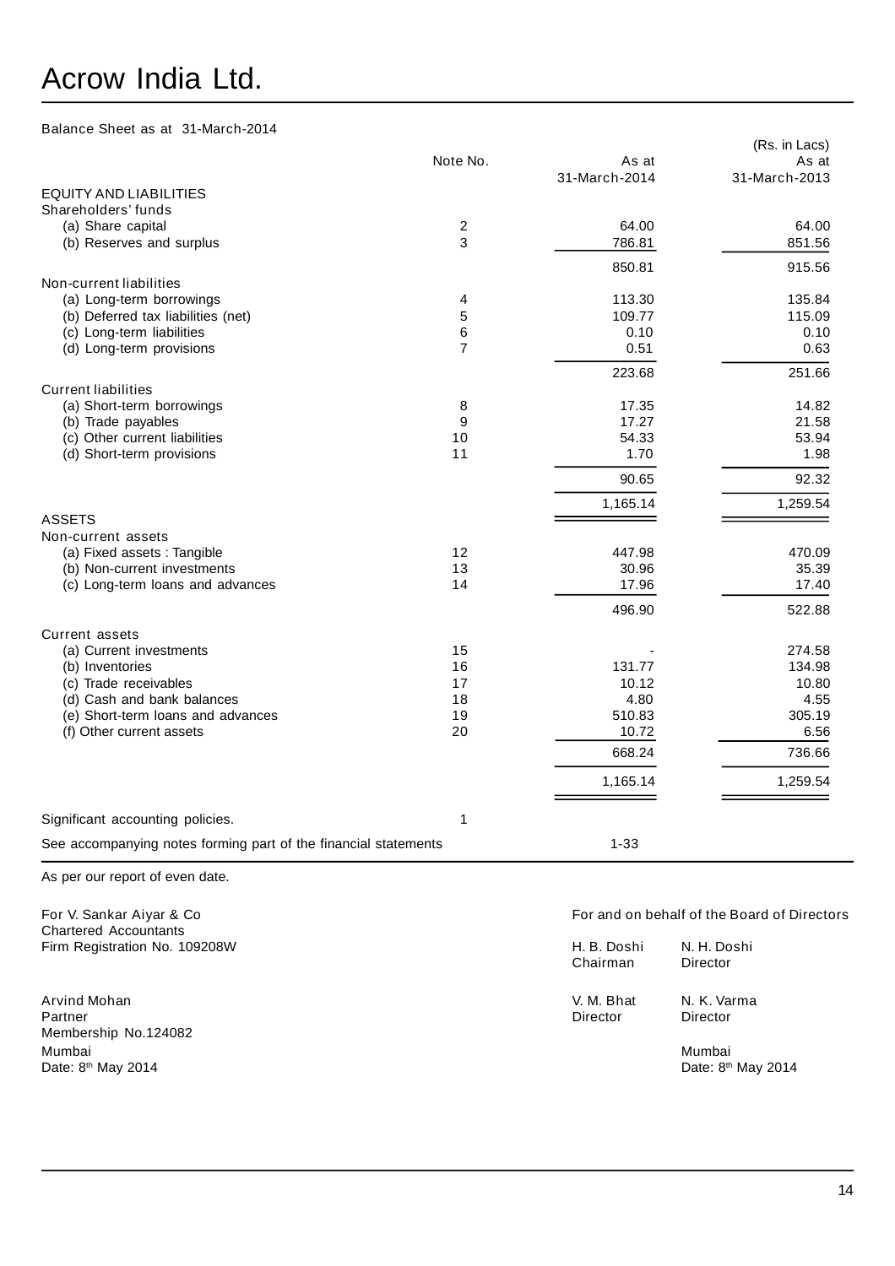### **Balance Sheet as at 31-March-2014**

|                                                                 | Note No.          | As at         | (Rs. in Lacs)<br>As at |
|-----------------------------------------------------------------|-------------------|---------------|------------------------|
|                                                                 |                   | 31-March-2014 | 31-March-2013          |
| <b>EQUITY AND LIABILITIES</b>                                   |                   |               |                        |
| Shareholders' funds                                             |                   |               |                        |
| (a) Share capital                                               | $\sqrt{2}$        | 64.00         | 64.00                  |
| (b) Reserves and surplus                                        | 3                 | 786.81        | 851.56                 |
|                                                                 |                   | 850.81        | 915.56                 |
| <b>Non-current liabilities</b>                                  |                   |               |                        |
| (a) Long-term borrowings                                        | 4                 | 113.30        | 135.84                 |
| (b) Deferred tax liabilities (net)                              | 5                 | 109.77        | 115.09                 |
| (c) Long-term liabilities                                       | 6                 | 0.10          | 0.10                   |
| (d) Long-term provisions                                        | 7                 | 0.51          | 0.63                   |
|                                                                 |                   | 223.68        | 251.66                 |
| <b>Current liabilities</b>                                      |                   |               |                        |
| (a) Short-term borrowings                                       | 8                 | 17.35         | 14.82                  |
| (b) Trade payables                                              | 9                 | 17.27         | 21.58                  |
| (c) Other current liabilities                                   | 10                | 54.33         | 53.94                  |
| (d) Short-term provisions                                       | 11                | 1.70          | 1.98                   |
|                                                                 |                   | 90.65         | 92.32                  |
|                                                                 |                   | 1,165.14      | 1,259.54               |
| <b>ASSETS</b>                                                   |                   |               |                        |
| <b>Non-current assets</b>                                       |                   |               |                        |
| (a) Fixed assets : Tangible                                     | $12 \overline{ }$ | 447.98        | 470.09                 |
| (b) Non-current investments                                     | 13                | 30.96         | 35.39                  |
| (c) Long-term loans and advances                                | 14                | 17.96         | 17.40                  |
|                                                                 |                   | 496.90        | 522.88                 |
| <b>Current assets</b>                                           |                   |               |                        |
| (a) Current investments                                         | 15                |               | 274.58                 |
| (b) Inventories                                                 | 16                | 131.77        | 134.98                 |
| (c) Trade receivables                                           | 17                | 10.12         | 10.80                  |
| (d) Cash and bank balances                                      | 18                | 4.80          | 4.55                   |
| (e) Short-term loans and advances                               | 19                | 510.83        | 305.19                 |
| (f) Other current assets                                        | 20                | 10.72         | 6.56                   |
|                                                                 |                   | 668.24        | 736.66                 |
|                                                                 |                   | 1,165.14      | 1,259.54               |
| Significant accounting policies.                                | 1                 |               |                        |
| See accompanying notes forming part of the financial statements |                   | $1 - 33$      |                        |

**As per our report of even date.**

**Chartered Accountants Firm Registration No. 109208W Highlands H** 

**Arvind Mohan**<br>Partner **Partner Director Director Membership No.124082 Mumbai Mumbai Date: 8th May 2014 Date: 8th May 2014**

### **For V. Sankar Aiyar & Co For and on behalf of the Board of Directors**

| H. B. Doshi<br>Chairman | N. H. Doshi<br>Director |  |
|-------------------------|-------------------------|--|
| V. M. Bhat              | N. K. Varma             |  |
| Director                | Director                |  |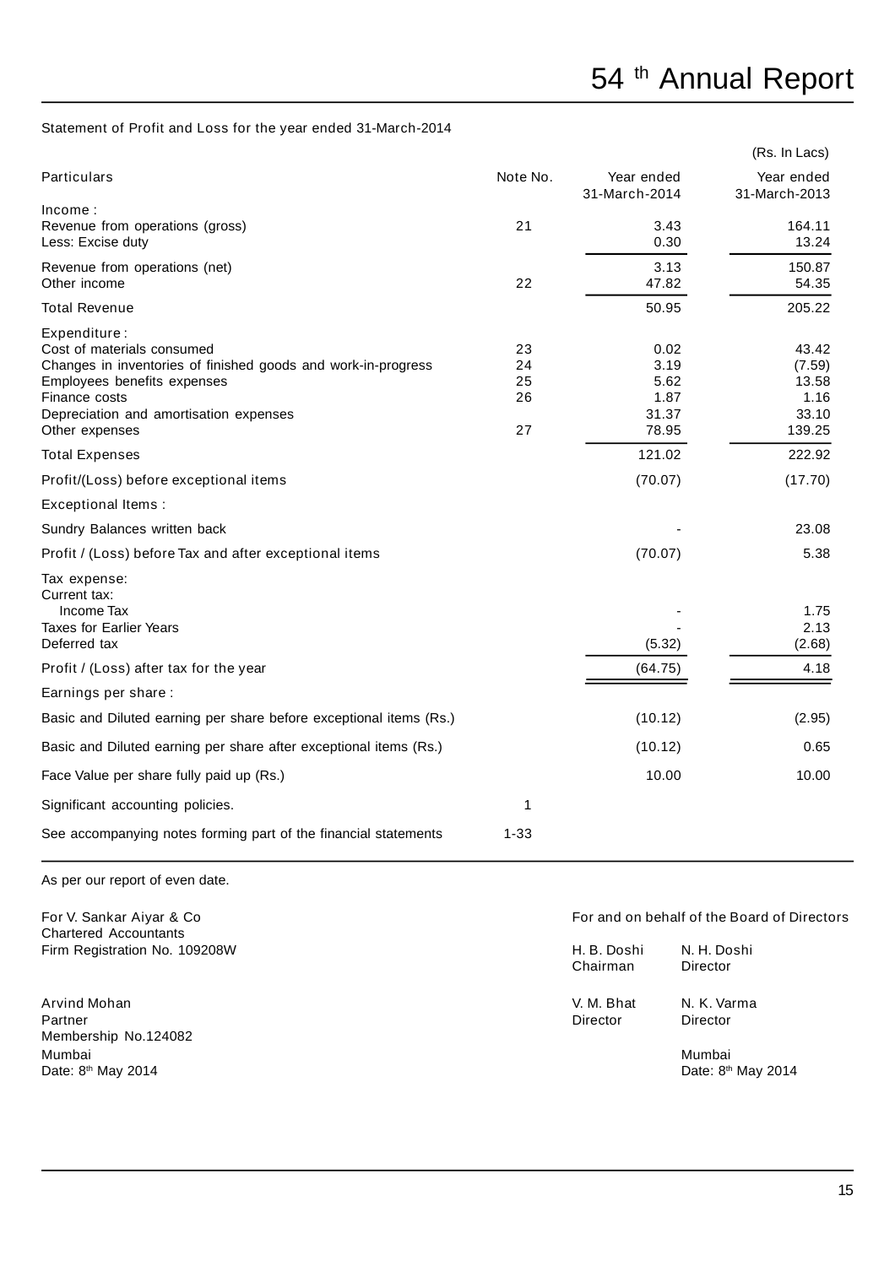### **Statement of Profit and Loss for the year ended 31-March-2014**

|                                                                    |          |                             | (Rs. In Lacs)               |
|--------------------------------------------------------------------|----------|-----------------------------|-----------------------------|
| <b>Particulars</b>                                                 | Note No. | Year ended<br>31-March-2014 | Year ended<br>31-March-2013 |
| lncome:                                                            |          |                             |                             |
| Revenue from operations (gross)<br>Less: Excise duty               | 21       | 3.43<br>0.30                | 164.11<br>13.24             |
| Revenue from operations (net)                                      |          | 3.13                        | 150.87                      |
| Other income                                                       | 22       | 47.82                       | 54.35                       |
| <b>Total Revenue</b>                                               |          | 50.95                       | 205.22                      |
| <b>Expenditure:</b>                                                |          |                             |                             |
| Cost of materials consumed                                         | 23       | 0.02                        | 43.42                       |
| Changes in inventories of finished goods and work-in-progress      | 24       | 3.19                        | (7.59)                      |
| Employees benefits expenses                                        | 25       | 5.62                        | 13.58                       |
| Finance costs                                                      | 26       | 1.87                        | 1.16                        |
| Depreciation and amortisation expenses<br>Other expenses           | 27       | 31.37<br>78.95              | 33.10<br>139.25             |
| <b>Total Expenses</b>                                              |          | 121.02                      | 222.92                      |
|                                                                    |          |                             |                             |
| Profit/(Loss) before exceptional items                             |          | (70.07)                     | (17.70)                     |
| <b>Exceptional Items:</b>                                          |          |                             |                             |
| Sundry Balances written back                                       |          |                             | 23.08                       |
| Profit / (Loss) before Tax and after exceptional items             |          | (70.07)                     | 5.38                        |
| Tax expense:<br>Current tax:                                       |          |                             |                             |
| Income Tax                                                         |          |                             | 1.75                        |
| <b>Taxes for Earlier Years</b><br>Deferred tax                     |          | (5.32)                      | 2.13<br>(2.68)              |
| Profit / (Loss) after tax for the year                             |          | (64.75)                     | 4.18                        |
| Earnings per share:                                                |          |                             |                             |
| Basic and Diluted earning per share before exceptional items (Rs.) |          | (10.12)                     | (2.95)                      |
| Basic and Diluted earning per share after exceptional items (Rs.)  |          | (10.12)                     | 0.65                        |
| Face Value per share fully paid up (Rs.)                           |          | 10.00                       | 10.00                       |
| Significant accounting policies.                                   | 1        |                             |                             |
| See accompanying notes forming part of the financial statements    | $1 - 33$ |                             |                             |

**As per our report of even date.**

**Chartered Accountants Firm Registration No. 109208W H. B. Doshi N. H. Doshi**

**Arvind Mohan V. M. Bhat N. K. Varma Partner Director Director Membership No.124082 Mumbai Mumbai Date: 8th May 2014 Date: 8th May 2014**

### **For V. Sankar Aiyar & Co For and on behalf of the Board of Directors**

| H. B. Doshi |  |
|-------------|--|
| Chairman    |  |

**Director**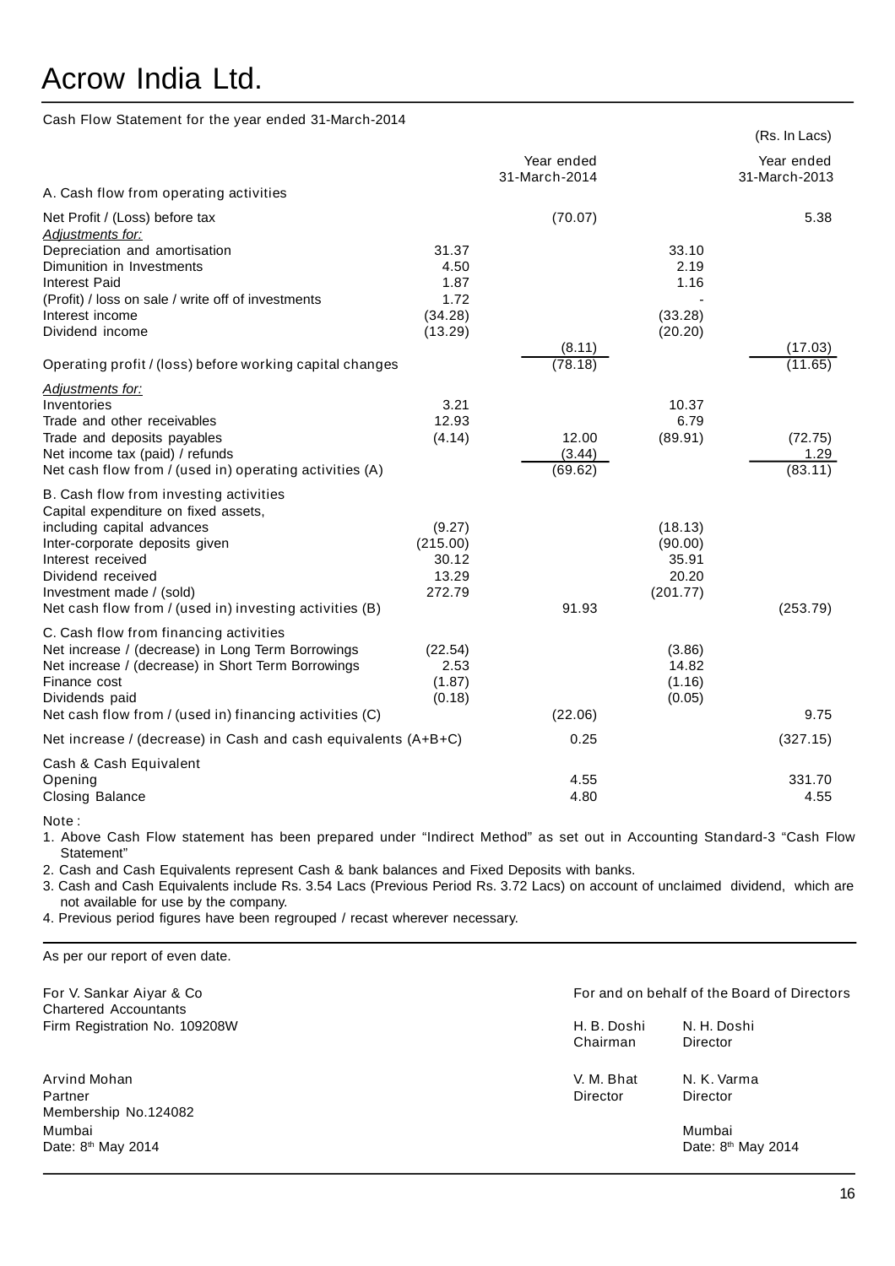# **Acrow India Ltd.**

### **Cash Flow Statement for the year ended 31-March-2014**

|                                                                       |              |                             |              | (N5. III LdG)               |
|-----------------------------------------------------------------------|--------------|-----------------------------|--------------|-----------------------------|
|                                                                       |              | Year ended<br>31-March-2014 |              | Year ended<br>31-March-2013 |
| A. Cash flow from operating activities                                |              |                             |              |                             |
| Net Profit / (Loss) before tax                                        |              | (70.07)                     |              | 5.38                        |
| <b>Adjustments for:</b>                                               |              |                             |              |                             |
| Depreciation and amortisation                                         | 31.37        |                             | 33.10        |                             |
| Dimunition in Investments                                             | 4.50<br>1.87 |                             | 2.19<br>1.16 |                             |
| Interest Paid                                                         | 1.72         |                             |              |                             |
| (Profit) / loss on sale / write off of investments<br>Interest income | (34.28)      |                             | (33.28)      |                             |
| Dividend income                                                       | (13.29)      |                             | (20.20)      |                             |
|                                                                       |              | (8.11)                      |              | (17.03)                     |
| Operating profit / (loss) before working capital changes              |              | (78.18)                     |              | (11.65)                     |
| Adjustments for:                                                      |              |                             |              |                             |
| Inventories                                                           | 3.21         |                             | 10.37        |                             |
| Trade and other receivables                                           | 12.93        |                             | 6.79         |                             |
| Trade and deposits payables                                           | (4.14)       | 12.00                       | (89.91)      | (72.75)                     |
| Net income tax (paid) / refunds                                       |              | (3.44)                      |              | 1.29                        |
| Net cash flow from / (used in) operating activities (A)               |              | (69.62)                     |              | (83.11)                     |
| B. Cash flow from investing activities                                |              |                             |              |                             |
| Capital expenditure on fixed assets,                                  |              |                             |              |                             |
| including capital advances                                            | (9.27)       |                             | (18.13)      |                             |
| Inter-corporate deposits given                                        | (215.00)     |                             | (90.00)      |                             |
| Interest received                                                     | 30.12        |                             | 35.91        |                             |
| Dividend received                                                     | 13.29        |                             | 20.20        |                             |
| Investment made / (sold)                                              | 272.79       |                             | (201.77)     |                             |
| Net cash flow from / (used in) investing activities (B)               |              | 91.93                       |              | (253.79)                    |
| C. Cash flow from financing activities                                |              |                             |              |                             |
| Net increase / (decrease) in Long Term Borrowings                     | (22.54)      |                             | (3.86)       |                             |
| Net increase / (decrease) in Short Term Borrowings                    | 2.53         |                             | 14.82        |                             |
| Finance cost                                                          | (1.87)       |                             | (1.16)       |                             |
| Dividends paid                                                        | (0.18)       |                             | (0.05)       |                             |
| Net cash flow from / (used in) financing activities (C)               |              | (22.06)                     |              | 9.75                        |
| Net increase / (decrease) in Cash and cash equivalents (A+B+C)        |              | 0.25                        |              | (327.15)                    |
| <b>Cash &amp; Cash Equivalent</b>                                     |              |                             |              |                             |
| Opening                                                               |              | 4.55                        |              | 331.70                      |
| Closing Balance                                                       |              | 4.80                        |              | 4.55                        |

**Note :**

**1. Above Cash Flow statement has been prepared under "Indirect Method" as set out in Accounting Standard-3 "Cash Flow Statement"**

**2. Cash and Cash Equivalents represent Cash & bank balances and Fixed Deposits with banks.**

**3. Cash and Cash Equivalents include Rs. 3.54 Lacs (Previous Period Rs. 3.72 Lacs) on account of unclaimed dividend, which are not available for use by the company.**

**4. Previous period figures have been regrouped / recast wherever necessary.**

**As per our report of even date.**

**Chartered Accountants Firm Registration No. 109208W H. B. Doshi N. H. Doshi**

**Arvind Mohan V. M. Bhat N. K. Varma Partner Director Director Membership No.124082 Mumbai Mumbai Date: 8th May 2014 Date: 8th May 2014**

### **For V. Sankar Aiyar & Co For and on behalf of the Board of Directors**

| H. B. Doshi |  |
|-------------|--|
| Chairman    |  |

**Director** 

**(Rs. In Lacs)**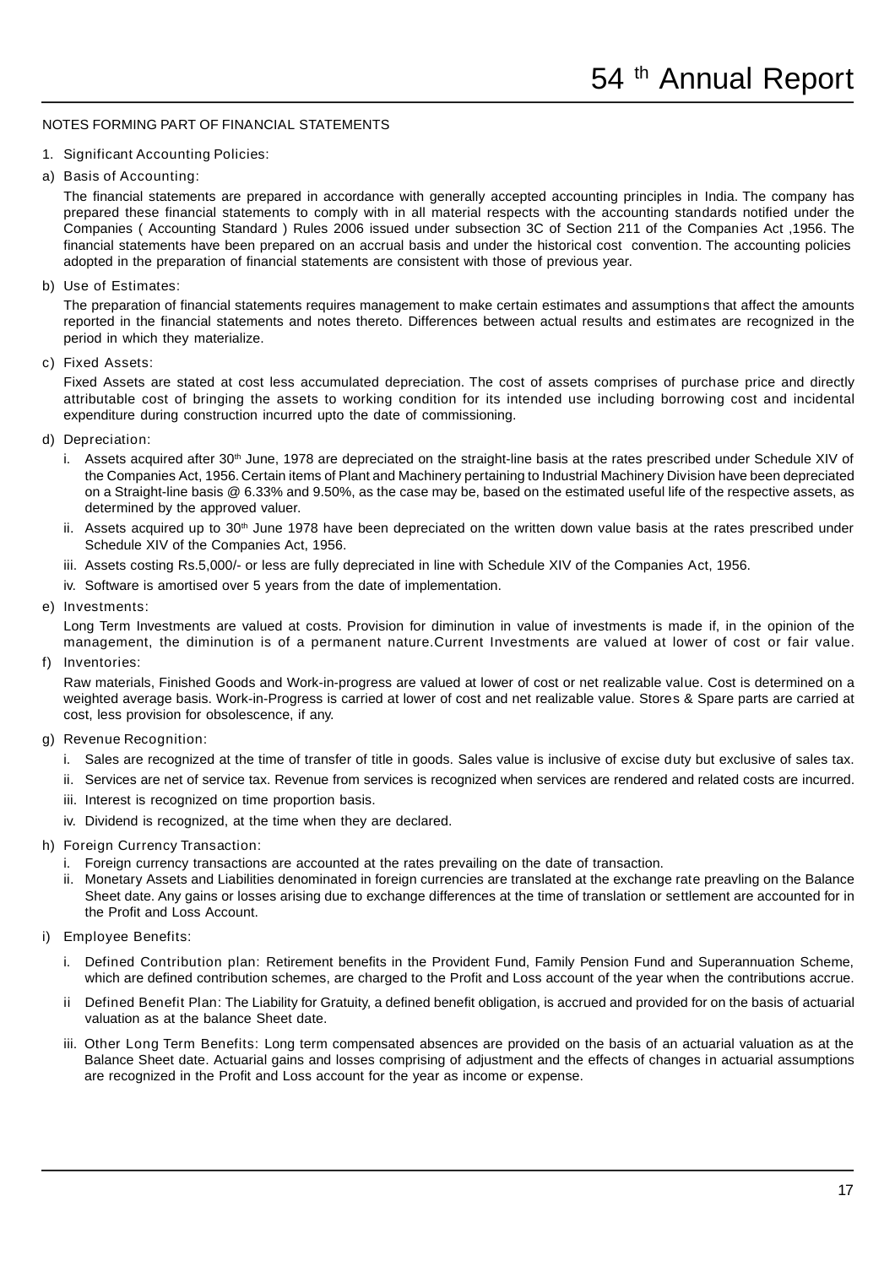### **NOTES FORMING PART OF FINANCIAL STATEMENTS**

### **1. Significant Accounting Policies:**

### **a) Basis of Accounting:**

**The financial statements are prepared in accordance with generally accepted accounting principles in India. The company has prepared these financial statements to comply with in all material respects with the accounting standards notified under the Companies ( Accounting Standard ) Rules 2006 issued under subsection 3C of Section 211 of the Companies Act ,1956. The financial statements have been prepared on an accrual basis and under the historical cost convention. The accounting policies adopted in the preparation of financial statements are consistent with those of previous year.**

### **b) Use of Estimates:**

**The preparation of financial statements requires management to make certain estimates and assumptions that affect the amounts reported in the financial statements and notes thereto. Differences between actual results and estimates are recognized in the period in which they materialize.**

### **c) Fixed Assets:**

**Fixed Assets are stated at cost less accumulated depreciation. The cost of assets comprises of purchase price and directly attributable cost of bringing the assets to working condition for its intended use including borrowing cost and incidental expenditure during construction incurred upto the date of commissioning.**

### **d) Depreciation:**

- **i. Assets acquired after 30th June, 1978 are depreciated on the straight-line basis at the rates prescribed under Schedule XIV of the Companies Act, 1956. Certain items of Plant and Machinery pertaining to Industrial Machinery Division have been depreciated on a Straight-line basis @ 6.33% and 9.50%, as the case may be, based on the estimated useful life of the respective assets, as determined by the approved valuer.**
- **ii. Assets acquired up to 30th June 1978 have been depreciated on the written down value basis at the rates prescribed under Schedule XIV of the Companies Act, 1956.**
- **iii. Assets costing Rs.5,000/- or less are fully depreciated in line with Schedule XIV of the Companies Act, 1956.**

**iv. Software is amortised over 5 years from the date of implementation.**

### **e) Investments:**

**Long Term Investments are valued at costs. Provision for diminution in value of investments is made if, in the opinion of the management, the diminution is of a permanent nature.Current Investments are valued at lower of cost or fair value.**

### **f) Inventories:**

**Raw materials, Finished Goods and Work-in-progress are valued at lower of cost or net realizable value. Cost is determined on a weighted average basis. Work-in-Progress is carried at lower of cost and net realizable value. Stores & Spare parts are carried at cost, less provision for obsolescence, if any.**

### **g) Revenue Recognition:**

- **i. Sales are recognized at the time of transfer of title in goods. Sales value is inclusive of excise duty but exclusive of sales tax.**
- **ii. Services are net of service tax. Revenue from services is recognized when services are rendered and related costs are incurred.**
- **iii. Interest is recognized on time proportion basis.**
- **iv. Dividend is recognized, at the time when they are declared.**

### **h) Foreign Currency Transaction:**

- **i. Foreign currency transactions are accounted at the rates prevailing on the date of transaction.**
- **ii. Monetary Assets and Liabilities denominated in foreign currencies are translated at the exchange rate preavling on the Balance Sheet date. Any gains or losses arising due to exchange differences at the time of translation or settlement are accounted for in the Profit and Loss Account.**

### **i) Employee Benefits:**

- **i. Defined Contribution plan: Retirement benefits in the Provident Fund, Family Pension Fund and Superannuation Scheme, which are defined contribution schemes, are charged to the Profit and Loss account of the year when the contributions accrue.**
- **ii Defined Benefit Plan: The Liability for Gratuity, a defined benefit obligation, is accrued and provided for on the basis of actuarial valuation as at the balance Sheet date.**
- **iii. Other Long Term Benefits: Long term compensated absences are provided on the basis of an actuarial valuation as at the Balance Sheet date. Actuarial gains and losses comprising of adjustment and the effects of changes in actuarial assumptions are recognized in the Profit and Loss account for the year as income or expense.**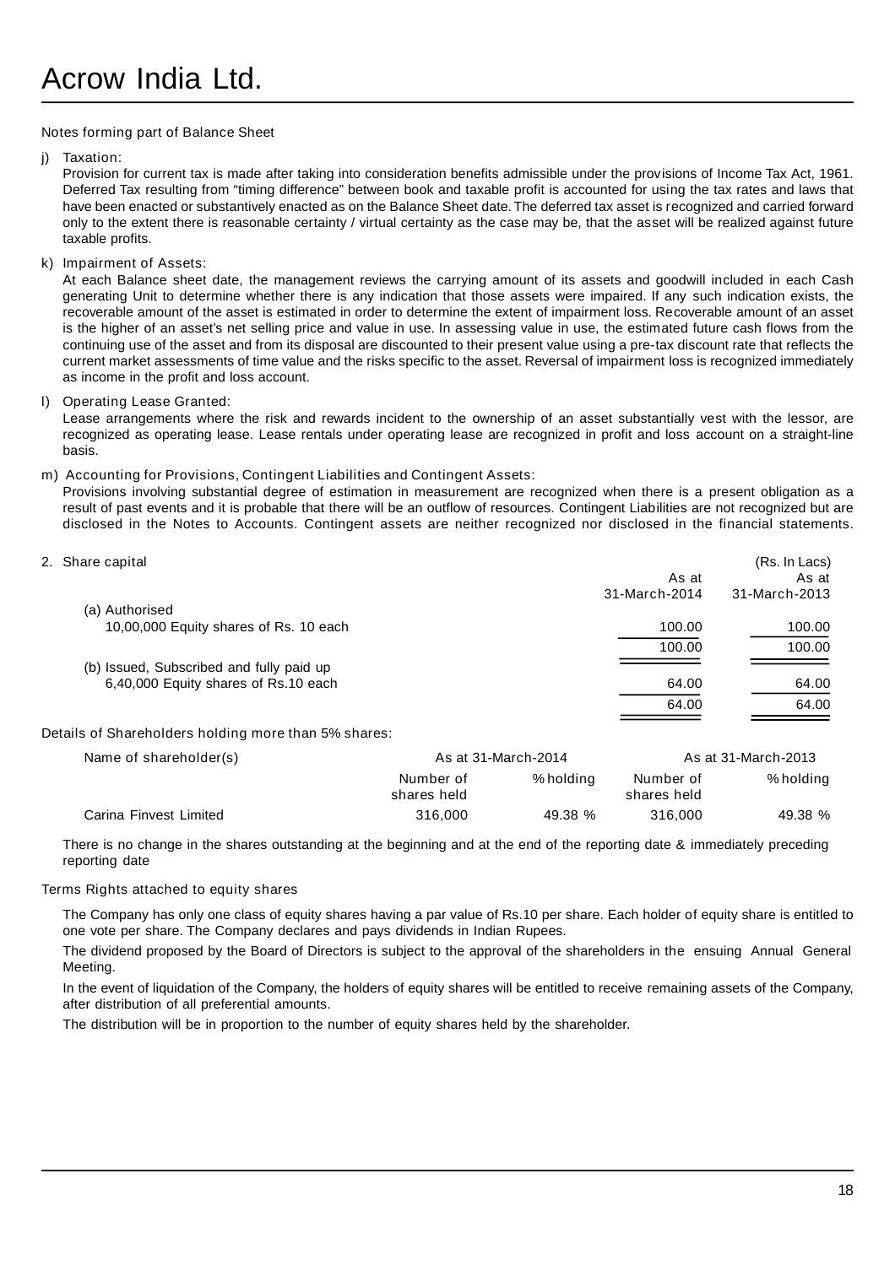### **Notes forming part of Balance Sheet**

### **j) Taxation:**

**Provision for current tax is made after taking into consideration benefits admissible under the provisions of Income Tax Act, 1961. Deferred Tax resulting from "timing difference" between book and taxable profit is accounted for using the tax rates and laws that have been enacted or substantively enacted as on the Balance Sheet date. The deferred tax asset is recognized and carried forward only to the extent there is reasonable certainty / virtual certainty as the case may be, that the asset will be realized against future taxable profits.**

### **k) Impairment of Assets:**

**At each Balance sheet date, the management reviews the carrying amount of its assets and goodwill included in each Cash generating Unit to determine whether there is any indication that those assets were impaired. If any such indication exists, the recoverable amount of the asset is estimated in order to determine the extent of impairment loss. Recoverable amount of an asset is the higher of an asset's net selling price and value in use. In assessing value in use, the estimated future cash flows from the continuing use of the asset and from its disposal are discounted to their present value using a pre-tax discount rate that reflects the current market assessments of time value and the risks specific to the asset. Reversal of impairment loss is recognized immediately as income in the profit and loss account.**

### **l) Operating Lease Granted:**

**Lease arrangements where the risk and rewards incident to the ownership of an asset substantially vest with the lessor, are recognized as operating lease. Lease rentals under operating lease are recognized in profit and loss account on a straight-line basis.**

### **m) Accounting for Provisions, Contingent Liabilities and Contingent Assets:**

**Provisions involving substantial degree of estimation in measurement are recognized when there is a present obligation as a result of past events and it is probable that there will be an outflow of resources. Contingent Liabilities are not recognized but are disclosed in the Notes to Accounts. Contingent assets are neither recognized nor disclosed in the financial statements.**

| 2. Share capital                         |               | (Rs. In Lacs) |
|------------------------------------------|---------------|---------------|
|                                          | As at         | As at         |
|                                          | 31-March-2014 | 31-March-2013 |
| (a) Authorised                           |               |               |
| 10,00,000 Equity shares of Rs. 10 each   | 100.00        | 100.00        |
|                                          | 100.00        | 100.00        |
| (b) Issued, Subscribed and fully paid up |               |               |
| 6,40,000 Equity shares of Rs.10 each     | 64.00         | 64.00         |
|                                          | 64.00         | 64.00         |
|                                          |               |               |

### **Details of Shareholders holding more than 5% shares:**

| Name of shareholder(s) |                          | As at 31-March-2014 |                          | As at 31-March-2013 |
|------------------------|--------------------------|---------------------|--------------------------|---------------------|
|                        | Number of<br>shares held | % holding           | Number of<br>shares held | % holding           |
| Carina Finvest Limited | 316,000                  | 49.38 %             | 316,000                  | 49.38 %             |

**There is no change in the shares outstanding at the beginning and at the end of the reporting date & immediately preceding reporting date**

### **Terms Rights attached to equity shares**

**The Company has only one class of equity shares having a par value of Rs.10 per share. Each holder of equity share is entitled to one vote per share. The Company declares and pays dividends in Indian Rupees.**

**The dividend proposed by the Board of Directors is subject to the approval of the shareholders in the ensuing Annual General Meeting.**

**In the event of liquidation of the Company, the holders of equity shares will be entitled to receive remaining assets of the Company, after distribution of all preferential amounts.**

**The distribution will be in proportion to the number of equity shares held by the shareholder.**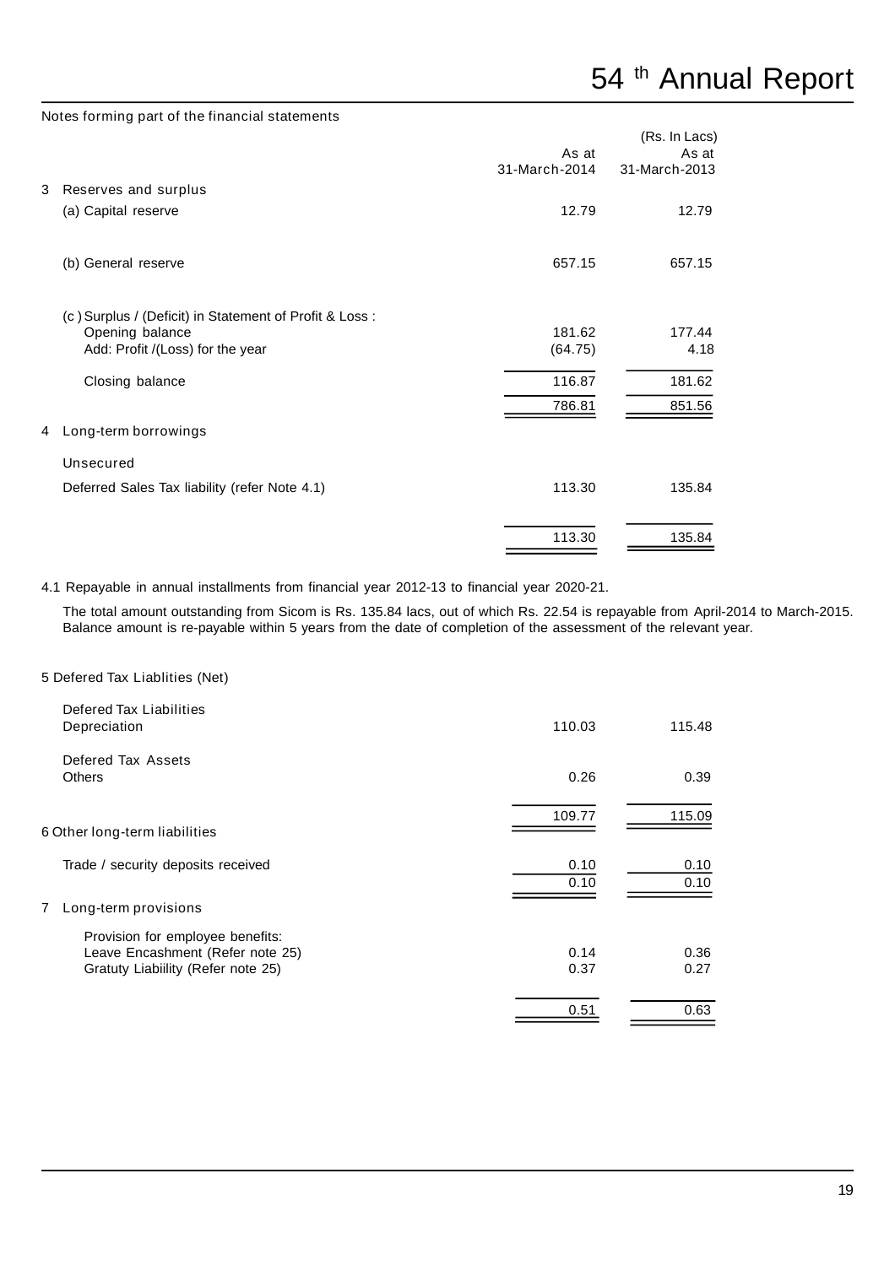|   |                                                                                                               | As at<br>31-March-2014 | (Rs. In Lacs)<br>As at<br>31-March-2013 |
|---|---------------------------------------------------------------------------------------------------------------|------------------------|-----------------------------------------|
| 3 | <b>Reserves and surplus</b><br>(a) Capital reserve                                                            | 12.79                  | 12.79                                   |
|   | (b) General reserve                                                                                           | 657.15                 | 657.15                                  |
|   | (c) Surplus / (Deficit) in Statement of Profit & Loss:<br>Opening balance<br>Add: Profit /(Loss) for the year | 181.62<br>(64.75)      | 177.44<br>4.18                          |
|   | Closing balance                                                                                               | 116.87<br>786.81       | 181.62<br>851.56                        |
| 4 | Long-term borrowings                                                                                          |                        |                                         |
|   | <b>Unsecured</b>                                                                                              |                        |                                         |
|   | Deferred Sales Tax liability (refer Note 4.1)                                                                 | 113.30                 | 135.84                                  |
|   |                                                                                                               | 113.30                 | 135.84                                  |

**4.1 Repayable in annual installments from financial year 2012-13 to financial year 2020-21.**

**The total amount outstanding from Sicom is Rs. 135.84 lacs, out of which Rs. 22.54 is repayable from April-2014 to March-2015. Balance amount is re-payable within 5 years from the date of completion of the assessment of the relevant year.**

### **5 Defered Tax Liablities (Net)**

| <b>Defered Tax Liabilities</b>     |        |        |
|------------------------------------|--------|--------|
| Depreciation                       | 110.03 | 115.48 |
| <b>Defered Tax Assets</b>          |        |        |
| <b>Others</b>                      | 0.26   | 0.39   |
|                                    | 109.77 | 115.09 |
| 6 Other long-term liabilities      |        |        |
| Trade / security deposits received | 0.10   | 0.10   |
|                                    | 0.10   | 0.10   |
| Long-term provisions<br>7          |        |        |
| Provision for employee benefits:   |        |        |
| Leave Encashment (Refer note 25)   | 0.14   | 0.36   |
| Gratuty Liability (Refer note 25)  | 0.37   | 0.27   |
|                                    | 0.51   | 0.63   |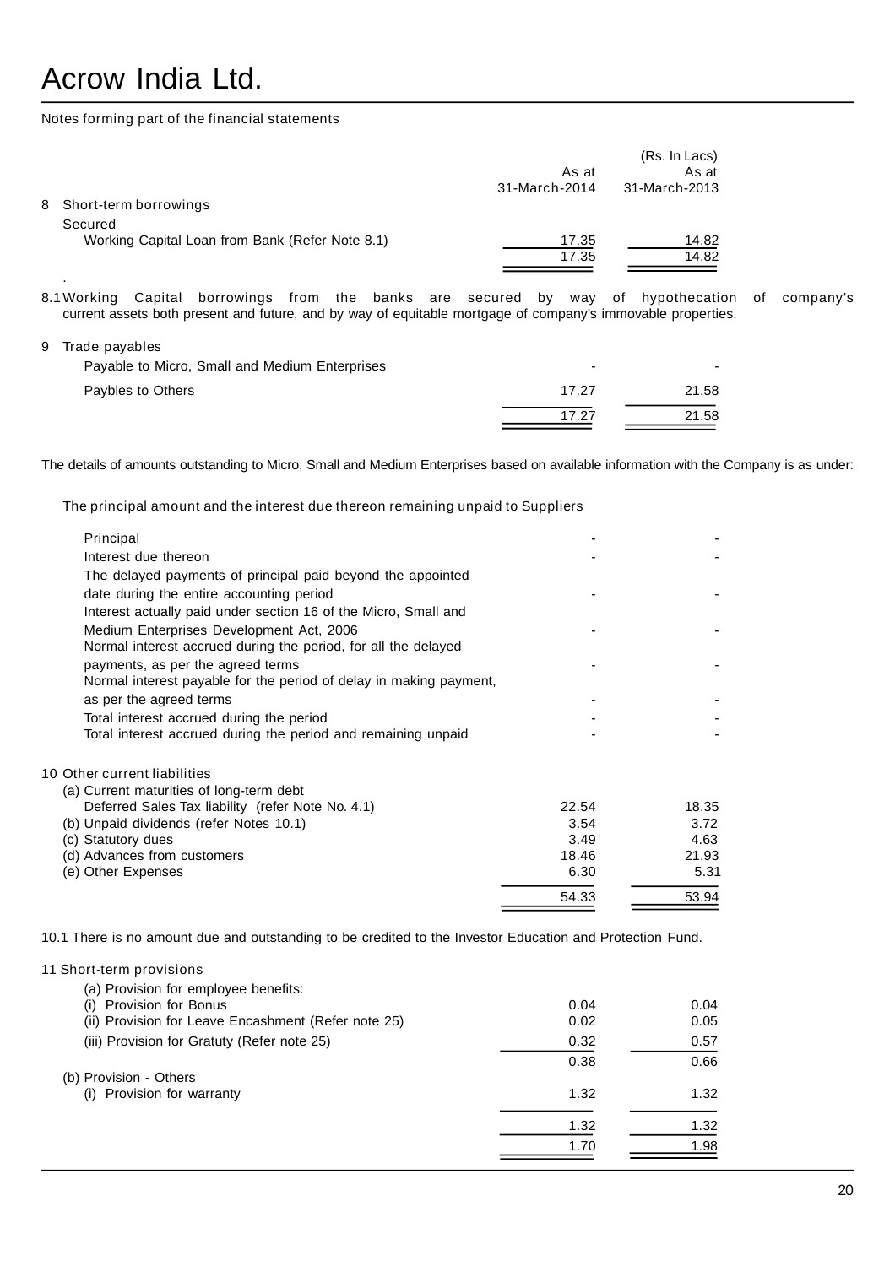# **Acrow India Ltd.**

### **Notes forming part of the financial statements**

|                                                 | As at<br>31-March-2014 | (Rs. In Lacs)<br>As at<br>31-March-2013 |
|-------------------------------------------------|------------------------|-----------------------------------------|
| 8 Short-term borrowings                         |                        |                                         |
| Secured                                         |                        |                                         |
| Working Capital Loan from Bank (Refer Note 8.1) | 17.35                  | 14.82                                   |
|                                                 | 17.35                  | 14.82                                   |
|                                                 |                        |                                         |

**8.1Working Capital borrowings from the banks are secured by way of hypothecation of company's current assets both present and future, and by way of equitable mortgage of company's immovable properties.**

### **9 Trade payables**

| 17.27                    | 21.58 |
|--------------------------|-------|
| 17.27                    | 21.58 |
| $\overline{\phantom{0}}$ |       |
|                          |       |

**The details of amounts outstanding to Micro, Small and Medium Enterprises based on available information with the Company is as under:**

### **The principal amount and the interest due thereon remaining unpaid to Suppliers**

| Principal                                                          |       |       |
|--------------------------------------------------------------------|-------|-------|
| Interest due thereon                                               |       |       |
| The delayed payments of principal paid beyond the appointed        |       |       |
| date during the entire accounting period                           |       |       |
| Interest actually paid under section 16 of the Micro, Small and    |       |       |
| Medium Enterprises Development Act, 2006                           |       |       |
| Normal interest accrued during the period, for all the delayed     |       |       |
| payments, as per the agreed terms                                  |       |       |
| Normal interest payable for the period of delay in making payment, |       |       |
| as per the agreed terms                                            |       |       |
| Total interest accrued during the period                           |       |       |
| Total interest accrued during the period and remaining unpaid      |       |       |
| <b>10 Other current liabilities</b>                                |       |       |
| (a) Current maturities of long-term debt                           |       |       |
| Deferred Sales Tax liability (refer Note No. 4.1)                  | 22.54 | 18.35 |
| (b) Unpaid dividends (refer Notes 10.1)                            | 3.54  | 3.72  |
| (c) Statutory dues                                                 | 3.49  | 4.63  |
| (d) Advances from customers                                        | 18.46 | 21.93 |
| (e) Other Expenses                                                 | 6.30  | 5.31  |
|                                                                    | 54.33 | 53.94 |

**10.1 There is no amount due and outstanding to be credited to the Investor Education and Protection Fund.**

### **11 Short-term provisions**

| 0.04 | 0.04 |
|------|------|
| 0.02 | 0.05 |
| 0.32 | 0.57 |
| 0.38 | 0.66 |
|      |      |
| 1.32 | 1.32 |
| 1.32 | 1.32 |
| 1.70 | 1.98 |
|      |      |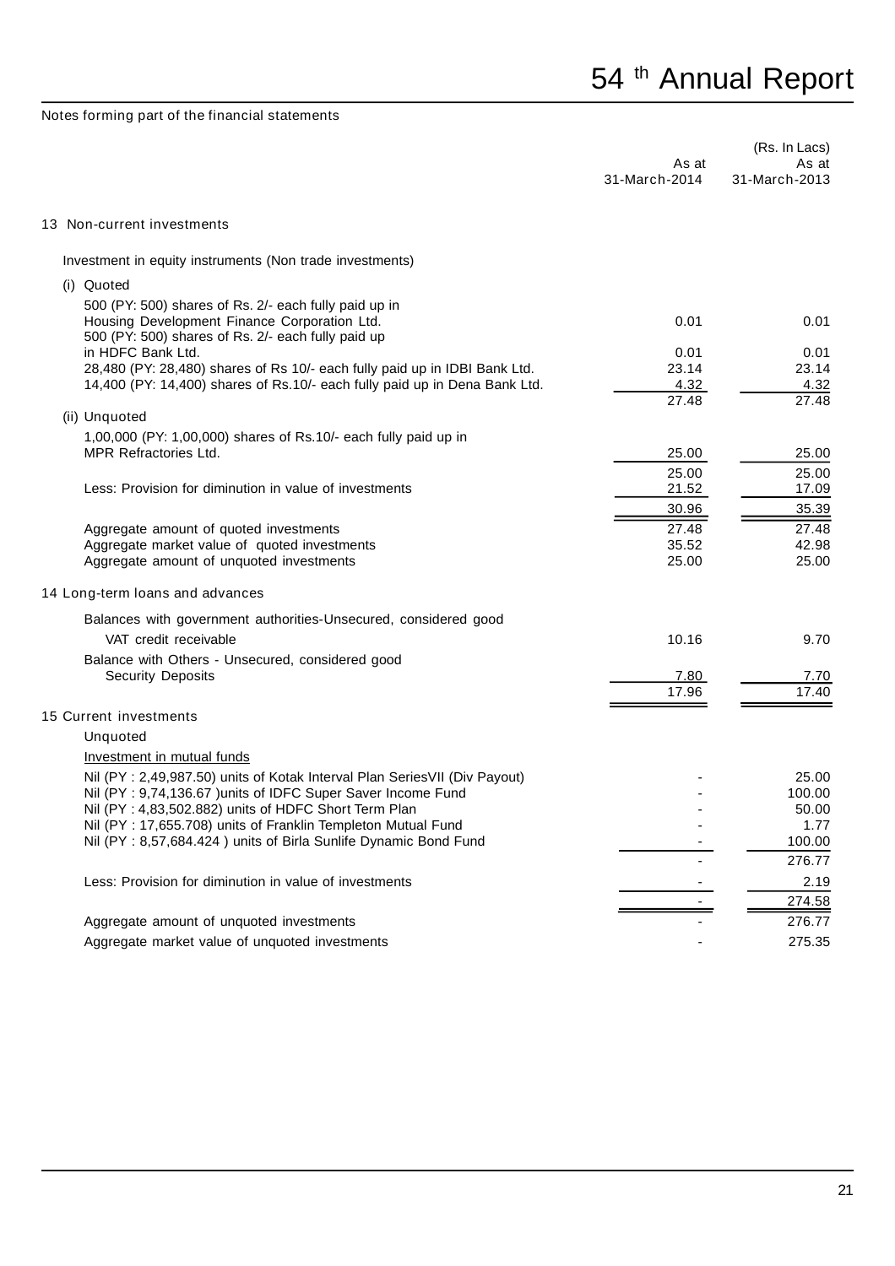|                                                                                                                                 | As at<br>31-March-2014 | (Rs. In Lacs)<br>As at<br>31-March-2013 |
|---------------------------------------------------------------------------------------------------------------------------------|------------------------|-----------------------------------------|
| 13 Non-current investments                                                                                                      |                        |                                         |
| Investment in equity instruments (Non trade investments)                                                                        |                        |                                         |
| (i) Quoted                                                                                                                      |                        |                                         |
| 500 (PY: 500) shares of Rs. 2/- each fully paid up in                                                                           |                        |                                         |
| Housing Development Finance Corporation Ltd.                                                                                    | 0.01                   | 0.01                                    |
| 500 (PY: 500) shares of Rs. 2/- each fully paid up                                                                              |                        |                                         |
| in HDFC Bank Ltd.<br>28,480 (PY: 28,480) shares of Rs 10/- each fully paid up in IDBI Bank Ltd.                                 | 0.01<br>23.14          | 0.01<br>23.14                           |
| 14,400 (PY: 14,400) shares of Rs.10/- each fully paid up in Dena Bank Ltd.                                                      | 4.32                   | 4.32                                    |
|                                                                                                                                 | 27.48                  | 27.48                                   |
| (ii) Unquoted                                                                                                                   |                        |                                         |
| 1,00,000 (PY: 1,00,000) shares of Rs.10/- each fully paid up in                                                                 |                        |                                         |
| MPR Refractories Ltd.                                                                                                           | 25.00                  | 25.00                                   |
|                                                                                                                                 | 25.00                  | 25.00                                   |
| Less: Provision for diminution in value of investments                                                                          | 21.52                  | 17.09                                   |
|                                                                                                                                 | 30.96                  | 35.39                                   |
| Aggregate amount of quoted investments                                                                                          | 27.48                  | 27.48                                   |
| Aggregate market value of quoted investments<br>Aggregate amount of unquoted investments                                        | 35.52<br>25.00         | 42.98<br>25.00                          |
|                                                                                                                                 |                        |                                         |
| 14 Long-term loans and advances                                                                                                 |                        |                                         |
| Balances with government authorities-Unsecured, considered good                                                                 |                        |                                         |
| VAT credit receivable                                                                                                           | 10.16                  | 9.70                                    |
| Balance with Others - Unsecured, considered good                                                                                |                        |                                         |
| <b>Security Deposits</b>                                                                                                        | 7.80                   | 7.70                                    |
|                                                                                                                                 | 17.96                  | 17.40                                   |
| <b>15 Current investments</b>                                                                                                   |                        |                                         |
| <b>Unquoted</b>                                                                                                                 |                        |                                         |
| Investment in mutual funds                                                                                                      |                        |                                         |
| Nil (PY: 2,49,987.50) units of Kotak Interval Plan Series VII (Div Payout)                                                      |                        | 25.00                                   |
| Nil (PY: 9,74,136.67 )units of IDFC Super Saver Income Fund                                                                     |                        | 100.00                                  |
| Nil (PY: 4,83,502.882) units of HDFC Short Term Plan                                                                            |                        | 50.00                                   |
| Nil (PY: 17,655.708) units of Franklin Templeton Mutual Fund<br>Nil (PY: 8,57,684.424) units of Birla Sunlife Dynamic Bond Fund |                        | 1.77<br>100.00                          |
|                                                                                                                                 |                        |                                         |
|                                                                                                                                 |                        | 276.77                                  |
| Less: Provision for diminution in value of investments                                                                          |                        | 2.19                                    |
|                                                                                                                                 |                        | 274.58                                  |
| Aggregate amount of unquoted investments                                                                                        |                        | 276.77                                  |
| Aggregate market value of unquoted investments                                                                                  |                        | 275.35                                  |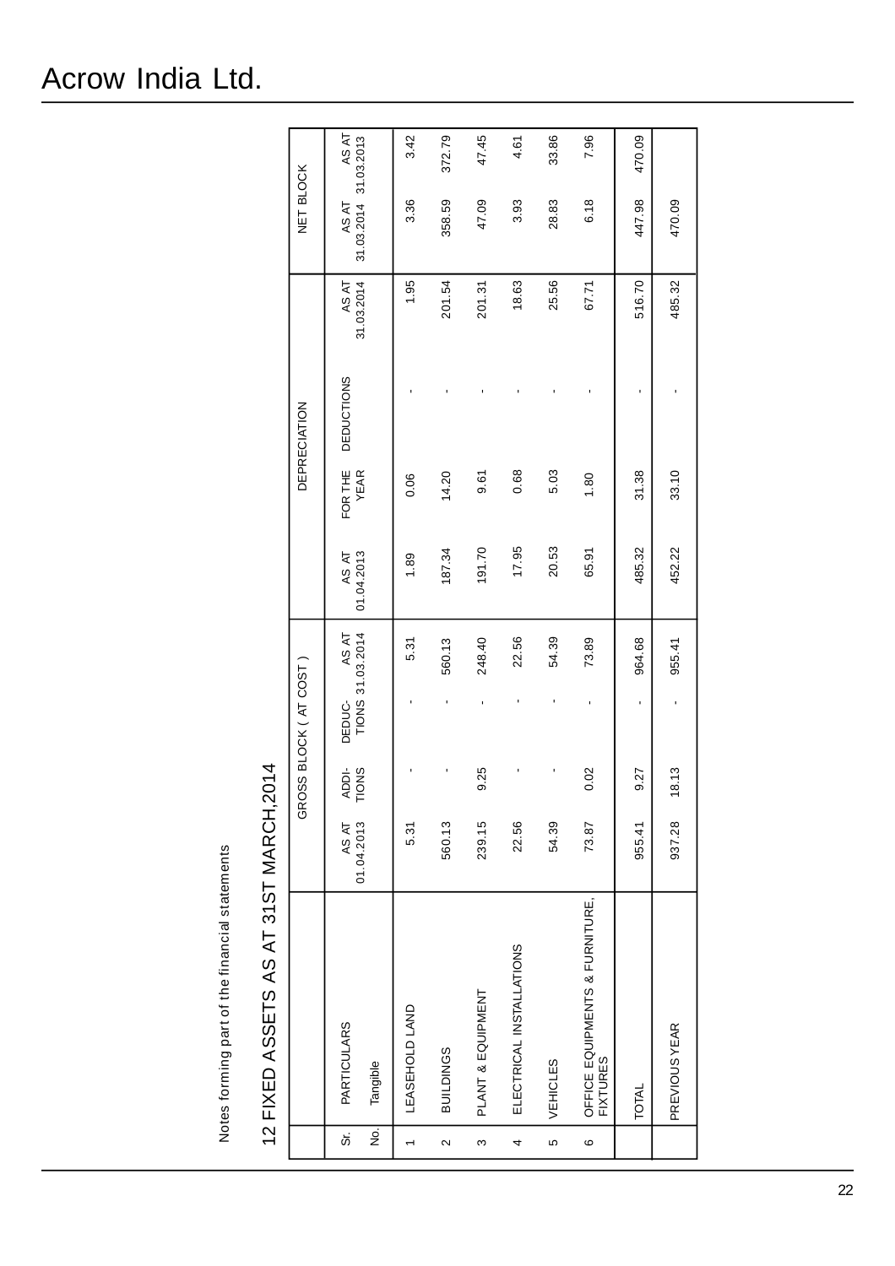Notes forming part of the financial statements **Notes forming part of the financial statements**

# 12 FIXED ASSETS AS AT 31ST MARCH,2014 **12 FIXED ASSETS AS AT 31ST MARCH,2014**

|                                       |                                                   |                     |                           | GROSS BLOCK (AT COST)      |        |                     |                        | <b>DEPRECIATION</b> |                     | NET BLOCK                      |        |
|---------------------------------------|---------------------------------------------------|---------------------|---------------------------|----------------------------|--------|---------------------|------------------------|---------------------|---------------------|--------------------------------|--------|
| ρ.<br>Σ<br>$\overline{\mathbf{S}}$ r. | <b>PARTICULARS</b><br>Tangible                    | 01.04.2013<br>AS AT | ADDI-<br><b>SNOI</b><br>E | TIONS 31.03.2014<br>DEDUC- | AS AT  | 01.04.2013<br>AS AT | FOR THE<br><b>YEAR</b> | <b>DEDUCTIONS</b>   | AS AT<br>31.03.2014 | 31.03.2014 31.03.2013<br>AS AT | AS AT  |
|                                       | LEASEHOLD LAND                                    | 5.31                |                           |                            | 5.31   | 1.89                | 0.06                   |                     | 1.95                | 3.36                           | 3.42   |
| 2                                     | <b>BUILDINGS</b>                                  | 560.13              |                           | 560.13                     |        | 187.34              | 14.20                  |                     | 201.54              | 358.59                         | 372.79 |
| S                                     | PLANT & EQUIPMENT                                 | 239.15              | 9.25                      |                            | 248.40 | 191.70              | 9.61                   |                     | 201.31              | 47.09                          | 47.45  |
| 4                                     | ELECTRICAL INSTALLATIONS                          | 22.56               |                           |                            | 22.56  | 17.95               | 0.68                   |                     | 18.63               | 3.93                           | 4.61   |
| LO                                    | VEHICLES                                          | 54.39               |                           |                            | 54.39  | 20.53               | 5.03                   |                     | 25.56               | 28.83                          | 33.86  |
| 6                                     | OFFICE EQUIPMENTS & FURNITURE,<br><b>FIXTURES</b> | 73.87               | 0.02                      |                            | 73.89  | 65.91               | 1.80                   |                     | 67.71               | 6.18                           | 7.96   |
|                                       | <b>TOTAL</b>                                      | 955.41              | 9.27                      | ï                          | 964.68 | 485.32              | 31.38                  |                     | 516.70              | 447.98                         | 470.09 |
|                                       | PREVIOUS YEAR                                     | 937.28              | 18.13                     | 955.41                     |        | 452.22              | 33.10                  |                     | 485.32              | 470.09                         |        |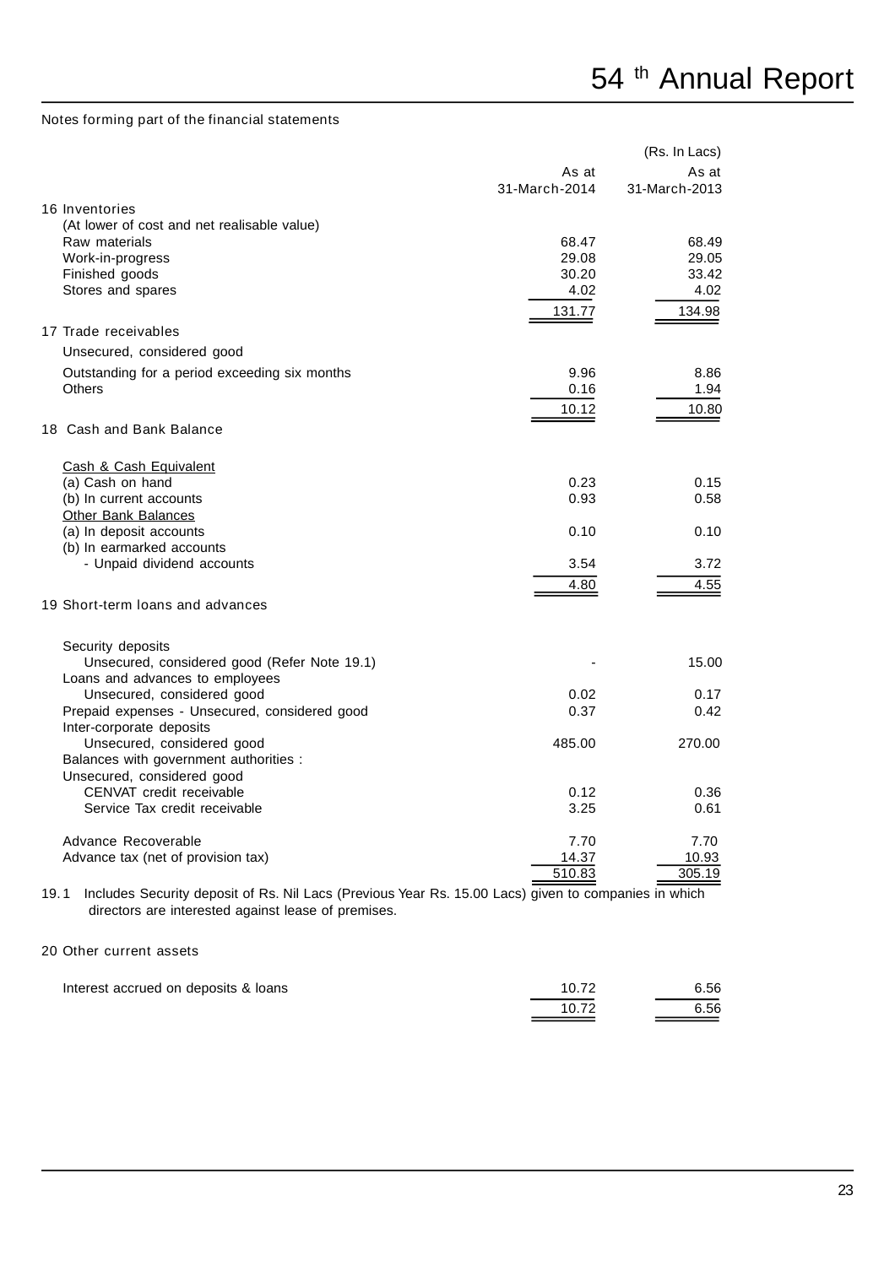|                                                        |                        | (Rs. In Lacs)          |
|--------------------------------------------------------|------------------------|------------------------|
|                                                        | As at<br>31-March-2014 | As at<br>31-March-2013 |
| <b>16 Inventories</b>                                  |                        |                        |
| (At lower of cost and net realisable value)            |                        |                        |
| Raw materials                                          | 68.47                  | 68.49                  |
| Work-in-progress                                       | 29.08                  | 29.05                  |
| Finished goods                                         | 30.20                  | 33.42                  |
| Stores and spares                                      | 4.02                   | 4.02                   |
|                                                        | 131.77                 | 134.98                 |
| 17 Trade receivables                                   |                        |                        |
| Unsecured, considered good                             |                        |                        |
| Outstanding for a period exceeding six months          | 9.96                   | 8.86                   |
| <b>Others</b>                                          | 0.16                   | 1.94                   |
|                                                        | 10.12                  | 10.80                  |
|                                                        |                        |                        |
| 18 Cash and Bank Balance                               |                        |                        |
| Cash & Cash Equivalent                                 |                        |                        |
| (a) Cash on hand                                       | 0.23                   | 0.15                   |
| (b) In current accounts                                | 0.93                   | 0.58                   |
| <b>Other Bank Balances</b>                             |                        |                        |
| (a) In deposit accounts                                | 0.10                   | 0.10                   |
| (b) In earmarked accounts                              |                        |                        |
| - Unpaid dividend accounts                             | 3.54                   | 3.72                   |
|                                                        | 4.80                   | 4.55                   |
| <b>19 Short-term loans and advances</b>                |                        |                        |
|                                                        |                        |                        |
| Security deposits                                      |                        |                        |
| Unsecured, considered good (Refer Note 19.1)           |                        | 15.00                  |
| Loans and advances to employees                        |                        |                        |
| Unsecured, considered good                             | 0.02                   | 0.17                   |
| Prepaid expenses - Unsecured, considered good          | 0.37                   | 0.42                   |
| Inter-corporate deposits<br>Unsecured, considered good | 485.00                 | 270.00                 |
| Balances with government authorities :                 |                        |                        |
| Unsecured, considered good                             |                        |                        |
| CENVAT credit receivable                               | 0.12                   | 0.36                   |
| Service Tax credit receivable                          | 3.25                   | 0.61                   |
|                                                        |                        |                        |
| Advance Recoverable                                    | 7.70                   | 7.70                   |
| Advance tax (net of provision tax)                     | 14.37                  | 10.93                  |
|                                                        | 510.83                 | 305.19                 |
|                                                        |                        |                        |

**19. 1 Includes Security deposit of Rs. Nil Lacs (Previous Year Rs. 15.00 Lacs) given to companies in which directors are interested against lease of premises.**

### **20 Other current assets**

| Interest accrued on deposits & loans | 10.72 | 6.56 |
|--------------------------------------|-------|------|
|                                      | 10.72 | 6.56 |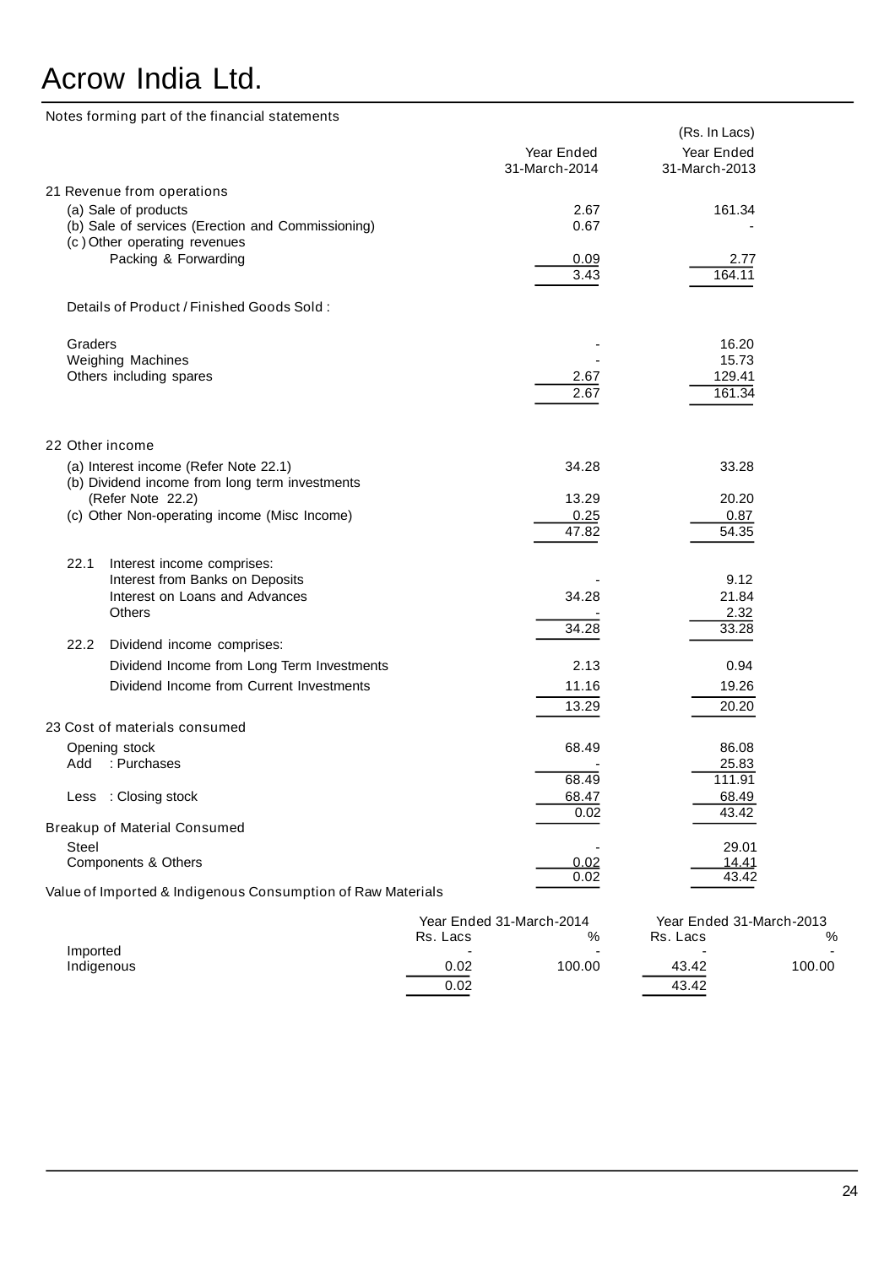# **Acrow India Ltd.**

## **Notes forming part of the financial statements**

|              |                                                             |                                    | (Rs. In Lacs)                      |
|--------------|-------------------------------------------------------------|------------------------------------|------------------------------------|
|              |                                                             | <b>Year Ended</b><br>31-March-2014 | <b>Year Ended</b><br>31-March-2013 |
|              | 21 Revenue from operations                                  |                                    |                                    |
|              | (a) Sale of products                                        | 2.67                               | 161.34                             |
|              | (b) Sale of services (Erection and Commissioning)           | 0.67                               |                                    |
|              | (c) Other operating revenues                                |                                    |                                    |
|              | Packing & Forwarding                                        | 0.09                               | 2.77                               |
|              |                                                             | 3.43                               | 164.11                             |
|              | Details of Product / Finished Goods Sold:                   |                                    |                                    |
|              |                                                             |                                    |                                    |
| Graders      |                                                             |                                    | 16.20<br>15.73                     |
|              | Weighing Machines<br>Others including spares                |                                    | 129.41                             |
|              |                                                             | 2.67<br>2.67                       | 161.34                             |
|              |                                                             |                                    |                                    |
|              | 22 Other income                                             |                                    |                                    |
|              | (a) Interest income (Refer Note 22.1)                       | 34.28                              | 33.28                              |
|              | (b) Dividend income from long term investments              |                                    |                                    |
|              | (Refer Note 22.2)                                           | 13.29                              | 20.20                              |
|              | (c) Other Non-operating income (Misc Income)                | 0.25                               | 0.87                               |
|              |                                                             | 47.82                              | 54.35                              |
|              |                                                             |                                    |                                    |
| 22.1         | Interest income comprises:                                  |                                    |                                    |
|              | Interest from Banks on Deposits                             |                                    | 9.12                               |
|              | Interest on Loans and Advances                              | 34.28                              | 21.84                              |
|              | <b>Others</b>                                               | 34.28                              | 2.32<br>33.28                      |
| 22.2         | Dividend income comprises:                                  |                                    |                                    |
|              | Dividend Income from Long Term Investments                  | 2.13                               | 0.94                               |
|              | Dividend Income from Current Investments                    | 11.16                              | 19.26                              |
|              |                                                             | 13.29                              | 20.20                              |
|              | 23 Cost of materials consumed                               |                                    |                                    |
|              | Opening stock                                               | 68.49                              | 86.08                              |
|              | Add: : Purchases                                            |                                    | 25.83                              |
|              |                                                             | 68.49                              | 111.91                             |
|              | Less : Closing stock                                        | 68.47                              | 68.49                              |
|              |                                                             | 0.02                               | 43.42                              |
|              | <b>Breakup of Material Consumed</b>                         |                                    |                                    |
| <b>Steel</b> |                                                             |                                    | 29.01                              |
|              | Components & Others                                         | 0.02                               | <u>14.41</u>                       |
|              | Value of Imported & Indigenous Consumption of Raw Materials | 0.02                               | 43.42                              |
|              |                                                             |                                    |                                    |

|            | Year Ended 31-March-2014 |        |                          |                          | Year Ended 31-March-2013 |  |
|------------|--------------------------|--------|--------------------------|--------------------------|--------------------------|--|
|            | Rs. Lacs                 | %      | Rs. Lacs                 | %                        |                          |  |
| Imported   |                          | -      | $\overline{\phantom{0}}$ | $\overline{\phantom{a}}$ |                          |  |
| Indigenous | 0.02                     | 100.00 | 43.42                    | 100.00                   |                          |  |
|            | 0.02                     |        | 43.42                    |                          |                          |  |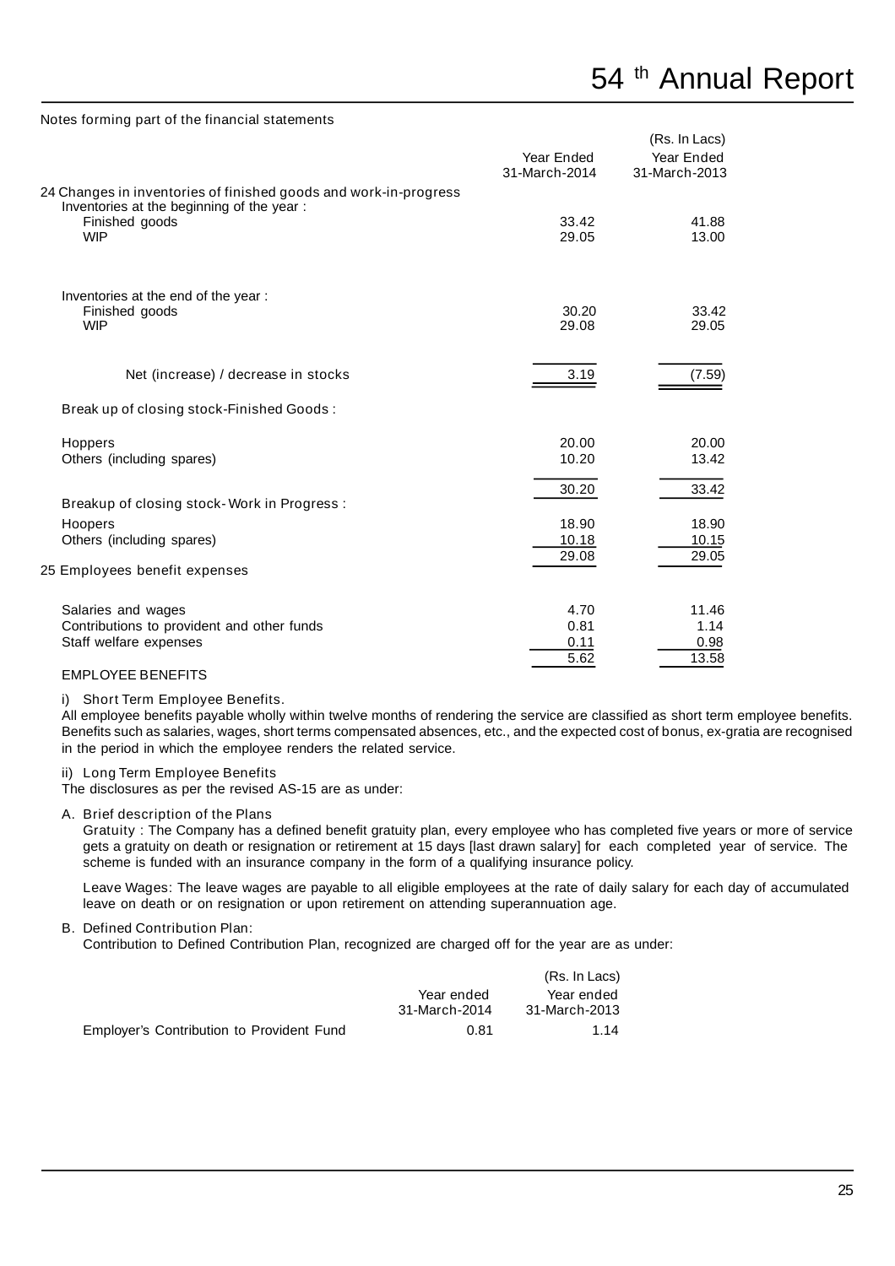|                                                                                                               |                                    | (Rs. In Lacs)                      |
|---------------------------------------------------------------------------------------------------------------|------------------------------------|------------------------------------|
|                                                                                                               | <b>Year Ended</b><br>31-March-2014 | <b>Year Ended</b><br>31-March-2013 |
| 24 Changes in inventories of finished goods and work-in-progress<br>Inventories at the beginning of the year: |                                    |                                    |
| Finished goods                                                                                                | 33.42                              | 41.88                              |
| <b>WIP</b>                                                                                                    | 29.05                              | 13.00                              |
| Inventories at the end of the year:                                                                           |                                    |                                    |
| Finished goods                                                                                                | 30.20                              | 33.42                              |
| <b>WIP</b>                                                                                                    | 29.08                              | 29.05                              |
| Net (increase) / decrease in stocks                                                                           | 3.19                               | (7.59)                             |
| <b>Break up of closing stock-Finished Goods:</b>                                                              |                                    |                                    |
| Hoppers                                                                                                       | 20.00                              | 20.00                              |
| Others (including spares)                                                                                     | 10.20                              | 13.42                              |
|                                                                                                               | 30.20                              | 33.42                              |
| <b>Breakup of closing stock-Work in Progress:</b>                                                             |                                    |                                    |
| Hoopers                                                                                                       | 18.90                              | 18.90                              |
| Others (including spares)                                                                                     | 10.18                              | 10.15                              |
|                                                                                                               | 29.08                              | 29.05                              |
| 25 Employees benefit expenses                                                                                 |                                    |                                    |
| Salaries and wages                                                                                            | 4.70                               | 11.46                              |
| Contributions to provident and other funds                                                                    | 0.81                               | 1.14                               |
| Staff welfare expenses                                                                                        | 0.11                               | 0.98                               |
|                                                                                                               | 5.62                               | 13.58                              |

### **EMPLOYEE BENEFITS**

### **i) Short Term Employee Benefits.**

**All employee benefits payable wholly within twelve months of rendering the service are classified as short term employee benefits. Benefits such as salaries, wages, short terms compensated absences, etc., and the expected cost of bonus, ex-gratia are recognised in the period in which the employee renders the related service.**

### **ii) Long Term Employee Benefits**

**The disclosures as per the revised AS-15 are as under:**

### **A. Brief description of the Plans**

**Gratuity : The Company has a defined benefit gratuity plan, every employee who has completed five years or more of service gets a gratuity on death or resignation or retirement at 15 days [last drawn salary] for each completed year of service. The scheme is funded with an insurance company in the form of a qualifying insurance policy.**

**Leave Wages: The leave wages are payable to all eligible employees at the rate of daily salary for each day of accumulated leave on death or on resignation or upon retirement on attending superannuation age.**

### **B. Defined Contribution Plan:**

**Contribution to Defined Contribution Plan, recognized are charged off for the year are as under:**

|                                           |                             | (Rs. In Lacs)               |
|-------------------------------------------|-----------------------------|-----------------------------|
|                                           | Year ended<br>31-March-2014 | Year ended<br>31-March-2013 |
| Employer's Contribution to Provident Fund | 0.81                        | 1.14                        |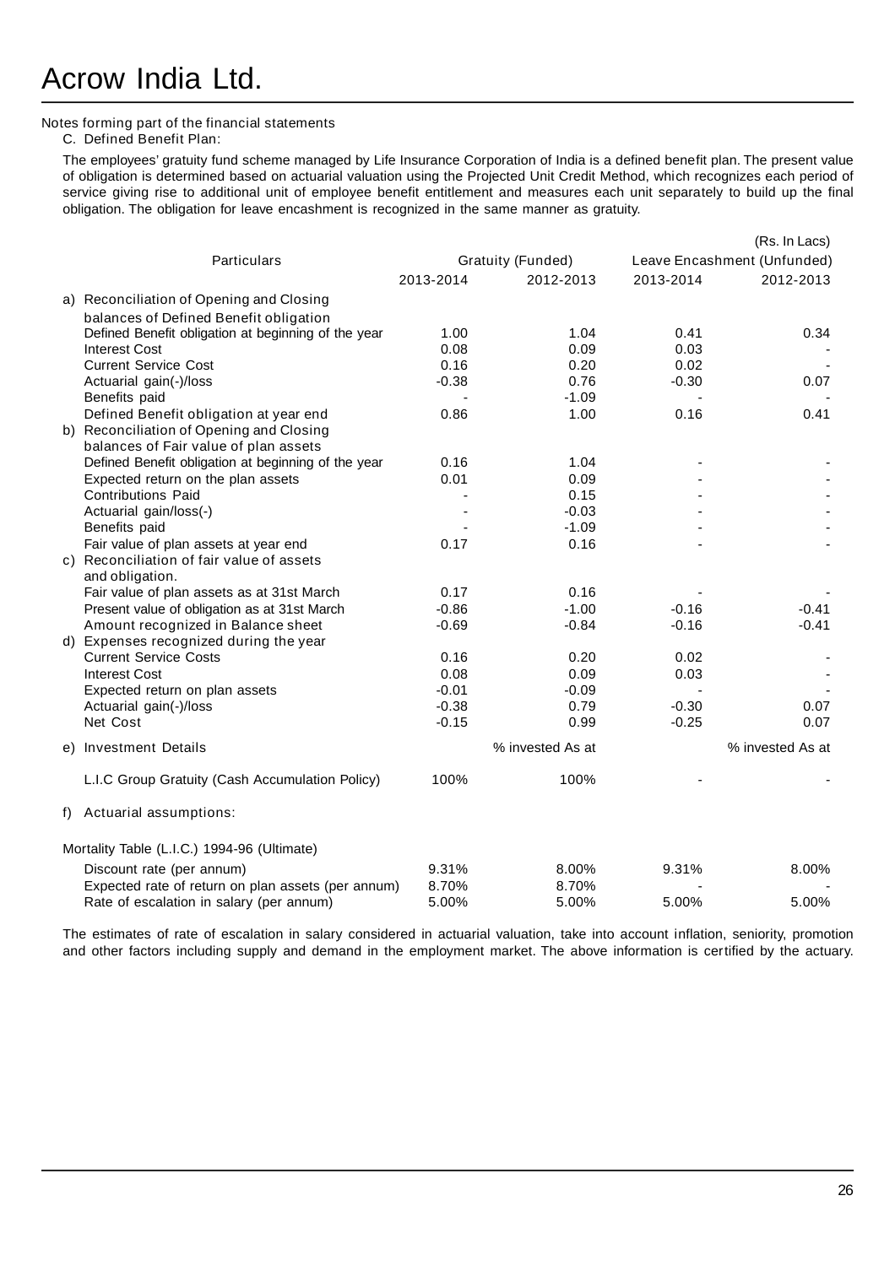### **C. Defined Benefit Plan:**

**The employees' gratuity fund scheme managed by Life Insurance Corporation of India is a defined benefit plan. The present value of obligation is determined based on actuarial valuation using the Projected Unit Credit Method, which recognizes each period of service giving rise to additional unit of employee benefit entitlement and measures each unit separately to build up the final obligation. The obligation for leave encashment is recognized in the same manner as gratuity.**

|                                                                        |           |                          |           | (Rs. In Lacs)                      |
|------------------------------------------------------------------------|-----------|--------------------------|-----------|------------------------------------|
| <b>Particulars</b>                                                     |           | <b>Gratuity (Funded)</b> |           | <b>Leave Encashment (Unfunded)</b> |
|                                                                        | 2013-2014 | 2012-2013                | 2013-2014 | 2012-2013                          |
| a) Reconciliation of Opening and Closing                               |           |                          |           |                                    |
| balances of Defined Benefit obligation                                 |           |                          |           |                                    |
| Defined Benefit obligation at beginning of the year                    | 1.00      | 1.04                     | 0.41      | 0.34                               |
| <b>Interest Cost</b>                                                   | 0.08      | 0.09                     | 0.03      |                                    |
| <b>Current Service Cost</b>                                            | 0.16      | 0.20                     | 0.02      |                                    |
| Actuarial gain(-)/loss                                                 | $-0.38$   | 0.76                     | $-0.30$   | 0.07                               |
| Benefits paid                                                          |           | $-1.09$                  |           |                                    |
| Defined Benefit obligation at year end                                 | 0.86      | 1.00                     | 0.16      | 0.41                               |
| b) Reconciliation of Opening and Closing                               |           |                          |           |                                    |
| balances of Fair value of plan assets                                  |           |                          |           |                                    |
| Defined Benefit obligation at beginning of the year                    | 0.16      | 1.04                     |           |                                    |
| Expected return on the plan assets                                     | 0.01      | 0.09                     |           |                                    |
| <b>Contributions Paid</b>                                              |           | 0.15                     |           |                                    |
| Actuarial gain/loss(-)                                                 |           | $-0.03$                  |           |                                    |
| Benefits paid                                                          |           | $-1.09$                  |           |                                    |
| Fair value of plan assets at year end                                  | 0.17      | 0.16                     |           |                                    |
| c) Reconciliation of fair value of assets                              |           |                          |           |                                    |
| and obligation.                                                        |           |                          |           |                                    |
| Fair value of plan assets as at 31st March                             | 0.17      | 0.16                     |           |                                    |
| Present value of obligation as at 31st March                           | $-0.86$   | $-1.00$                  | $-0.16$   | $-0.41$<br>$-0.41$                 |
| Amount recognized in Balance sheet                                     | $-0.69$   | $-0.84$                  | $-0.16$   |                                    |
| d) Expenses recognized during the year<br><b>Current Service Costs</b> | 0.16      | 0.20                     | 0.02      |                                    |
| <b>Interest Cost</b>                                                   | 0.08      | 0.09                     | 0.03      |                                    |
| Expected return on plan assets                                         | $-0.01$   | $-0.09$                  |           |                                    |
| Actuarial gain(-)/loss                                                 | $-0.38$   | 0.79                     | $-0.30$   | 0.07                               |
| <b>Net Cost</b>                                                        | $-0.15$   | 0.99                     | $-0.25$   | 0.07                               |
|                                                                        |           |                          |           |                                    |
| e) Investment Details                                                  |           | % invested As at         |           | % invested As at                   |
| L.I.C Group Gratuity (Cash Accumulation Policy)                        | 100%      | 100%                     |           |                                    |
| f) Actuarial assumptions:                                              |           |                          |           |                                    |
| Mortality Table (L.I.C.) 1994-96 (Ultimate)                            |           |                          |           |                                    |
| Discount rate (per annum)                                              | 9.31%     | 8.00%                    | 9.31%     | 8.00%                              |
| Expected rate of return on plan assets (per annum)                     | 8.70%     | 8.70%                    |           |                                    |
| Rate of escalation in salary (per annum)                               | 5.00%     | 5.00%                    | 5.00%     | 5.00%                              |
|                                                                        |           |                          |           |                                    |

**The estimates of rate of escalation in salary considered in actuarial valuation, take into account inflation, seniority, promotion and other factors including supply and demand in the employment market. The above information is certified by the actuary.**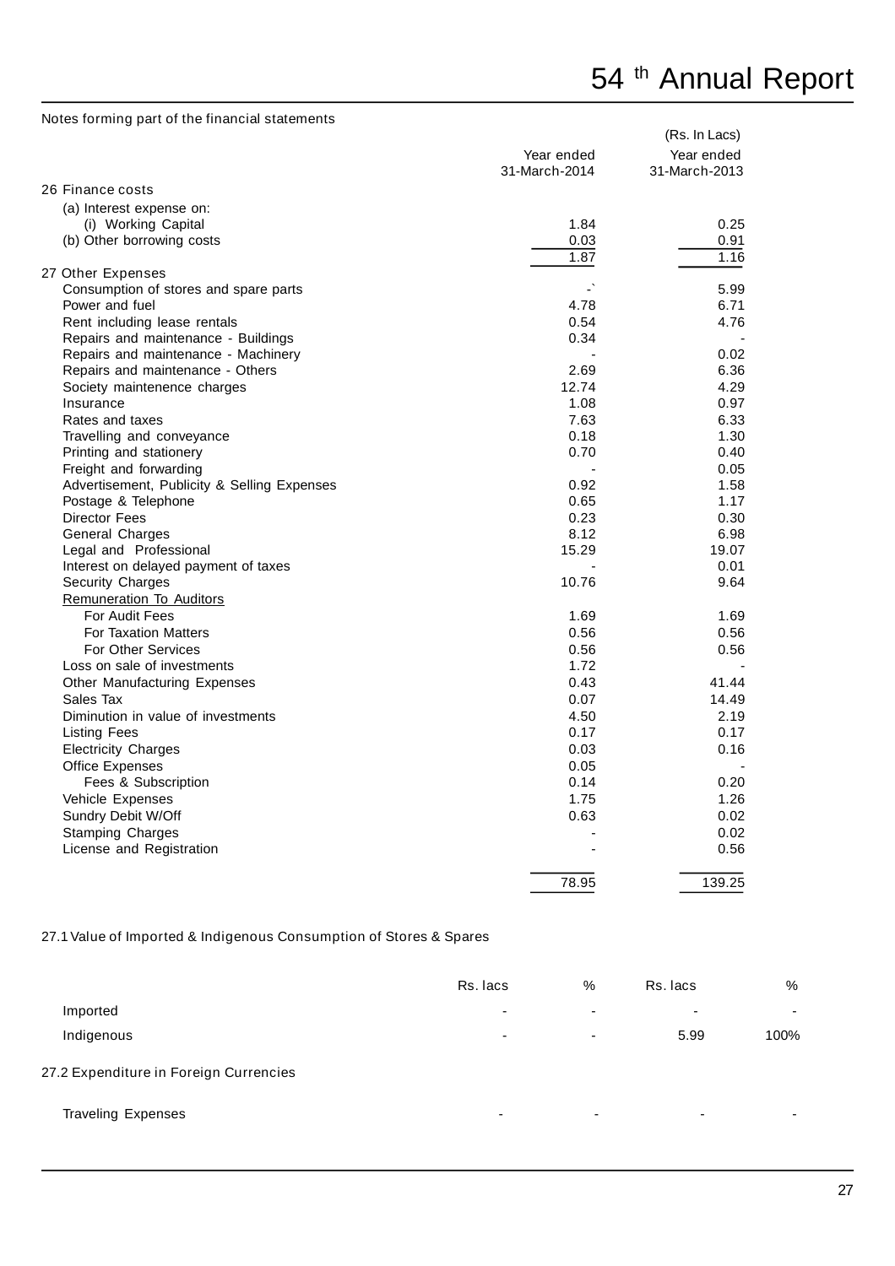|                                             |               | (Rs. In Lacs) |
|---------------------------------------------|---------------|---------------|
|                                             | Year ended    | Year ended    |
|                                             | 31-March-2014 | 31-March-2013 |
| <b>26 Finance costs</b>                     |               |               |
| (a) Interest expense on:                    |               |               |
| (i) Working Capital                         | 1.84          | 0.25          |
| (b) Other borrowing costs                   | 0.03          | 0.91          |
|                                             | 1.87          | 1.16          |
| 27 Other Expenses                           |               |               |
| Consumption of stores and spare parts       | ♪             | 5.99          |
| Power and fuel                              | 4.78          | 6.71          |
| Rent including lease rentals                | 0.54          | 4.76          |
| Repairs and maintenance - Buildings         | 0.34          |               |
| Repairs and maintenance - Machinery         |               | 0.02          |
| Repairs and maintenance - Others            | 2.69          | 6.36          |
| Society maintenence charges                 | 12.74         | 4.29          |
| Insurance                                   | 1.08          | 0.97          |
| Rates and taxes                             | 7.63          | 6.33          |
| Travelling and conveyance                   | 0.18          | 1.30          |
| Printing and stationery                     | 0.70          | 0.40          |
| Freight and forwarding                      |               | 0.05          |
| Advertisement, Publicity & Selling Expenses | 0.92          | 1.58          |
| Postage & Telephone                         | 0.65          | 1.17          |
| <b>Director Fees</b>                        | 0.23          | 0.30          |
| General Charges                             | 8.12          | 6.98          |
| Legal and Professional                      | 15.29         | 19.07         |
| Interest on delayed payment of taxes        |               | 0.01          |
| Security Charges                            | 10.76         | 9.64          |
| Remuneration To Auditors                    |               |               |
| For Audit Fees                              | 1.69          | 1.69          |
| <b>For Taxation Matters</b>                 | 0.56          | 0.56          |
| For Other Services                          | 0.56          | 0.56          |
| Loss on sale of investments                 | 1.72          |               |
| Other Manufacturing Expenses                | 0.43          | 41.44         |
| Sales Tax                                   | 0.07          | 14.49         |
| Diminution in value of investments          | 4.50          | 2.19          |
| Listing Fees                                | 0.17          | 0.17          |
| <b>Electricity Charges</b>                  | 0.03          | 0.16          |
| <b>Office Expenses</b>                      | 0.05          |               |
| Fees & Subscription                         | 0.14          | 0.20          |
| Vehicle Expenses                            | 1.75          | 1.26          |
| Sundry Debit W/Off                          | 0.63          | 0.02          |
| <b>Stamping Charges</b>                     |               | 0.02          |
| License and Registration                    |               | 0.56          |
|                                             |               |               |
|                                             | 78.95         | 139.25        |

### **27.1 Value of Imported & Indigenous Consumption of Stores & Spares**

|                                        | Rs. lacs                 | %                        | Rs. lacs                 | %                        |
|----------------------------------------|--------------------------|--------------------------|--------------------------|--------------------------|
| Imported                               | $\blacksquare$           | $\blacksquare$           |                          | $\overline{\phantom{0}}$ |
| Indigenous                             | $\overline{\phantom{0}}$ | ۰                        | 5.99                     | 100%                     |
| 27.2 Expenditure in Foreign Currencies |                          |                          |                          |                          |
| <b>Traveling Expenses</b>              | $\overline{\phantom{a}}$ | $\overline{\phantom{0}}$ | $\overline{\phantom{a}}$ | $\overline{\phantom{0}}$ |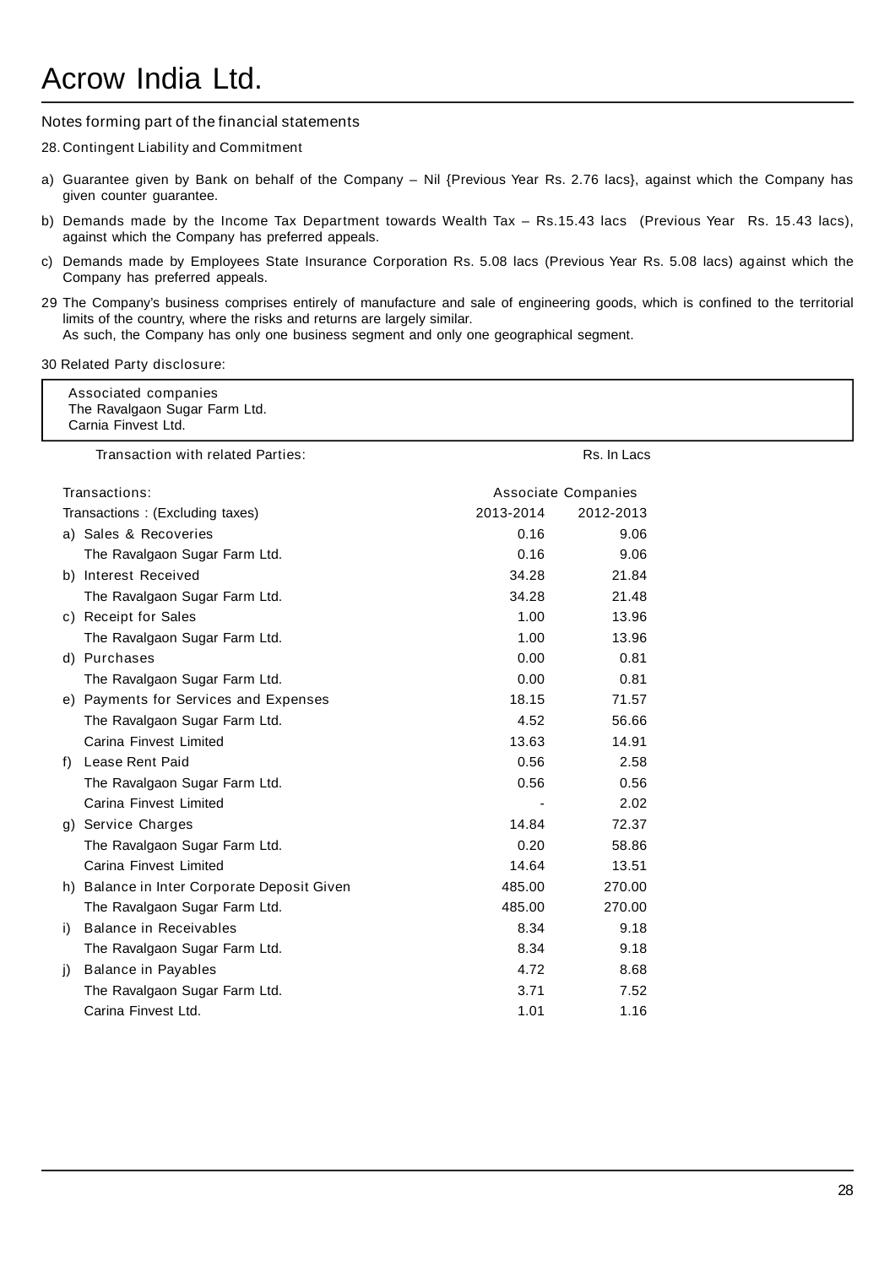### **28. Contingent Liability and Commitment**

- **a) Guarantee given by Bank on behalf of the Company Nil {Previous Year Rs. 2.76 lacs}, against which the Company has given counter guarantee.**
- **b) Demands made by the Income Tax Department towards Wealth Tax Rs.15.43 lacs (Previous Year Rs. 15.43 lacs), against which the Company has preferred appeals.**
- **c) Demands made by Employees State Insurance Corporation Rs. 5.08 lacs (Previous Year Rs. 5.08 lacs) against which the Company has preferred appeals.**
- **29 The Company's business comprises entirely of manufacture and sale of engineering goods, which is confined to the territorial limits of the country, where the risks and returns are largely similar.**

**As such, the Company has only one business segment and only one geographical segment.**

### **30 Related Party disclosure:**

| <b>Associated companies</b><br>The Ravalgaon Sugar Farm Ltd.<br>Carnia Finvest Ltd. |           |                            |  |
|-------------------------------------------------------------------------------------|-----------|----------------------------|--|
| <b>Transaction with related Parties:</b>                                            |           | Rs. In Lacs                |  |
| <b>Transactions:</b>                                                                |           | <b>Associate Companies</b> |  |
| Transactions: (Excluding taxes)                                                     | 2013-2014 | 2012-2013                  |  |
| a) Sales & Recoveries                                                               | 0.16      | 9.06                       |  |
| The Ravalgaon Sugar Farm Ltd.                                                       | 0.16      | 9.06                       |  |
| b) Interest Received                                                                | 34.28     | 21.84                      |  |
| The Ravalgaon Sugar Farm Ltd.                                                       | 34.28     | 21.48                      |  |
| c) Receipt for Sales                                                                | 1.00      | 13.96                      |  |
| The Ravalgaon Sugar Farm Ltd.                                                       | 1.00      | 13.96                      |  |
| d) Purchases                                                                        | 0.00      | 0.81                       |  |
| The Ravalgaon Sugar Farm Ltd.                                                       | 0.00      | 0.81                       |  |
| e) Payments for Services and Expenses                                               | 18.15     | 71.57                      |  |
| The Ravalgaon Sugar Farm Ltd.                                                       | 4.52      | 56.66                      |  |
| Carina Finvest Limited                                                              | 13.63     | 14.91                      |  |
| f) Lease Rent Paid                                                                  | 0.56      | 2.58                       |  |
| The Ravalgaon Sugar Farm Ltd.                                                       | 0.56      | 0.56                       |  |
| Carina Finvest Limited                                                              |           | 2.02                       |  |
| g) Service Charges                                                                  | 14.84     | 72.37                      |  |
| The Ravalgaon Sugar Farm Ltd.                                                       | 0.20      | 58.86                      |  |
| Carina Finvest Limited                                                              | 14.64     | 13.51                      |  |
| h) Balance in Inter Corporate Deposit Given                                         | 485.00    | 270.00                     |  |
| The Ravalgaon Sugar Farm Ltd.                                                       | 485.00    | 270.00                     |  |
| <b>Balance in Receivables</b><br>i)                                                 | 8.34      | 9.18                       |  |
| The Ravalgaon Sugar Farm Ltd.                                                       | 8.34      | 9.18                       |  |
| <b>Balance in Payables</b><br>j)                                                    | 4.72      | 8.68                       |  |
| The Ravalgaon Sugar Farm Ltd.                                                       | 3.71      | 7.52                       |  |
| Carina Finvest Ltd.                                                                 | 1.01      | 1.16                       |  |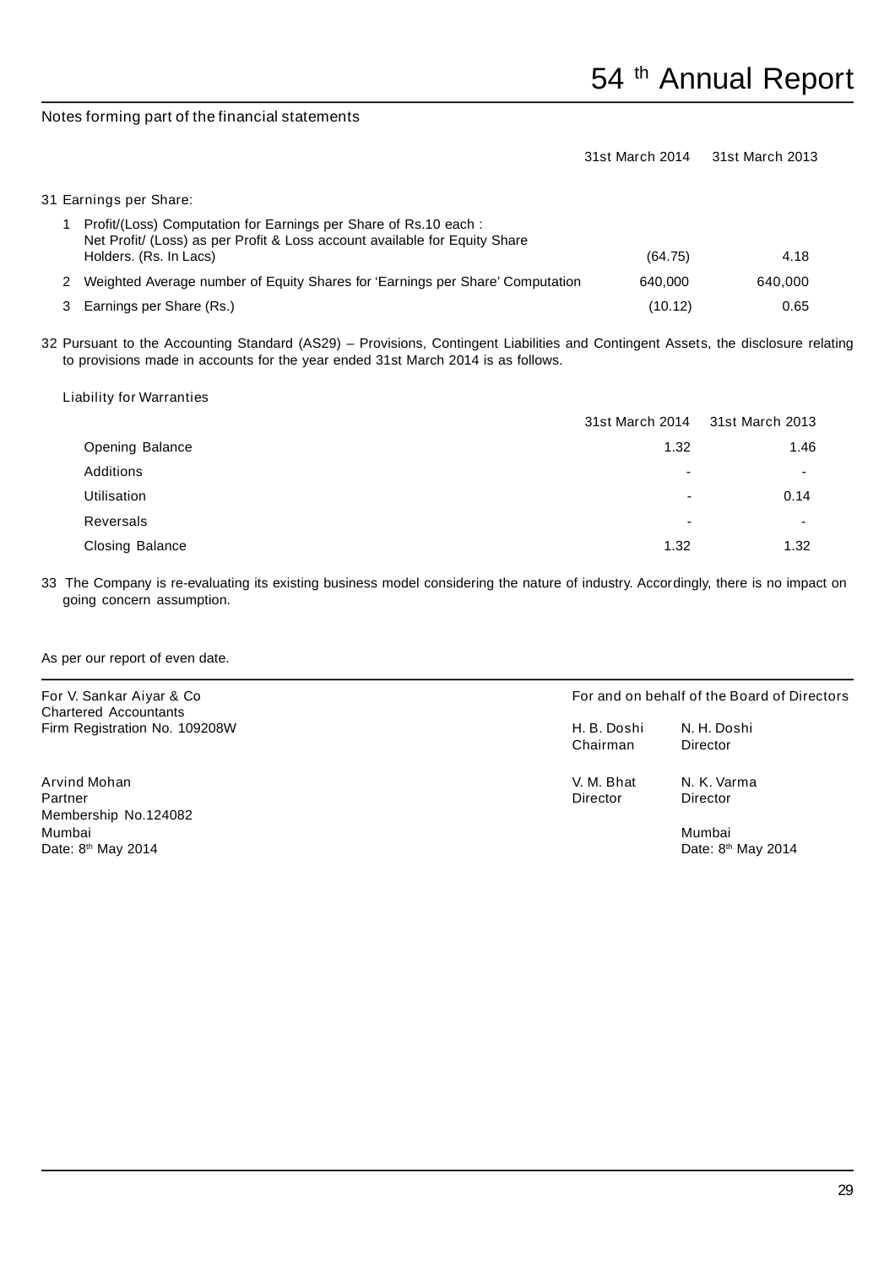### **31st March 2014 31st March 2013**

### **31 Earnings per Share:**

| Profit/(Loss) Computation for Earnings per Share of Rs.10 each:                 |         |         |
|---------------------------------------------------------------------------------|---------|---------|
| Net Profit/ (Loss) as per Profit & Loss account available for Equity Share      |         |         |
| Holders. (Rs. In Lacs)                                                          | (64.75) | 4.18    |
| 2 Weighted Average number of Equity Shares for 'Earnings per Share' Computation | 640.000 | 640.000 |
| 3 Earnings per Share (Rs.)                                                      | (10.12) | 0.65    |

**32 Pursuant to the Accounting Standard (AS29) – Provisions, Contingent Liabilities and Contingent Assets, the disclosure relating to provisions made in accounts for the year ended 31st March 2014 is as follows.**

### **Liability for Warranties**

|                        | <b>31st March 2014</b>   | 31st March 2013          |
|------------------------|--------------------------|--------------------------|
| <b>Opening Balance</b> | 1.32                     | 1.46                     |
| Additions              | $\overline{\phantom{0}}$ | $\overline{\phantom{0}}$ |
| <b>Utilisation</b>     | $\overline{\phantom{a}}$ | 0.14                     |
| Reversals              | $\overline{\phantom{a}}$ | $\overline{\phantom{0}}$ |
| <b>Closing Balance</b> | 1.32                     | 1.32                     |

**33 The Company is re-evaluating its existing business model considering the nature of industry. Accordingly, there is no impact on going concern assumption.**

### **As per our report of even date.**

| For V. Sankar Aiyar & Co<br><b>Chartered Accountants</b><br>Firm Registration No. 109208W | For and on behalf of the Board of Directors |                                          |
|-------------------------------------------------------------------------------------------|---------------------------------------------|------------------------------------------|
|                                                                                           | H. B. Doshi<br>Chairman                     | N. H. Doshi<br>Director                  |
| <b>Arvind Mohan</b><br>Partner                                                            | V. M. Bhat<br>Director                      | N. K. Varma<br>Director                  |
| Membership No.124082<br>Mumbai<br>Date: 8 <sup>th</sup> May 2014                          |                                             | Mumbai<br>Date: 8 <sup>th</sup> May 2014 |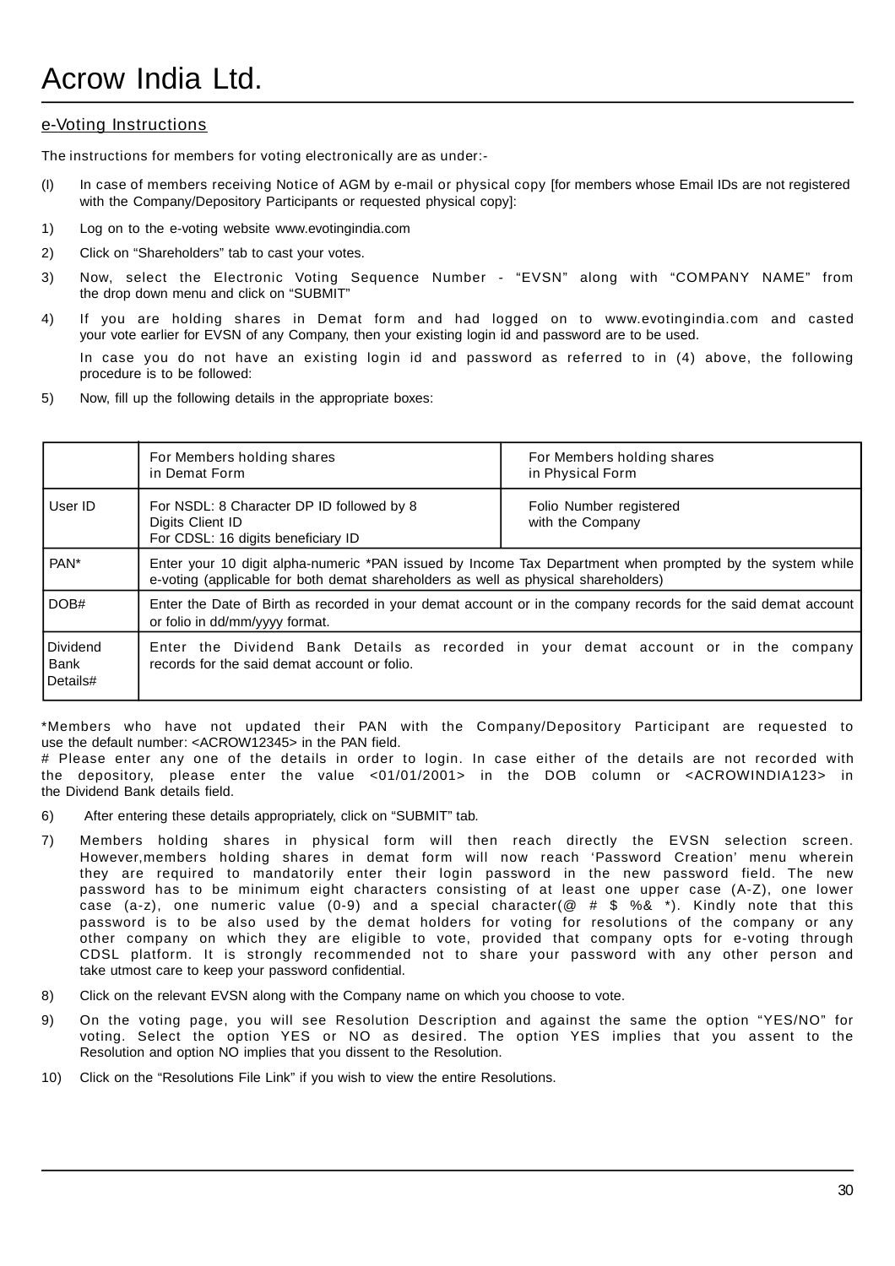### **e-Voting Instructions**

**The instructions for members for voting electronically are as under:-**

- **(I) In case of members receiving Notice of AGM by e-mail or physical copy [for members whose Email IDs are not registered with the Company/Depository Participants or requested physical copy]:**
- **1) Log on to the e-voting website www.evotingindia.com**
- **2) Click on "Shareholders" tab to cast your votes.**
- **3) Now, select the Electronic Voting Sequence Number "EVSN" along with "COMPANY NAME" from the drop down menu and click on "SUBMIT"**
- **4) If you are holding shares in Demat form and had logged on to www.evotingindia.com and casted your vote earlier for EVSN of any Company, then your existing login id and password are to be used.**

**In case you do not have an existing login id and password as referred to in (4) above, the following procedure is to be followed:**

**5) Now, fill up the following details in the appropriate boxes:**

|                              | For Members holding shares<br>in Demat Form                                                                                                                                                    | For Members holding shares<br>in Physical Form                                                                 |
|------------------------------|------------------------------------------------------------------------------------------------------------------------------------------------------------------------------------------------|----------------------------------------------------------------------------------------------------------------|
| User ID                      | For NSDL: 8 Character DP ID followed by 8<br>Digits Client ID<br>For CDSL: 16 digits beneficiary ID                                                                                            | Folio Number registered<br>with the Company                                                                    |
| PAN <sup>*</sup>             | Enter your 10 digit alpha-numeric *PAN issued by Income Tax Department when prompted by the system while<br>e-voting (applicable for both demat shareholders as well as physical shareholders) |                                                                                                                |
| DOB#                         | or folio in dd/mm/yyyy format.                                                                                                                                                                 | Enter the Date of Birth as recorded in your demat account or in the company records for the said demat account |
| Dividend<br>Bank<br>Details# | records for the said demat account or folio.                                                                                                                                                   | Enter the Dividend Bank Details as recorded in your demat account or in the company                            |

**\*Members who have not updated their PAN with the Company/Depository Participant are requested to use the default number: <ACROW12345> in the PAN field.**

**# Please enter any one of the details in order to login. In case either of the details are not recorded with the depository, please enter the value <01/01/2001> in the DOB column or <ACROWINDIA123> in the Dividend Bank details field.**

- **6) After entering these details appropriately, click on "SUBMIT" tab.**
- **7) Members holding shares in physical form will then reach directly the EVSN selection screen. However,members holding shares in demat form will now reach 'Password Creation' menu wherein they are required to mandatorily enter their login password in the new password field. The new password has to be minimum eight characters consisting of at least one upper case (A-Z), one lower case (a-z), one numeric value (0-9) and a special character(@ # \$ %& \*). Kindly note that this password is to be also used by the demat holders for voting for resolutions of the company or any other company on which they are eligible to vote, provided that company opts for e-voting through CDSL platform. It is strongly recommended not to share your password with any other person and take utmost care to keep your password confidential.**
- **8) Click on the relevant EVSN along with the Company name on which you choose to vote.**
- **9) On the voting page, you will see Resolution Description and against the same the option "YES/NO" for voting. Select the option YES or NO as desired. The option YES implies that you assent to the Resolution and option NO implies that you dissent to the Resolution.**
- **10) Click on the "Resolutions File Link" if you wish to view the entire Resolutions.**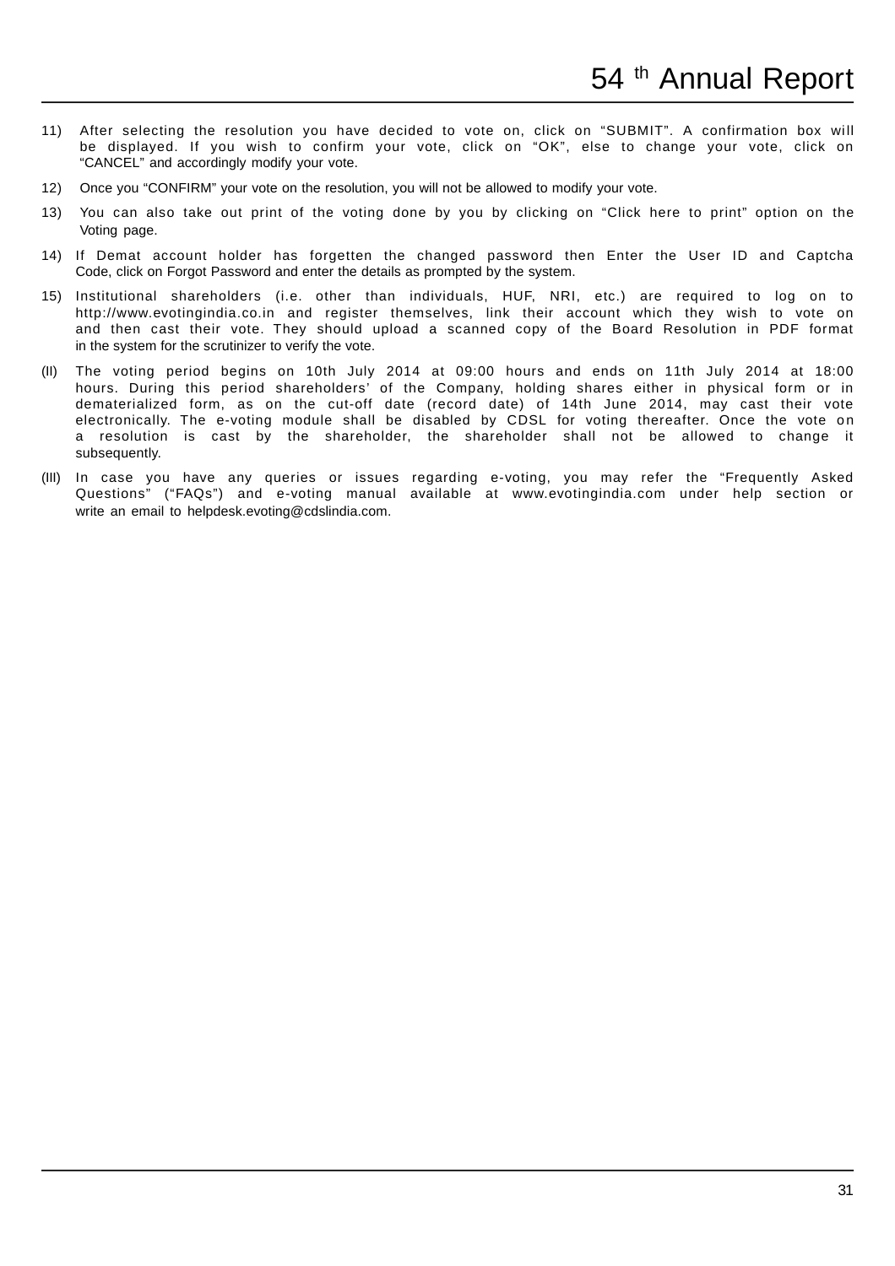- 11) After selecting the resolution you have decided to vote on, click on "SUBMIT". A confirmation box will **be displayed. If you wish to confirm your vote, click on "OK", else to change your vote, click on "CANCEL" and accordingly modify your vote.**
- **12) Once you "CONFIRM" your vote on the resolution, you will not be allowed to modify your vote.**
- **13) You can also take out print of the voting done by you by clicking on "Click here to print" option on the Voting page.**
- **14) If Demat account holder has forgetten the changed password then Enter the User ID and Captcha Code, click on Forgot Password and enter the details as prompted by the system.**
- **15) Institutional shareholders (i.e. other than individuals, HUF, NRI, etc.) are required to log on to http://www.evotingindia.co.in and register themselves, link their account which they wish to vote on and then cast their vote. They should upload a scanned copy of the Board Resolution in PDF format in the system for the scrutinizer to verify the vote.**
- **(II) The voting period begins on 10th July 2014 at 09:00 hours and ends on 11th July 2014 at 18:00 hours. During this period shareholders' of the Company, holding shares either in physical form or in dematerialized form, as on the cut-off date (record date) of 14th June 2014, may cast their vote electronically. The e-voting module shall be disabled by CDSL for voting thereafter. Once the vote on a resolution is cast by the shareholder, the shareholder shall not be allowed to change it subsequently.**
- **(III) In case you have any queries or issues regarding e-voting, you may refer the "Frequently Asked Questions" ("FAQs") and e-voting manual available at www.evotingindia.com under help section or write an email to helpdesk.evoting@cdslindia.com.**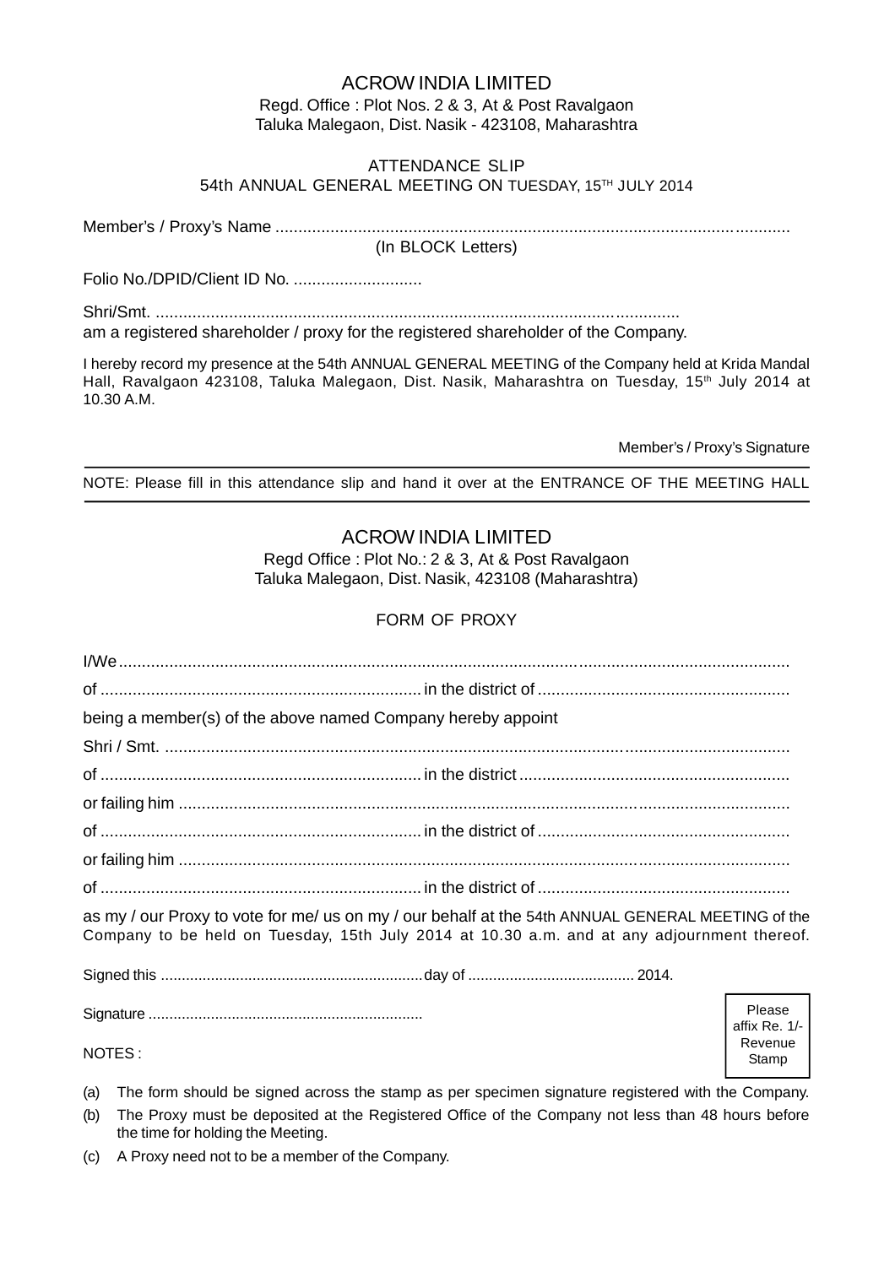### **ACROW INDIA LIMITED**

**Regd. Office : Plot Nos. 2 & 3, At & Post Ravalgaon Taluka Malegaon, Dist. Nasik - 423108, Maharashtra**

### **ATTENDANCE SLIP 54th ANNUAL GENERAL MEETING ON TUESDAY, 15TH JULY 2014**

**Member's / Proxy's Name ................................................................................................................**

**(In BLOCK Letters)**

**Folio No./DPID/Client ID No. ............................**

**Shri/Smt. .................................................................................................................. am a registered shareholder / proxy for the registered shareholder of the Company.**

**I hereby record my presence at the 54th ANNUAL GENERAL MEETING of the Company held at Krida Mandal Hall, Ravalgaon 423108, Taluka Malegaon, Dist. Nasik, Maharashtra on Tuesday, 15th July 2014 at 10.30 A.M.**

**Member's / Proxy's Signature**

**NOTE: Please fill in this attendance slip and hand it over at the ENTRANCE OF THE MEETING HALL**

### **ACROW INDIA LIMITED**

**Regd Office : Plot No.: 2 & 3, At & Post Ravalgaon Taluka Malegaon, Dist. Nasik, 423108 (Maharashtra)**

### **FORM OF PROXY**

| being a member(s) of the above named Company hereby appoint                                       |
|---------------------------------------------------------------------------------------------------|
|                                                                                                   |
|                                                                                                   |
|                                                                                                   |
|                                                                                                   |
|                                                                                                   |
|                                                                                                   |
| as my / our Proxy to yote for me/ us on my / our behalf at the 54th ANNUAL GENERAL MEETING of the |

**as my / our Proxy to vote for me/ us on my / our behalf at the 54th ANNUAL GENERAL MEETING of the Company to be held on Tuesday, 15th July 2014 at 10.30 a.m. and at any adjournment thereof.**

**Signed this ...............................................................day of ........................................ 2014.**

**Signature ..................................................................**

**NOTES :**

Please affix Re. 1/- Revenue Stamp

- **(a) The form should be signed across the stamp as per specimen signature registered with the Company.**
- **(b) The Proxy must be deposited at the Registered Office of the Company not less than 48 hours before the time for holding the Meeting.**
- **(c) A Proxy need not to be a member of the Company.**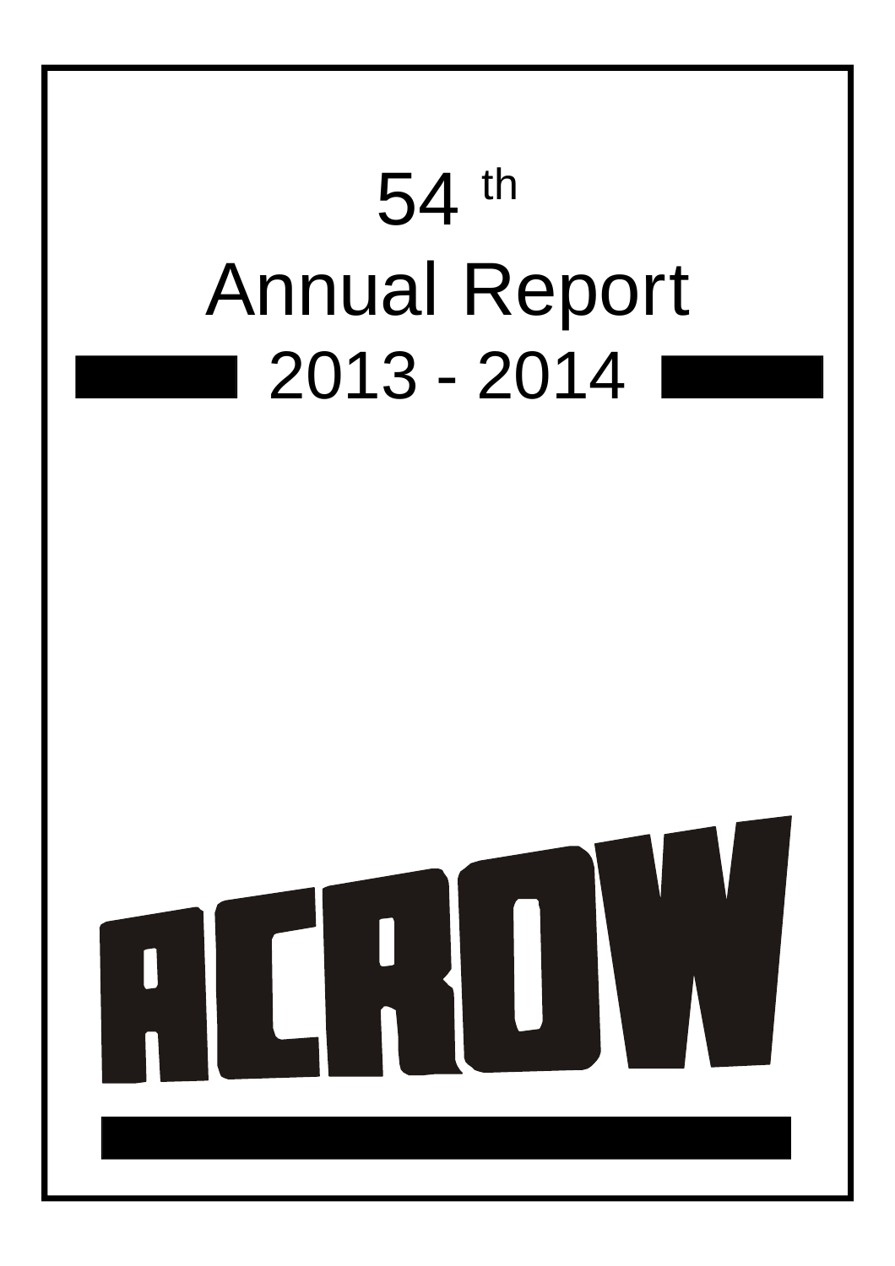